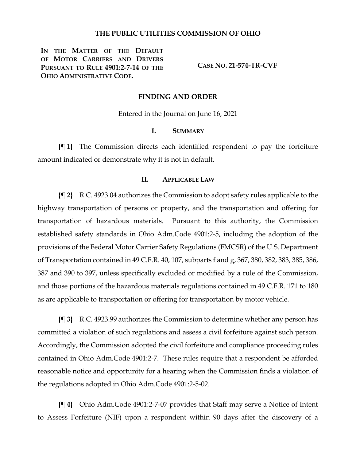### **THE PUBLIC UTILITIES COMMISSION OF OHIO**

**IN THE MATTER OF THE DEFAULT OF MOTOR CARRIERS AND DRIVERS PURSUANT TO RULE 4901:2-7-14 OF THE OHIO ADMINISTRATIVE CODE.**

**CASE NO. 21-574-TR-CVF**

#### **FINDING AND ORDER**

Entered in the Journal on June 16, 2021

### **I. SUMMARY**

**{¶ 1}** The Commission directs each identified respondent to pay the forfeiture amount indicated or demonstrate why it is not in default.

# **II. APPLICABLE LAW**

**{¶ 2}** R.C. 4923.04 authorizes the Commission to adopt safety rules applicable to the highway transportation of persons or property, and the transportation and offering for transportation of hazardous materials. Pursuant to this authority, the Commission established safety standards in Ohio Adm.Code 4901:2-5, including the adoption of the provisions of the Federal Motor Carrier Safety Regulations (FMCSR) of the U.S. Department of Transportation contained in 49 C.F.R. 40, 107, subparts f and g, 367, 380, 382, 383, 385, 386, 387 and 390 to 397, unless specifically excluded or modified by a rule of the Commission, and those portions of the hazardous materials regulations contained in 49 C.F.R. 171 to 180 as are applicable to transportation or offering for transportation by motor vehicle.

**{¶ 3}** R.C. 4923.99 authorizes the Commission to determine whether any person has committed a violation of such regulations and assess a civil forfeiture against such person. Accordingly, the Commission adopted the civil forfeiture and compliance proceeding rules contained in Ohio Adm.Code 4901:2-7. These rules require that a respondent be afforded reasonable notice and opportunity for a hearing when the Commission finds a violation of the regulations adopted in Ohio Adm.Code 4901:2-5-02.

**{¶ 4}** Ohio Adm.Code 4901:2-7-07 provides that Staff may serve a Notice of Intent to Assess Forfeiture (NIF) upon a respondent within 90 days after the discovery of a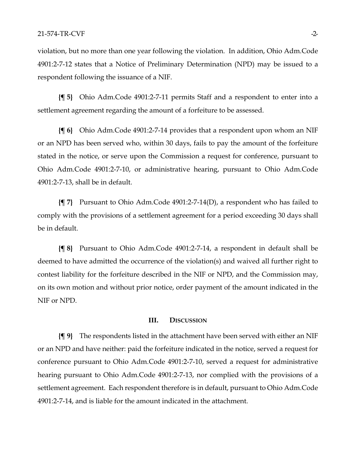violation, but no more than one year following the violation. In addition, Ohio Adm.Code 4901:2-7-12 states that a Notice of Preliminary Determination (NPD) may be issued to a respondent following the issuance of a NIF.

**{¶ 5}** Ohio Adm.Code 4901:2-7-11 permits Staff and a respondent to enter into a settlement agreement regarding the amount of a forfeiture to be assessed.

**{¶ 6}** Ohio Adm.Code 4901:2-7-14 provides that a respondent upon whom an NIF or an NPD has been served who, within 30 days, fails to pay the amount of the forfeiture stated in the notice, or serve upon the Commission a request for conference, pursuant to Ohio Adm.Code 4901:2-7-10, or administrative hearing, pursuant to Ohio Adm.Code 4901:2-7-13, shall be in default.

**{¶ 7}** Pursuant to Ohio Adm.Code 4901:2-7-14(D), a respondent who has failed to comply with the provisions of a settlement agreement for a period exceeding 30 days shall be in default.

**{¶ 8}** Pursuant to Ohio Adm.Code 4901:2-7-14, a respondent in default shall be deemed to have admitted the occurrence of the violation(s) and waived all further right to contest liability for the forfeiture described in the NIF or NPD, and the Commission may, on its own motion and without prior notice, order payment of the amount indicated in the NIF or NPD.

## **III. DISCUSSION**

**{¶ 9}** The respondents listed in the attachment have been served with either an NIF or an NPD and have neither: paid the forfeiture indicated in the notice, served a request for conference pursuant to Ohio Adm.Code 4901:2-7-10, served a request for administrative hearing pursuant to Ohio Adm.Code 4901:2-7-13, nor complied with the provisions of a settlement agreement. Each respondent therefore is in default, pursuant to Ohio Adm.Code 4901:2-7-14, and is liable for the amount indicated in the attachment.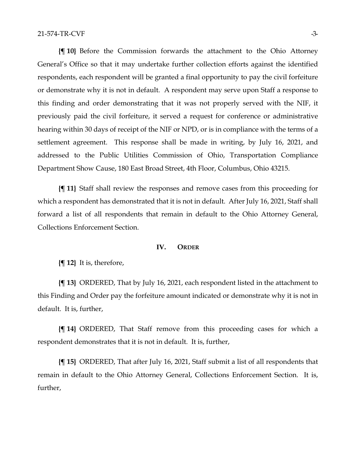**{¶ 10}** Before the Commission forwards the attachment to the Ohio Attorney General's Office so that it may undertake further collection efforts against the identified respondents, each respondent will be granted a final opportunity to pay the civil forfeiture or demonstrate why it is not in default. A respondent may serve upon Staff a response to this finding and order demonstrating that it was not properly served with the NIF, it previously paid the civil forfeiture, it served a request for conference or administrative hearing within 30 days of receipt of the NIF or NPD, or is in compliance with the terms of a settlement agreement. This response shall be made in writing, by July 16, 2021, and addressed to the Public Utilities Commission of Ohio, Transportation Compliance Department Show Cause, 180 East Broad Street, 4th Floor, Columbus, Ohio 43215.

**{¶ 11}** Staff shall review the responses and remove cases from this proceeding for which a respondent has demonstrated that it is not in default. After July 16, 2021, Staff shall forward a list of all respondents that remain in default to the Ohio Attorney General, Collections Enforcement Section.

### **IV. ORDER**

**{¶ 12}** It is, therefore,

**{¶ 13}** ORDERED, That by July 16, 2021, each respondent listed in the attachment to this Finding and Order pay the forfeiture amount indicated or demonstrate why it is not in default. It is, further,

**{¶ 14}** ORDERED, That Staff remove from this proceeding cases for which a respondent demonstrates that it is not in default. It is, further,

**{¶ 15}** ORDERED, That after July 16, 2021, Staff submit a list of all respondents that remain in default to the Ohio Attorney General, Collections Enforcement Section. It is, further,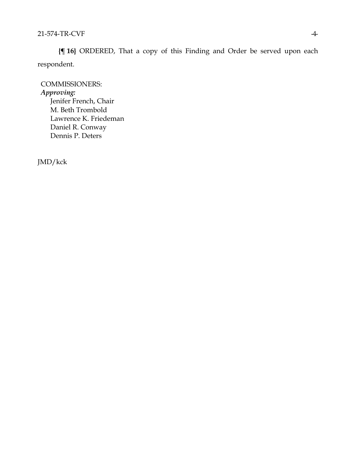**{¶ 16}** ORDERED, That a copy of this Finding and Order be served upon each respondent.

COMMISSIONERS: *Approving:*  Jenifer French, Chair M. Beth Trombold Lawrence K. Friedeman Daniel R. Conway Dennis P. Deters

JMD/kck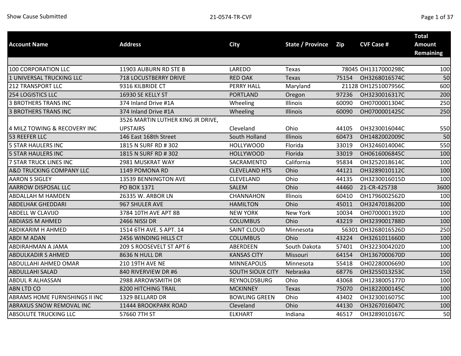| <b>Account Name</b>                 | <b>Address</b>                    | <b>City</b>             | <b>State / Province</b> | Zip   | <b>CVF Case #</b>   | <b>Total</b><br><b>Amount</b> |
|-------------------------------------|-----------------------------------|-------------------------|-------------------------|-------|---------------------|-------------------------------|
|                                     |                                   |                         |                         |       |                     | <b>Remaining</b>              |
|                                     |                                   |                         |                         |       |                     |                               |
| 100 CORPORATION LLC                 | 11903 AUBURN RD STE B             | LAREDO                  | Texas                   |       | 78045 OH1317000298C | 100                           |
| 1 UNIVERSAL TRUCKING LLC            | <b>718 LOCUSTBERRY DRIVE</b>      | <b>RED OAK</b>          | Texas                   | 75154 | OH3268016574C       | 50                            |
| <b>212 TRANSPORT LLC</b>            | 9316 KILBRIDE CT                  | PERRY HALL              | Maryland                |       | 21128 OH1251007956C | 600                           |
| <b>254 LOGISTICS LLC</b>            | 16930 SE KELLY ST                 | <b>PORTLAND</b>         | Oregon                  | 97236 | OH3230016317C       | 200                           |
| <b>3 BROTHERS TRANS INC</b>         | 374 Inland Drive #1A              | Wheeling                | Illinois                | 60090 | OH0700001304C       | 250                           |
| <b>3 BROTHERS TRANS INC</b>         | 374 Inland Drive #1A              | Wheeling                | Illinois                | 60090 | OH0700001425C       | 250                           |
|                                     | 3526 MARTIN LUTHER KING JR DRIVE, |                         |                         |       |                     |                               |
| 4 MILZ TOWING & RECOVERY INC        | <b>UPSTAIRS</b>                   | Cleveland               | Ohio                    | 44105 | OH3230016044C       | 550                           |
| 53 REEFER LLC                       | 146 East 168th Street             | South Holland           | Illinois                | 60473 | OH1482002009C       | 50                            |
| <b>5 STAR HAULERS INC</b>           | 1815 N SURF RD # 302              | <b>HOLLYWOOD</b>        | Florida                 | 33019 | OH3246014004C       | 550                           |
| <b>5 STAR HAULERS INC</b>           | 1815 N SURF RD # 302              | <b>HOLLYWOOD</b>        | Florida                 | 33019 | OH0616006845C       | 100                           |
| 7 STAR TRUCK LINES INC              | 2981 MUSKRAT WAY                  | SACRAMENTO              | California              | 95834 | OH3252018614C       | 100                           |
| <b>A&amp;D TRUCKING COMPANY LLC</b> | 1149 POMONA RD                    | <b>CLEVELAND HTS</b>    | Ohio                    | 44121 | OH3289010112C       | 100                           |
| <b>AARON S SIGLEY</b>               | <b>13539 BENNINGTON AVE</b>       | <b>CLEVELAND</b>        | Ohio                    | 44135 | OH3230016015D       | 100                           |
| <b>AARROW DISPOSAL LLC</b>          | PO BOX 1371                       | SALEM                   | Ohio                    | 44460 | 21-CR-425738        | 3600                          |
| <b>ABDALLAH M HAMDEN</b>            | 26335 W. ARBOR LN                 | CHANNAHON               | Illinois                | 60410 | OH1796002562D       | 100                           |
| <b>ABDELHAK GHEDDARI</b>            | 967 SHULER AVE                    | <b>HAMILTON</b>         | Ohio                    | 45011 | OH3247018620D       | 100                           |
| ABDELL W CLAVIJO                    | 3784 10TH AVE APT 8B              | <b>NEW YORK</b>         | New York                | 10034 | OH0700001392D       | 100                           |
| <b>ABDIASIS M AHMED</b>             | 2466 NISSI DR                     | <b>COLUMBUS</b>         | Ohio                    | 43219 | OH3239001788D       | 100                           |
| <b>ABDIKARIM H AHMED</b>            | 1514 6TH AVE. S APT. 14           | <b>SAINT CLOUD</b>      | Minnesota               |       | 56301 OH3268016526D | 250                           |
| <b>ABDI M ADAN</b>                  | 2456 WINDING HILLS CT             | <b>COLUMBUS</b>         | Ohio                    | 43224 | OH3261011660D       | 100                           |
| ABDIRAHMAN A JAMA                   | 209 S ROOSEVELT ST APT 6          | ABERDEEN                | South Dakota            | 57401 | OH3223004202D       | 100                           |
| <b>ABDULKADIR S AHMED</b>           | 8636 N HULL DR                    | <b>KANSAS CITY</b>      | Missouri                | 64154 | OH1367000670D       | 100                           |
| <b>ABDULLAHI AHMED OMAR</b>         | <b>210 19TH AVE NE</b>            | <b>MINNEAPOLIS</b>      | Minnesota               | 55418 | OH0228000669D       | 100                           |
| <b>ABDULLAHI SALAD</b>              | 840 RIVERVIEW DR #6               | <b>SOUTH SIOUX CITY</b> | Nebraska                | 68776 | OH3255013253C       | 150                           |
| <b>ABDUL R ALHASSAN</b>             | 2988 ARROWSMITH DR                | REYNOLDSBURG            | Ohio                    | 43068 | OH1238005177D       | 100                           |
| <b>ABN LTD CO</b>                   | 8200 HITCHING TRAIL               | <b>MCKINNEY</b>         | Texas                   | 75070 | OH1822000145C       | 100                           |
| ABRAMS HOME FURNISHINGS II INC      | 1329 BELLARD DR                   | <b>BOWLING GREEN</b>    | Ohio                    | 43402 | OH3230016075C       | 100                           |
| <b>ABRAXUS SNOW REMOVAL INC</b>     | 11444 BROOKPARK ROAD              | Cleveland               | Ohio                    | 44130 | OH3267016047C       | 100                           |
| ABSOLUTE TRUCKING LLC               | 57660 7TH ST                      | <b>ELKHART</b>          | Indiana                 | 46517 | OH3289010167C       | 50                            |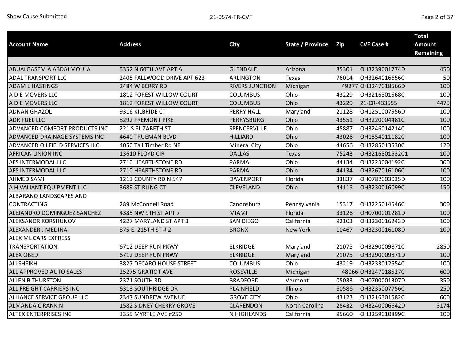| <b>Account Name</b>            | <b>Address</b>                  | <b>City</b>            | <b>State / Province</b> | <b>Zip</b> | <b>CVF Case #</b>   | <b>Total</b><br>Amount |
|--------------------------------|---------------------------------|------------------------|-------------------------|------------|---------------------|------------------------|
|                                |                                 |                        |                         |            |                     | <b>Remaining</b>       |
|                                |                                 |                        |                         |            |                     |                        |
| ABUALGASEM A ABDALMOULA        | 5352 N 60TH AVE APT A           | <b>GLENDALE</b>        | Arizona                 | 85301      | OH3239001774D       | 450                    |
| ADAL TRANSPORT LLC             | 2405 FALLWOOD DRIVE APT 623     | <b>ARLINGTON</b>       | Texas                   | 76014      | OH3264016656C       | 50                     |
| <b>ADAM L HASTINGS</b>         | 2484 W BERRY RD                 | <b>RIVERS JUNCTION</b> | Michigan                |            | 49277 OH3247018566D | 100                    |
| A D E MOVERS LLC               | 1812 FOREST WILLOW COURT        | <b>COLUMBUS</b>        | Ohio                    | 43229      | OH3216301568C       | 100                    |
| A D E MOVERS LLC               | 1812 FOREST WILLOW COURT        | <b>COLUMBUS</b>        | Ohio                    | 43229      | 21-CR-433555        | 4475                   |
| <b>ADNAN GHAZOL</b>            | 9316 KILBRIDE CT                | <b>PERRY HALL</b>      | Maryland                | 21128      | OH1251007956D       | 100                    |
| <b>ADR FUEL LLC</b>            | 8292 FREMONT PIKE               | <b>PERRYSBURG</b>      | Ohio                    | 43551      | OH3220004481C       | 100                    |
| ADVANCED COMFORT PRODUCTS INC  | 221 S ELIZABETH ST              | SPENCERVILLE           | Ohio                    | 45887      | OH3246014214C       | 100                    |
| ADVANCED DRAINAGE SYSTEMS INC  | <b>4640 TRUEMAN BLVD</b>        | <b>HILLIARD</b>        | Ohio                    | 43026      | OH1554011182C       | 100                    |
| ADVANCED OILFIELD SERVICES LLC | 4050 Tall Timber Rd NE          | <b>Mineral City</b>    | Ohio                    | 44656      | OH3285013530C       | 120                    |
| AFRICAN UNION INC              | 13610 FLOYD CIR                 | <b>DALLAS</b>          | <b>Texas</b>            | 75243      | OH3216301532C1      | 100                    |
| AFS INTERMODAL LLC             | 2710 HEARTHSTONE RD             | <b>PARMA</b>           | Ohio                    | 44134      | OH3223004192C       | 300                    |
| AFS INTERMODAL LLC             | 2710 HEARTHSTONE RD             | <b>PARMA</b>           | Ohio                    | 44134      | OH3267016106C       | 100                    |
| <b>AHMED SAMI</b>              | 1213 COUNTY RD N 547            | <b>DAVENPORT</b>       | Florida                 | 33837      | OH0782003035D       | 100                    |
| A H VALIANT EQUIPMENT LLC      | 3689 STIRLING CT                | <b>CLEVELAND</b>       | Ohio                    | 44115      | OH3230016099C       | 150                    |
| ALBARANO LANDSCAPES AND        |                                 |                        |                         |            |                     |                        |
| <b>CONTRACTING</b>             | 289 McConnell Road              | Canonsburg             | Pennsylvania            | 15317      | OH3225014546C       | 300                    |
| ALEJANDRO DOMINGUEZ SANCHEZ    | 4385 NW 9TH ST APT 7            | <b>MIAMI</b>           | Florida                 | 33126      | OH0700001281D       | 100                    |
| ALEKSANDR KORSHUNOV            | 4227 MARYLAND ST APT 3          | <b>SAN DIEGO</b>       | California              | 92103      | OH3230016243D       | 100                    |
| ALEXANDER J MEDINA             | 875 E. 215TH ST # 2             | <b>BRONX</b>           | New York                | 10467      | OH3230016108D       | 100                    |
| ALEX ML CARS EXPRESS           |                                 |                        |                         |            |                     |                        |
| <b>TRANSPORTATION</b>          | 6712 DEEP RUN PKWY              | <b>ELKRIDGE</b>        | Maryland                | 21075      | OH3290009871C       | 2850                   |
| <b>ALEX OBED</b>               | 6712 DEEP RUN PRWY              | <b>ELKRIDGE</b>        | Maryland                | 21075      | OH3290009871D       | 100                    |
| <b>ALI SHEIKH</b>              | 3827 DECARO HOUSE STREET        | <b>COLUMBUS</b>        | Ohio                    | 43219      | OH3233012554C       | 100                    |
| ALL APPROVED AUTO SALES        | 25275 GRATIOT AVE               | <b>ROSEVILLE</b>       | Michigan                |            | 48066 OH3247018527C | 600                    |
| <b>ALLEN B THURSTON</b>        | 2371 SOUTH RD                   | <b>BRADFORD</b>        | Vermont                 | 05033      | OH0700001307D       | 350                    |
| ALL FREIGHT CARRIERS INC       | <b>6313 SOUTHRIDGE DR</b>       | PLAINFIELD             | Illinois                | 60586      | OH3235007756C       | 250                    |
| ALLIANCE SERVICE GROUP LLC     | 2347 SUNDREW AVENUE             | <b>GROVE CITY</b>      | Ohio                    | 43123      | OH3216301582C       | 600                    |
| <b>ALMANDA C RANKIN</b>        | <b>1582 SIDNEY CHERRY GROVE</b> | <b>CLARENDON</b>       | North Carolina          | 28432      | OH3240006642D       | 3174                   |
| <b>ALTEX ENTERPRISES INC</b>   | 3355 MYRTLE AVE #250            | N HIGHLANDS            | California              | 95660      | OH3259010899C       | 100                    |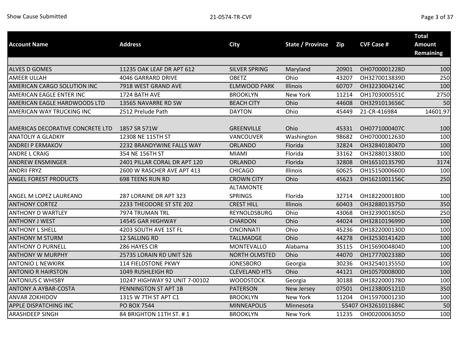| <b>Account Name</b>              | <b>Address</b>                |                      | <b>State / Province</b> |       | <b>CVF Case #</b>   | <b>Total</b><br><b>Amount</b> |
|----------------------------------|-------------------------------|----------------------|-------------------------|-------|---------------------|-------------------------------|
|                                  |                               | <b>City</b>          |                         | Zip   |                     | <b>Remaining</b>              |
|                                  |                               |                      |                         |       |                     |                               |
| <b>ALVES D GOMES</b>             | 11235 OAK LEAF DR APT 612     | <b>SILVER SPRING</b> | Maryland                | 20901 | OH0700001228D       | 100                           |
| <b>AMEER ULLAH</b>               | 4046 GARRARD DRIVE            | <b>OBETZ</b>         | Ohio                    | 43207 | OH3270013839D       | 250                           |
| AMERICAN CARGO SOLUTION INC      | 7918 WEST GRAND AVE           | <b>ELMWOOD PARK</b>  | Illinois                | 60707 | OH3223004214C       | 100                           |
| AMERICAN EAGLE ENTER INC         | 1724 BATH AVE                 | <b>BROOKLYN</b>      | New York                | 11214 | OH1703000551C       | 2750                          |
| AMERICAN EAGLE HARDWOODS LTD     | 13565 NAVARRE RD SW           | <b>BEACH CITY</b>    | Ohio                    | 44608 | OH3291013656C       | 50                            |
| AMERICAN WAY TRUCKING INC        | 2512 Prelude Path             | <b>DAYTON</b>        | Ohio                    | 45449 | 21-CR-416984        | 14601.97                      |
| AMERICAS DECORATIVE CONCRETE LTD | 1857 SR 571W                  | <b>GREENVILLE</b>    | Ohio                    | 45331 | OH0771000407C       | 100                           |
| <b>ANATOLIY A GLADKIY</b>        | 12308 NE 115TH ST             | VANCOUVER            | Washington              | 98682 | OH0700001263D       | 100                           |
| <b>ANDREI P ERMAKOV</b>          | 2232 BRANDYWINE FALLS WAY     | <b>ORLANDO</b>       | Florida                 | 32824 | OH3284018047D       | 100                           |
| <b>ANDRE L CRAIG</b>             | 354 NE 156TH ST               | <b>MIAMI</b>         | Florida                 | 33162 | OH3288013380D       | 100                           |
| <b>ANDREW ENSMINGER</b>          | 2401 PILLAR CORAL DR APT 120  | <b>ORLANDO</b>       | Florida                 | 32808 | OH1651013579D       | 3174                          |
| <b>ANDRII FRYZ</b>               | 2600 W RASCHER AVE APT 413    | <b>CHICAGO</b>       | Illinois                | 60625 | OH1515000660D       | 100                           |
| <b>ANGEL FOREST PRODUCTS</b>     | 698 TEENS RUN RD              | <b>CROWN CITY</b>    | Ohio                    | 45623 | OH1621001156C       | 250                           |
|                                  |                               | <b>ALTAMONTE</b>     |                         |       |                     |                               |
| ANGEL M LOPEZ LAUREANO           | 287 LORAINE DR APT 323        | <b>SPRINGS</b>       | Florida                 | 32714 | OH1822000180D       | 100                           |
| <b>ANTHONY CORTEZ</b>            | 2233 THEODORE ST STE 202      | <b>CREST HILL</b>    | Illinois                | 60403 | OH3288013575D       | 350                           |
| <b>ANTHONY D WARTLEY</b>         | 7974 TRUMAN TRL               | REYNOLDSBURG         | Ohio                    | 43068 | OH3239001805D       | 250                           |
| <b>ANTHONY J WEST</b>            | 14545 GAR HIGHWAY             | <b>CHARDON</b>       | Ohio                    | 44024 | OH3281019699D       | 100                           |
| <b>ANTHONY L SHELL</b>           | 4203 SOUTH AVE 1ST FL         | <b>CINCINNATI</b>    | Ohio                    | 45236 | OH1822000130D       | 100                           |
| <b>ANTHONY M STURM</b>           | 12 SALLING RD                 | <b>TALLMADGE</b>     | Ohio                    | 44278 | OH3253014142D       | 100                           |
| <b>ANTHONY O PURNELL</b>         | 286 HAYES CIR                 | <b>MONTEVALLO</b>    | Alabama                 | 35115 | OH1569004804D       | 100                           |
| <b>ANTHONY W MURPHY</b>          | 25735 LORAIN RD UNIT 526      | <b>NORTH OLMSTED</b> | Ohio                    | 44070 | OH1777002338D       | 100                           |
| <b>ANTONIO L NEWKIRK</b>         | 114 FIELDSTONE PKWY           | <b>JONESBORO</b>     | Georgia                 | 30236 | OH3254013555D       | 100                           |
| <b>ANTONIO R HAIRSTON</b>        | 1049 RUSHLEIGH RD             | <b>CLEVELAND HTS</b> | Ohio                    | 44121 | OH1057000800D       | 100                           |
| <b>ANTONIUS C WHISBY</b>         | 10247 HIGHWAY 92 UNIT 7-00102 | <b>WOODSTOCK</b>     | Georgia                 | 30188 | OH1822000178D       | 100                           |
| <b>ANTONY A AYBAR-COSTA</b>      | PENNINGTON ST APT 1B          | <b>PATERSON</b>      | New Jersey              | 07501 | OH1238005121D       | 350                           |
| <b>ANVAR ZOKHIDOV</b>            | 1315 W 7TH ST APT C1          | <b>BROOKLYN</b>      | New York                | 11204 | OH1597000123D       | 100                           |
| <b>APPLE DISPATCHING INC</b>     | PO BOX 7544                   | <b>MINNEAPOLIS</b>   | Minnesota               |       | 55407 OH3261011684C | 50                            |
| <b>ARASHDEEP SINGH</b>           | 84 BRIGHTON 11TH ST. #1       | <b>BROOKLYN</b>      | New York                | 11235 | OH0020006305D       | 100                           |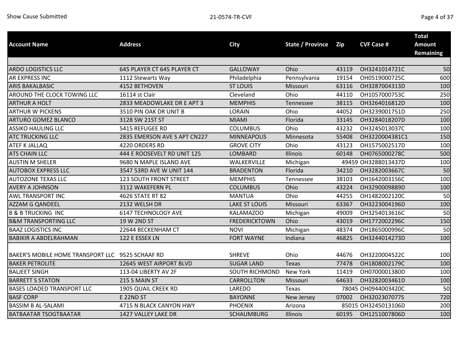|                                                  |                               |                       |                         |       |                     | <b>Total</b>     |
|--------------------------------------------------|-------------------------------|-----------------------|-------------------------|-------|---------------------|------------------|
| <b>Account Name</b>                              | <b>Address</b>                | <b>City</b>           | <b>State / Province</b> | Zip   | <b>CVF Case #</b>   | <b>Amount</b>    |
|                                                  |                               |                       |                         |       |                     | <b>Remaining</b> |
|                                                  |                               |                       |                         |       |                     |                  |
| <b>ARDO LOGISTICS LLC</b>                        | 645 PLAYER CT 645 PLAYER CT   | <b>GALLOWAY</b>       | Ohio                    | 43119 | OH3241014721C       | 50               |
| AR EXPRESS INC                                   | 1112 Stewarts Way             | Philadelphia          | Pennsylvania            | 19154 | OH0519000725C       | 600              |
| <b>ARIS BAKALBASIC</b>                           | 4152 BETHOVEN                 | <b>ST LOUIS</b>       | Missouri                | 63116 | OH3287004313D       | 100              |
| AROUND THE CLOCK TOWING LLC                      | 16114 st Clair                | Cleveland             | Ohio                    | 44110 | OH1057000753C       | 250              |
| <b>ARTHUR A HOLT</b>                             | 2833 MEADOWLAKE DR E APT 3    | <b>MEMPHIS</b>        | Tennessee               | 38115 | OH3264016812D       | 100              |
| <b>ARTHUR W PICKENS</b>                          | 3510 PIN OAK DR UNIT B        | LORAIN                | Ohio                    | 44052 | OH3239001751D       | 250              |
| ARTURO GOMEZ BLANCO                              | 3128 SW 21ST ST               | <b>MIAMI</b>          | Florida                 | 33145 | OH3284018207D       | 100              |
| <b>ASSIKO HAULING LLC</b>                        | 5415 REFUGEE RD               | <b>COLUMBUS</b>       | Ohio                    | 43232 | OH3245013037C       | 100              |
| <b>ATC TRUCKING LLC</b>                          | 2835 EMERSON AVE S APT CN227  | <b>MINNEAPOLIS</b>    | Minnesota               | 55408 | OH3220004381C1      | 150              |
| <b>ATEF K JALLAQ</b>                             | 4220 ORDERS RD                | <b>GROVE CITY</b>     | Ohio                    | 43123 | OH1575002517D       | 100              |
| <b>ATS CHAIN LLC</b>                             | 444 E ROOSEVELT RD UNIT 125   | LOMBARD               | Illinois                | 60148 | OH0765000278C       | 500              |
| <b>AUSTIN M SHELER</b>                           | 9680 N MAPLE ISLAND AVE       | WALKERVILLE           | Michigan                |       | 49459 OH3288013437D | 100              |
| <b>AUTOBOX EXPRESS LLC</b>                       | 3547 53RD AVE W UNIT 144      | <b>BRADENTON</b>      | Florida                 | 34210 | OH3282003667C       | 50               |
| <b>AUTOZONE TEXAS LLC</b>                        | <b>123 SOUTH FRONT STREET</b> | <b>MEMPHIS</b>        | Tennessee               | 38103 | OH1642003156C       | 100              |
| <b>AVERY A JOHNSON</b>                           | 3112 WAKEFERN PL              | <b>COLUMBUS</b>       | Ohio                    | 43224 | OH3290009889D       | 100              |
| <b>AWL TRANSPORT INC</b>                         | 4626 STATE RT 82              | <b>MANTUA</b>         | Ohio                    | 44255 | OH1482002120C       | 50               |
| <b>AZZAM G QANDEEL</b>                           | 2132 WELSH DR                 | <b>LAKE ST LOUIS</b>  | Missouri                | 63367 | OH3223004196D       | 100              |
| <b>B &amp; B TRUCKING INC</b>                    | 6147 TECHNOLOGY AVE           | KALAMAZOO             | Michigan                | 49009 | OH3254013616C       | 50               |
| <b>B&amp;M TRANSPORTING LLC</b>                  | 19 W 2ND ST                   | <b>FREDERICKTOWN</b>  | Ohio                    | 43019 | OH1772002296C       | 150              |
| <b>BAAZ LOGISTICS INC</b>                        | 22644 BECKENHAM CT            | <b>NOVI</b>           | Michigan                | 48374 | OH1865000996C       | 50               |
| <b>BABIKIR A ABDELRAHMAN</b>                     | 122 E ESSEX LN                | <b>FORT WAYNE</b>     | Indiana                 | 46825 | OH3244014273D       | 100              |
|                                                  |                               |                       |                         |       |                     |                  |
| BAKER'S MOBILE HOME TRANSPORT LLC 9525 SCHAAF RD |                               | <b>SHREVE</b>         | Ohio                    | 44676 | OH3220004522C       | 100              |
| <b>BAKER PETROLITE</b>                           | 12645 WEST AIRPORT BLVD       | <b>SUGAR LAND</b>     | <b>Texas</b>            | 77478 | OH1808002179C       | 100              |
| <b>BALJEET SINGH</b>                             | 113-04 LIBERTY AV 2F          | <b>SOUTH RICHMOND</b> | New York                | 11419 | OH0700001380D       | 100              |
| <b>BARRETT S STATON</b>                          | 215 S MAIN ST                 | CARROLLTON            | Missouri                | 64633 | OH3282003461D       | 100              |
| <b>BASES LOADED TRANSPORT LLC</b>                | 1905 QUAIL CREEK RD           | LAREDO                | Texas                   |       | 78045 OH0944003420C | 50               |
| <b>BASF CORP</b>                                 | <b>E 22ND ST</b>              | <b>BAYONNE</b>        | New Jersey              | 07002 | OH3202307077S       | 720              |
| <b>BASSIM B AL-SALAMI</b>                        | 4715 N BLACK CANYON HWY       | <b>PHOENIX</b>        | Arizona                 |       | 85015 OH3245013106D | 200              |
| <b>BATBAATAR TSOGTBAATAR</b>                     | 1427 VALLEY LAKE DR           | <b>SCHAUMBURG</b>     | Illinois                | 60195 | OH1251007806D       | 100              |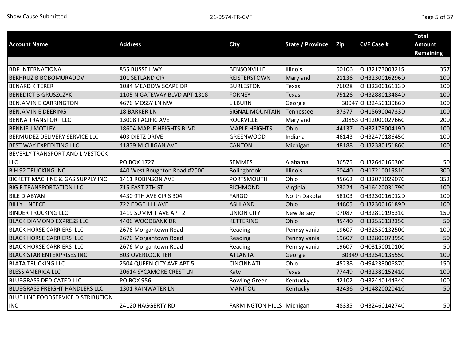| <b>Account Name</b>                   | <b>Address</b>               | <b>City</b>               | <b>State / Province</b> | Zip   | <b>CVF Case #</b>   | <b>Total</b><br><b>Amount</b> |
|---------------------------------------|------------------------------|---------------------------|-------------------------|-------|---------------------|-------------------------------|
|                                       |                              |                           |                         |       |                     | <b>Remaining</b>              |
|                                       |                              |                           |                         |       |                     |                               |
| <b>BDP INTERNATIONAL</b>              | 855 BUSSE HWY                | <b>BENSONVILLE</b>        | Illinois                | 60106 | OH3217300321S       | 357                           |
| <b>BEKHRUZ B BOBOMURADOV</b>          | 101 SETLAND CIR              | <b>REISTERSTOWN</b>       | Maryland                | 21136 | OH3230016296D       | 100                           |
| <b>BENARD K TERER</b>                 | 1084 MEADOW SCAPE DR         | <b>BURLESTON</b>          | Texas                   | 76028 | OH3230016113D       | 100                           |
| <b>BENEDICT B GRUSZCZYK</b>           | 1105 N GATEWAY BLVD APT 1318 | <b>FORNEY</b>             | Texas                   | 75126 | OH3288013484D       | 100                           |
| <b>BENJAMIN E CARRINGTON</b>          | 4676 MOSSY LN NW             | <b>LILBURN</b>            | Georgia                 |       | 30047 OH3245013086D | 100                           |
| <b>BENJAMIN E DEERING</b>             | <b>18 BARKER LN</b>          | <b>SIGNAL MOUNTAIN</b>    | Tennessee               | 37377 | OH1569004733D       | 100                           |
| <b>BENNA TRANSPORT LLC</b>            | 13008 PACIFIC AVE            | <b>ROCKVILLE</b>          | Maryland                |       | 20853 OH1200002766C | 200                           |
| <b>BENNIE J MOTLEY</b>                | 18604 MAPLE HEIGHTS BLVD     | <b>MAPLE HEIGHTS</b>      | Ohio                    | 44137 | OH3217300419D       | 100                           |
| BERMUDEZ DELIVERY SERVICE LLC         | 403 DIETZ DRIVE              | GREENWOOD                 | Indiana                 | 46143 | OH3247018645C       | 100                           |
| <b>BEST WAY EXPEDITING LLC</b>        | 41839 MICHIGAN AVE           | <b>CANTON</b>             | Michigan                | 48188 | OH3238015186C       | 100                           |
| BEVERLY TRANSPORT AND LIVESTOCK       |                              |                           |                         |       |                     |                               |
| LLC                                   | <b>PO BOX 1727</b>           | <b>SEMMES</b>             | Alabama                 | 36575 | OH3264016630C       | 50                            |
| <b>B H 92 TRUCKING INC</b>            | 440 West Boughton Road #200C | Bolingbrook               | Illinois                | 60440 | OH1721001981C       | 300                           |
| BICKETT MACHINE & GAS SUPPLY INC      | 1411 ROBINSON AVE            | <b>PORTSMOUTH</b>         | Ohio                    | 45662 | OH3207302907C       | 352                           |
| <b>BIG E TRANSPORTATION LLC</b>       | 715 EAST 7TH ST              | <b>RICHMOND</b>           | Virginia                | 23224 | OH1642003179C       | 100                           |
| <b>BILE D ABYAN</b>                   | 4430 9TH AVE CIR S 304       | <b>FARGO</b>              | North Dakota            | 58103 | OH3230016012D       | 100                           |
| <b>BILLY L NEECE</b>                  | <b>722 EDGEHILL AVE</b>      | <b>ASHLAND</b>            | Ohio                    | 44805 | OH3230016189D       | 100                           |
| <b>BINDER TRUCKING LLC</b>            | 1419 SUMMIT AVE APT 2        | <b>UNION CITY</b>         | New Jersey              | 07087 | OH3281019631C       | 150                           |
| <b>BLACK DIAMOND EXPRESS LLC</b>      | 4406 WOODBANK DR             | <b>KETTERING</b>          | Ohio                    | 45440 | OH3255013235C       | 50                            |
| BLACK HORSE CARRIERS LLC              | 2676 Morgantown Road         | Reading                   | Pennsylvania            | 19607 | OH3255013250C       | 100                           |
| <b>BLACK HORSE CARRIERS LLC</b>       | 2676 Morgantown Road         | Reading                   | Pennsylvania            | 19607 | OH3280007395C       | 50                            |
| <b>BLACK HORSE CARRIERS LLC</b>       | 2676 Morgantown Road         | Reading                   | Pennsylvania            | 19607 | OH0315001010C       | 50                            |
| <b>BLACK STAR ENTERPRISES INC</b>     | <b>803 OVERLOOK TER</b>      | <b>ATLANTA</b>            | Georgia                 |       | 30349 OH3254013555C | 100                           |
| <b>BLATA TRUCKING LLC</b>             | 2504 QUEEN CITY AVE APT 5    | <b>CINCINNATI</b>         | Ohio                    | 45238 | OH9423300687C       | 150                           |
| <b>BLESS AMERICA LLC</b>              | 20614 SYCAMORE CREST LN      | <b>Katy</b>               | <b>Texas</b>            | 77449 | OH3238015241C       | 100                           |
| <b>BLUEGRASS DEDICATED LLC</b>        | <b>PO BOX 956</b>            | <b>Bowling Green</b>      | Kentucky                | 42102 | OH3244014434C       | 100                           |
| <b>BLUEGRASS FREIGHT HANDLERS LLC</b> | 1301 RAINWATER LN            | <b>MANITOU</b>            | Kentucky                | 42436 | OH1482002041C       | 50                            |
| BLUE LINE FOODSERVICE DISTRIBUTION    |                              |                           |                         |       |                     |                               |
| <b>INC</b>                            | 24120 HAGGERTY RD            | FARMINGTON HILLS Michigan |                         | 48335 | OH3246014274C       | 50                            |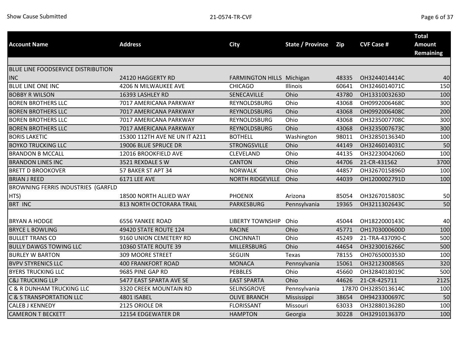|                                           |                               |                           |                  |       |                     | <b>Total</b>                      |
|-------------------------------------------|-------------------------------|---------------------------|------------------|-------|---------------------|-----------------------------------|
| <b>Account Name</b>                       | <b>Address</b>                | <b>City</b>               | State / Province | Zip   | <b>CVF Case #</b>   | <b>Amount</b><br><b>Remaining</b> |
|                                           |                               |                           |                  |       |                     |                                   |
| BLUE LINE FOODSERVICE DISTRIBUTION        |                               |                           |                  |       |                     |                                   |
| <b>INC</b>                                | 24120 HAGGERTY RD             | FARMINGTON HILLS Michigan |                  | 48335 | OH3244014414C       | 40                                |
| <b>BLUE LINE ONE INC</b>                  | 4206 N MILWAUKEE AVE          | <b>CHICAGO</b>            | Illinois         | 60641 | OH3246014071C       | 150                               |
| <b>BOBBY R WILSON</b>                     | 16393 LASHLEY RD              | SENECAVILLE               | Ohio             | 43780 | OH1331003263D       | 100                               |
| <b>BOREN BROTHERS LLC</b>                 | 7017 AMERICANA PARKWAY        | REYNOLDSBURG              | Ohio             | 43068 | OH0992006468C       | 300                               |
| <b>BOREN BROTHERS LLC</b>                 | 7017 AMERICANA PARKWAY        | REYNOLDSBURG              | Ohio             | 43068 | OH0992006408C       | 200                               |
| <b>BOREN BROTHERS LLC</b>                 | 7017 AMERICANA PARKWAY        | <b>REYNOLDSBURG</b>       | Ohio             | 43068 | OH3235007708C       | 300                               |
| <b>BOREN BROTHERS LLC</b>                 | 7017 AMERICANA PARKWAY        | REYNOLDSBURG              | Ohio             | 43068 | OH3235007673C       | 300                               |
| <b>BORIS LAKETIC</b>                      | 15300 112TH AVE NE UN IT A211 | <b>BOTHELL</b>            | Washington       | 98011 | OH3285013634D       | 100                               |
| <b>BOYKO TRUCKING LLC</b>                 | 19006 BLUE SPRUCE DR          | <b>STRONGSVILLE</b>       | Ohio             | 44149 | OH3246014031C       | 50                                |
| <b>BRANDON B MCCALL</b>                   | 12016 BROOKFIELD AVE          | CLEVELAND                 | Ohio             | 44135 | OH3223004206D       | 100                               |
| <b>BRANDON LINES INC</b>                  | 3521 REXDALE SW               | <b>CANTON</b>             | Ohio             | 44706 | 21-CR-431562        | 3700                              |
| <b>BRETT D BROOKOVER</b>                  | 57 BAKER ST APT 34            | <b>NORWALK</b>            | Ohio             | 44857 | OH3267015896D       | 100                               |
| <b>BRIAN J REED</b>                       | 6171 LEE AVE                  | <b>NORTH RIDGEVILLE</b>   | Ohio             | 44039 | OH1200002791D       | 100                               |
| <b>BROWNING FERRIS INDUSTRIES (GARFLD</b> |                               |                           |                  |       |                     |                                   |
| HTS)                                      | 18500 NORTH ALLIED WAY        | <b>PHOENIX</b>            | Arizona          | 85054 | OH3267015803C       | 50                                |
| <b>BRT INC</b>                            | 813 NORTH OCTORARA TRAIL      | <b>PARKESBURG</b>         | Pennsylvania     | 19365 | OH3211302643C       | 50                                |
|                                           |                               |                           |                  |       |                     |                                   |
| <b>BRYAN A HODGE</b>                      | <b>6556 YANKEE ROAD</b>       | <b>LIBERTY TOWNSHIP</b>   | Ohio<br>Ohio     | 45044 | OH1822000143C       | 40                                |
| <b>BRYCE L BOWLING</b>                    | 49420 STATE ROUTE 124         | <b>RACINE</b>             |                  | 45771 | OH1703000600D       | 100                               |
| <b>BULLET TRANS CO</b>                    | 9160 UNION CEMETERY RD        | <b>CINCINNATI</b>         | Ohio             | 45249 | 21-TRA-437090-C     | 500                               |
| <b>BULLY DAWGS TOWING LLC</b>             | 10360 STATE ROUTE 39          | <b>MILLERSBURG</b>        | Ohio             | 44654 | OH3230016266C       | 500                               |
| <b>BURLEY W BARTON</b>                    | <b>309 MOORE STREET</b>       | <b>SEGUIN</b>             | Texas            | 78155 | OH0765000353D       | 100                               |
| <b>BVPV STYRENICS LLC</b>                 | <b>400 FRANKFORT ROAD</b>     | <b>MONACA</b>             | Pennsylvania     | 15061 | OH3212300856S       | 320                               |
| <b>BYERS TRUCKING LLC</b>                 | 9685 PINE GAP RD              | <b>PEBBLES</b>            | Ohio             | 45660 | OH3284018019C       | 500                               |
| <b>C&amp;J TRUCKING LLP</b>               | 5477 EAST SPARTA AVE SE       | <b>EAST SPARTA</b>        | Ohio             | 44626 | 21-CR-425711        | 2125                              |
| <b>C &amp; R DUNHAM TRUCKING LLC</b>      | 3320 CREEK MOUNTAIN RD        | SELINSGROVE               | Pennsylvania     |       | 17870 OH3285013614C | 100                               |
| <b>C &amp; S TRANSPORTATION LLC</b>       | 4801 ISABEL                   | <b>OLIVE BRANCH</b>       | Mississippi      | 38654 | OH9423300697C       | 50                                |
| <b>CALEB J KENNEDY</b>                    | 2125 ORIOLE DR                | <b>FLORISSANT</b>         | Missouri         | 63033 | OH3288013628D       | 100                               |
| <b>CAMERON T BECKETT</b>                  | 12154 EDGEWATER DR            | <b>HAMPTON</b>            | Georgia          | 30228 | OH3291013637D       | 100                               |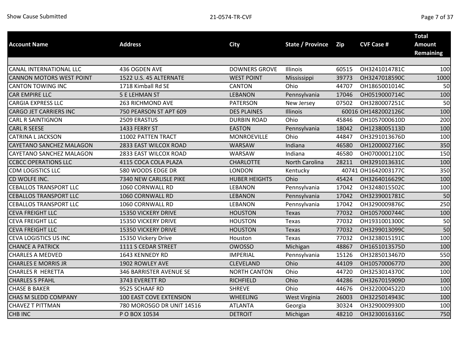|                                 |                           |                      |                         |       |                     | <b>Total</b>     |
|---------------------------------|---------------------------|----------------------|-------------------------|-------|---------------------|------------------|
| <b>Account Name</b>             | <b>Address</b>            | <b>City</b>          | <b>State / Province</b> | Zip   | <b>CVF Case #</b>   | <b>Amount</b>    |
|                                 |                           |                      |                         |       |                     | <b>Remaining</b> |
|                                 |                           |                      |                         |       |                     |                  |
| CANAL INTERNATIONAL LLC         | 436 OGDEN AVE             | <b>DOWNERS GROVE</b> | Illinois                | 60515 | OH3241014781C       | 100              |
| <b>CANNON MOTORS WEST POINT</b> | 1522 U.S. 45 ALTERNATE    | <b>WEST POINT</b>    | Mississippi             | 39773 | OH3247018590C       | 1000             |
| <b>CANTON TOWING INC</b>        | 1718 Kimball Rd SE        | <b>CANTON</b>        | Ohio                    | 44707 | OH1865001014C       | 50               |
| <b>CAR EMPIRE LLC</b>           | <b>5 E LEHMAN ST</b>      | <b>LEBANON</b>       | Pennsylvania            | 17046 | OH0519000714C       | 100              |
| <b>CARGIA EXPRESS LLC</b>       | 263 RICHMOND AVE          | <b>PATERSON</b>      | New Jersey              | 07502 | OH3280007251C       | 50               |
| <b>CARGO JET CARRIERS INC</b>   | 750 PEARSON ST APT 609    | <b>DES PLAINES</b>   | Illinois                |       | 60016 OH1482002126C | 100              |
| <b>CARL R SAINTIGNON</b>        | 2509 ERASTUS              | <b>DURBIN ROAD</b>   | Ohio                    | 45846 | OH1057000610D       | 200              |
| <b>CARL R SEESE</b>             | 1433 FERRY ST             | <b>EASTON</b>        | Pennsylvania            | 18042 | OH1238005113D       | 100              |
| <b>CATRINA L JACKSON</b>        | 11002 PATTEN TRACT        | MONROEVILLE          | Ohio                    | 44847 | OH3291013676D       | 100              |
| CAYETANO SANCHEZ MALAGON        | 2833 EAST WILCOX ROAD     | <b>WARSAW</b>        | Indiana                 | 46580 | OH1200002716C       | 350              |
| CAYETANO SANCHEZ MALAGON        | 2833 EAST WILCOX ROAD     | WARSAW               | Indiana                 | 46580 | OH0700001210C       | 150              |
| <b>CCBCC OPERATIONS LLC</b>     | 4115 COCA COLA PLAZA      | <b>CHARLOTTE</b>     | North Carolina          | 28211 | OH3291013631C       | 100              |
| <b>CDM LOGISTICS LLC</b>        | 580 WOODS EDGE DR         | <b>LONDON</b>        | Kentucky                |       | 40741 OH1642003177C | 350              |
| CD WOLFE INC.                   | 7340 NEW CARLISLE PIKE    | <b>HUBER HEIGHTS</b> | Ohio                    | 45424 | OH3264016629C       | 100              |
| <b>CEBALLOS TRANSPORT LLC</b>   | 1060 CORNWALL RD          | <b>LEBANON</b>       | Pennsylvania            | 17042 | OH3248015502C       | 100              |
| <b>CEBALLOS TRANSPORT LLC</b>   | 1060 CORNWALL RD          | <b>LEBANON</b>       | Pennsylvania            | 17042 | OH3239001781C       | 50               |
| <b>CEBALLOS TRANSPORT LLC</b>   | 1060 CORNWALL RD          | <b>LEBANON</b>       | Pennsylvania            | 17042 | OH3290009876C       | 250              |
| <b>CEVA FREIGHT LLC</b>         | 15350 VICKERY DRIVE       | <b>HOUSTON</b>       | Texas                   | 77032 | OH1057000744C       | 100              |
| CEVA FREIGHT LLC                | 15350 VICKERY DRIVE       | <b>HOUSTON</b>       | Texas                   | 77032 | OH1931001300C       | 50               |
| CEVA FREIGHT LLC                | 15350 VICKERY DRIVE       | <b>HOUSTON</b>       | Texas                   | 77032 | OH3299013099C       | 50               |
| CEVA LOGISTICS US INC           | 15350 Vickery Drive       | Houston              | Texas                   | 77032 | OH3238015191C       | 100              |
| <b>CHANCE A PATRICK</b>         | 1111 S CEDAR STREET       | <b>OWOSSO</b>        | Michigan                | 48867 | OH1651013575D       | 100              |
| <b>CHARLES A MEDVED</b>         | 1643 KENNEDY RD           | <b>IMPERIAL</b>      | Pennsylvania            | 15126 | OH3285013467D       | 550              |
| <b>CHARLES E MORRIS JR</b>      | 1902 ROWLEY AVE           | <b>CLEVELAND</b>     | Ohio                    | 44109 | OH1057000677D       | 200              |
| <b>CHARLES R HERETTA</b>        | 346 BARRISTER AVENUE SE   | <b>NORTH CANTON</b>  | Ohio                    | 44720 | OH3253014370C       | 100              |
| <b>CHARLES S PFAHL</b>          | 3743 EVERETT RD           | <b>RICHFIELD</b>     | Ohio                    | 44286 | OH3267015909D       | 100              |
| <b>CHASE B BAKER</b>            | 9525 SCHAAF RD            | <b>SHREVE</b>        | Ohio                    | 44676 | OH3220004522D       | 100              |
| CHAS M SLEDD COMPANY            | 100 EAST COVE EXTENSION   | <b>WHEELING</b>      | West Virginia           | 26003 | OH3225014943C       | 100              |
| <b>CHAVEZ T PITTMAN</b>         | 780 MOROSGO DR UNIT 14516 | <b>ATLANTA</b>       | Georgia                 | 30324 | OH3290009930D       | 100              |
| <b>CHB INC</b>                  | P O BOX 10534             | <b>DETROIT</b>       | Michigan                | 48210 | OH3230016316C       | 750              |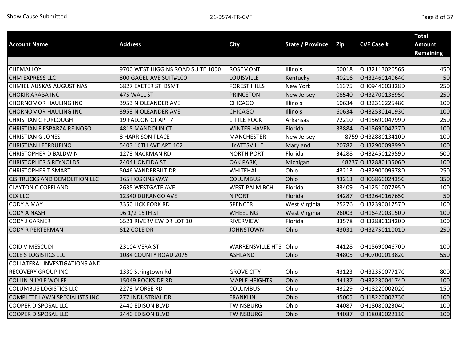|                                      | <b>Address</b>                    |                         |                         |            | <b>CVF Case #</b>   | <b>Total</b>                      |
|--------------------------------------|-----------------------------------|-------------------------|-------------------------|------------|---------------------|-----------------------------------|
| <b>Account Name</b>                  |                                   | <b>City</b>             | <b>State / Province</b> | <b>Zip</b> |                     | <b>Amount</b><br><b>Remaining</b> |
|                                      |                                   |                         |                         |            |                     |                                   |
| CHEMALLOY                            | 9700 WEST HIGGINS ROAD SUITE 1000 | <b>ROSEMONT</b>         | Illinois                | 60018      | OH3211302656S       | 450                               |
| <b>CHM EXPRESS LLC</b>               | 800 GAGEL AVE SUIT#100            | LOUISVILLE              | Kentucky                | 40216      | OH3246014064C       | 50                                |
| CHMIELIAUSKAS AUGUSTINAS             | 6827 EXETER ST BSMT               | <b>FOREST HILLS</b>     | New York                | 11375      | OH0944003328D       | 250                               |
| <b>CHOKIR ARABA INC</b>              | 475 WALL ST                       | <b>PRINCETON</b>        | New Jersey              | 08540      | OH3270013695C       | 250                               |
| <b>CHORNOMOR HAULING INC</b>         | 3953 N OLEANDER AVE               | <b>CHICAGO</b>          | Illinois                | 60634      | OH3231022548C       | 100                               |
| <b>CHORNOMOR HAULING INC</b>         | 3953 N OLEANDER AVE               | <b>CHICAGO</b>          | Illinois                | 60634      | OH3253014193C       | 100                               |
| <b>CHRISTIAN C FURLOUGH</b>          | 19 FALCON CT APT 7                | <b>LITTLE ROCK</b>      | Arkansas                | 72210      | OH1569004799D       | 250                               |
| CHRISTIAN F ESPARZA REINOSO          | 4818 MANDOLIN CT                  | <b>WINTER HAVEN</b>     | Florida                 | 33884      | OH1569004727D       | 100                               |
| <b>CHRISTIAN G JONES</b>             | <b>8 HARRISON PLACE</b>           | <b>MANCHESTER</b>       | New Jersey              |            | 8759 OH3288013410D  | 100                               |
| <b>CHRISTIAN I FERRUFINO</b>         | 5403 16TH AVE APT 102             | <b>HYATTSVILLE</b>      | Maryland                | 20782      | OH3290009899D       | 100                               |
| <b>CHRISTOPHER D BALDWIN</b>         | 1273 NACKMAN RD                   | <b>NORTH PORT</b>       | Florida                 | 34288      | OH3245012959D       | 500                               |
| <b>CHRISTOPHER S REYNOLDS</b>        | 24041 ONEIDA ST                   | OAK PARK,               | Michigan                |            | 48237 OH3288013506D | 100                               |
| <b>CHRISTOPHER T SMART</b>           | 5046 VANDERBILT DR                | WHITEHALL               | Ohio                    | 43213      | OH3290009978D       | 250                               |
| CJS TRUCKS AND DEMOLITION LLC        | <b>365 HOSKINS WAY</b>            | <b>COLUMBUS</b>         | Ohio                    | 43213      | OH0686002435C       | 350                               |
| <b>CLAYTON C COPELAND</b>            | 2635 WESTGATE AVE                 | <b>WEST PALM BCH</b>    | Florida                 | 33409      | OH1251007795D       | 100                               |
| <b>CLX LLC</b>                       | 12340 DURANGO AVE                 | N PORT                  | Florida                 | 34287      | OH3264016765C       | 50                                |
| <b>CODY A MAY</b>                    | 3350 LICK FORK RD                 | <b>SPENCER</b>          | West Virginia           | 25276      | OH3239001757D       | 100                               |
| <b>CODY A NASH</b>                   | 96 1/2 15TH ST                    | <b>WHEELING</b>         | West Virginia           | 26003      | OH1642003150D       | 100                               |
| <b>CODY J GARNER</b>                 | 6521 RIVERVIEW DR LOT 10          | <b>RIVERVIEW</b>        | Florida                 | 33578      | OH3288013420D       | 100                               |
| <b>CODY R PERTERMAN</b>              | 612 COLE DR                       | <b>JOHNSTOWN</b>        | Ohio                    | 43031      | OH3275011001D       | 250                               |
| <b>COID V MESCUDI</b>                | 23104 VERA ST                     | <b>WARRENSVILLE HTS</b> | Ohio                    | 44128      | OH1569004670D       | 100                               |
| <b>COLE'S LOGISTICS LLC</b>          | 1084 COUNTY ROAD 2075             | <b>ASHLAND</b>          | Ohio                    | 44805      | OH0700001382C       | 550                               |
| <b>COLLATERAL INVESTIGATIONS AND</b> |                                   |                         |                         |            |                     |                                   |
| <b>RECOVERY GROUP INC</b>            | 1330 Stringtown Rd                | <b>GROVE CITY</b>       | Ohio                    | 43123      | OH3235007717C       | 800                               |
| <b>COLLIN N LYLE WOLFE</b>           | 15049 ROCKSIDE RD                 | <b>MAPLE HEIGHTS</b>    | Ohio                    | 44137      | OH3223004174D       | 100                               |
| <b>COLUMBUS LOGISTICS LLC</b>        | 2273 MORSE RD                     | <b>COLUMBUS</b>         | Ohio                    | 43229      | OH1822000202C       | 150                               |
| <b>COMPLETE LAWN SPECIALISTS INC</b> | 277 INDUSTRIAL DR                 | <b>FRANKLIN</b>         | Ohio                    | 45005      | OH1822000273C       | 100                               |
| <b>COOPER DISPOSAL LLC</b>           | 2440 EDISON BLVD                  | TWINSBURG               | Ohio                    | 44087      | OH1808002304C       | 100                               |
| <b>COOPER DISPOSAL LLC</b>           | 2440 EDISON BLVD                  | TWINSBURG               | Ohio                    | 44087      | OH1808002211C       | 100                               |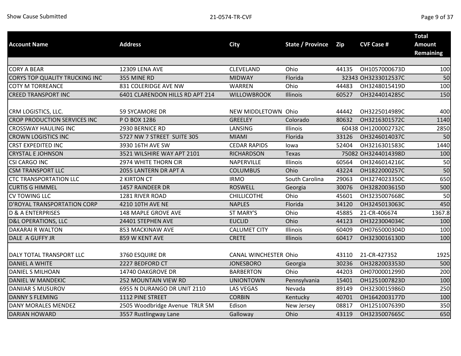| <b>Account Name</b>                 | <b>Address</b>                  | <b>City</b>                  | <b>State / Province</b> | Zip   | <b>CVF Case #</b>   | <b>Total</b><br><b>Amount</b><br><b>Remaining</b> |
|-------------------------------------|---------------------------------|------------------------------|-------------------------|-------|---------------------|---------------------------------------------------|
| <b>CORY A BEAR</b>                  | 12309 LENA AVE                  | CLEVELAND                    | Ohio                    | 44135 | OH1057000673D       | 100                                               |
| CORYS TOP QUALITY TRUCKING INC      | 355 MINE RD                     | <b>MIDWAY</b>                | Florida                 |       | 32343 OH3233012537C | 50                                                |
|                                     | 831 COLERIDGE AVE NW            |                              | Ohio                    | 44483 |                     | 100                                               |
| <b>COTY M TORREANCE</b>             |                                 | WARREN                       |                         |       | OH3248015419D       |                                                   |
| <b>CREED TRANSPORT INC</b>          | 6401 CLARENDON HILLS RD APT 214 | <b>WILLOWBROOK</b>           | Illinois                | 60527 | OH3244014285C       | 150                                               |
| CRM LOGISTICS, LLC.                 | 59 SYCAMORE DR                  | NEW MIDDLETOWN Ohio          |                         | 44442 | OH3225014989C       | 400                                               |
| <b>CROP PRODUCTION SERVICES INC</b> | P O BOX 1286                    | <b>GREELEY</b>               | Colorado                | 80632 | OH3216301572C       | 1140                                              |
| <b>CROSSWAY HAULING INC</b>         | 2930 BERNICE RD                 | LANSING                      | Illinois                |       | 60438 OH1200002732C | 2850                                              |
| <b>CROWN LOGISTICS INC</b>          | 5727 NW 7 STREET SUITE 305      | <b>MIAMI</b>                 | Florida                 | 33126 | OH3246014037C       | 50                                                |
| <b>CRST EXPEDITED INC</b>           | 3930 16TH AVE SW                | <b>CEDAR RAPIDS</b>          | lowa                    | 52404 | OH3216301583C       | 1440                                              |
| <b>CRYSTAL E JOHNSON</b>            | 3521 WILSHIRE WAY APT 2101      | <b>RICHARDSON</b>            | Texas                   |       | 75082 OH3244014398D | 100                                               |
| <b>CSI CARGO INC</b>                | 2974 WHITE THORN CIR            | NAPERVILLE                   | Illinois                | 60564 | OH3246014216C       | 50                                                |
| <b>CSM TRANSPORT LLC</b>            | 2055 LANTERN DR APT A           | <b>COLUMBUS</b>              | Ohio                    | 43224 | OH1822000257C       | 50                                                |
| <b>CTC TRANSPORTATION LLC</b>       | 2 KIRTON CT                     | <b>IRMO</b>                  | South Carolina          | 29063 | OH3274023350C       | 650                                               |
| <b>CURTIS G HIMMEL</b>              | 1457 RAINDEER DR                | <b>ROSWELL</b>               | Georgia                 | 30076 | OH3282003615D       | 500                                               |
| <b>CV TOWING LLC</b>                | 1281 RIVER ROAD                 | <b>CHILLICOTHE</b>           | Ohio                    | 45601 | OH3235007668C       | 50                                                |
| D'ROYAL TRANSPORTATION CORP         | 4210 10TH AVE NE                | <b>NAPLES</b>                | Florida                 | 34120 | OH3245013063C       | 450                                               |
| <b>D &amp; A ENTERPRISES</b>        | 148 MAPLE GROVE AVE             | ST MARY'S                    | Ohio                    | 45885 | 21-CR-406674        | 1367.8                                            |
| <b>D&amp;L OPERATIONS, LLC</b>      | 24401 STEPHEN AVE               | <b>EUCLID</b>                | Ohio                    | 44123 | OH3223004034C       | 100                                               |
| <b>DAKARAI R WALTON</b>             | 853 MACKINAW AVE                | <b>CALUMET CITY</b>          | Illinois                | 60409 | OH0765000304D       | 100                                               |
| DALE A GUFFY JR                     | 859 W KENT AVE                  | <b>CRETE</b>                 | Illinois                | 60417 | OH3230016130D       | 100                                               |
| DALY TOTAL TRANSPORT LLC            | 3760 ESQUIRE DR                 | <b>CANAL WINCHESTER Ohio</b> |                         | 43110 | 21-CR-427352        | 1925                                              |
| <b>DANIEL A WHITE</b>               | 2227 BEDFORD CT                 | <b>JONESBORO</b>             | Georgia                 | 30236 | OH3282003353D       | 500                                               |
| DANIEL S MILHOAN                    | 14740 OAKGROVE DR               | <b>BARBERTON</b>             | Ohio                    | 44203 | OH0700001299D       | 200                                               |
| DANIEL W MANDEKIC                   | <b>252 MOUNTAIN VIEW RD</b>     | <b>UNIONTOWN</b>             | Pennsylvania            | 15401 | OH1251007823D       | 100                                               |
| <b>DANIIAR S MUSUROV</b>            | 6955 N DURANGO DR UNIT 2110     | <b>LAS VEGAS</b>             | Nevada                  | 89149 | OH3230015986D       | 250                                               |
| <b>DANNY S FLEMING</b>              | 1112 PINE STREET                | <b>CORBIN</b>                | Kentucky                | 40701 | OH1642003177D       | 100                                               |
| DANY MORALES MENDEZ                 | 2505 Woodbridge Avenue TRLR 5M  | Edison                       | New Jersey              | 08817 | OH1251007639D       | 350                                               |
| <b>DARIAN HOWARD</b>                | 3557 Rustlingway Lane           | Galloway                     | Ohio                    | 43119 | OH3235007665C       | 650                                               |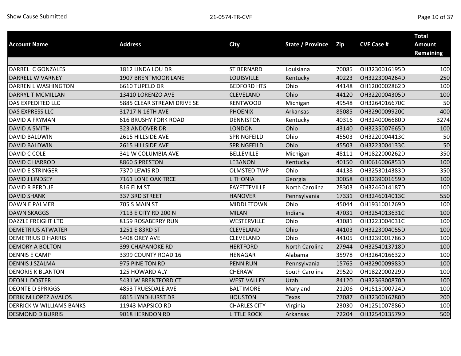|                             |                             |                     |                         |       |                   | <b>Total</b>     |
|-----------------------------|-----------------------------|---------------------|-------------------------|-------|-------------------|------------------|
| <b>Account Name</b>         | <b>Address</b>              | <b>City</b>         | <b>State / Province</b> | Zip   | <b>CVF Case #</b> | <b>Amount</b>    |
|                             |                             |                     |                         |       |                   | <b>Remaining</b> |
| DARREL C GONZALES           | 1812 LINDA LOU DR           | <b>ST BERNARD</b>   | Louisiana               | 70085 | OH3230016195D     | 100              |
| DARRELL W VARNEY            | 1907 BRENTMOOR LANE         | <b>LOUISVILLE</b>   |                         | 40223 | OH3223004264D     | 250              |
| DARREN L WASHINGTON         |                             |                     | Kentucky<br>Ohio        |       |                   | 100              |
|                             | 6610 TUPELO DR              | <b>BEDFORD HTS</b>  |                         | 44148 | OH1200002862D     |                  |
| DARRYL T MCMILLAN           | 13410 LORENZO AVE           | <b>CLEVELAND</b>    | Ohio                    | 44120 | OH3220004305D     | 100              |
| DAS EXPEDITED LLC           | 5885 CLEAR STREAM DRIVE SE  | <b>KENTWOOD</b>     | Michigan                | 49548 | OH3264016670C     | 50               |
| DAS EXPRESS LLC             | 31717 N 16TH AVE            | <b>PHOENIX</b>      | Arkansas                | 85085 | OH3290009920C     | 400              |
| <b>DAVID A FRYMAN</b>       | <b>616 BRUSHY FORK ROAD</b> | <b>DENNISTON</b>    | Kentucky                | 40316 | OH3240006680D     | 3274             |
| <b>DAVID A SMITH</b>        | 323 ANDOVER DR              | <b>LONDON</b>       | Ohio                    | 43140 | OH3235007665D     | 100              |
| <b>DAVID BALDWIN</b>        | 2615 HILLSIDE AVE           | SPRINGFEILD         | Ohio                    | 45503 | OH3220004413C     | 50               |
| <b>DAVID BALDWIN</b>        | 2615 HILLSIDE AVE           | SPRINGFEILD         | Ohio                    | 45503 | OH3223004133C     | 50               |
| DAVID C COLE                | 341 W COLUMBIA AVE          | <b>BELLEVILLE</b>   | Michigan                | 48111 | OH1822000262D     | 350              |
| <b>DAVID C HARROD</b>       | 8860 S PRESTON              | <b>LEBANON</b>      | Kentucky                | 40150 | OH0616006853D     | 100              |
| <b>DAVID E STRINGER</b>     | 7370 LEWIS RD               | <b>OLMSTED TWP</b>  | Ohio                    | 44138 | OH3253014383D     | 350              |
| DAVID J LINDSEY             | 7161 LONE OAK TRCE          | <b>LITHONIA</b>     | Georgia                 | 30058 | OH3239001659D     | 100              |
| <b>DAVID R PERDUE</b>       | 816 ELM ST                  | <b>FAYETTEVILLE</b> | North Carolina          | 28303 | OH3246014187D     | 100              |
| <b>DAVID SHANK</b>          | 337 3RD STREET              | <b>HANOVER</b>      | Pennsylvania            | 17331 | OH3246014013C     | 550              |
| <b>DAWN E PALMER</b>        | 705 S MAIN ST               | MIDDLETOWN          | Ohio                    | 45044 | OH1931001269D     | 100              |
| <b>DAWN SKAGGS</b>          | 7113 E CITY RD 200 N        | <b>MILAN</b>        | Indiana                 | 47031 | OH3254013631C     | 100              |
| DAZZLE FREIGHT LTD          | 8159 ROSABERRY RUN          | WESTERVILLE         | Ohio                    | 43081 | OH3223004031C     | 100              |
| <b>DEMETRIUS ATWATER</b>    | 1251 E 83RD ST              | <b>CLEVELAND</b>    | Ohio                    | 44103 | OH3223004055D     | 100              |
| <b>DEMETRIUS D HARRIS</b>   | 5408 OREY AVE               | <b>CLEVELAND</b>    | Ohio                    | 44105 | OH3239001786D     | 100              |
| <b>DEMORY A BOLTON</b>      | <b>399 CHAPANOKE RD</b>     | <b>HERTFORD</b>     | North Carolina          | 27944 | OH3254013718D     | 100              |
| <b>DENNIS E CAMP</b>        | 3399 COUNTY ROAD 16         | <b>HENAGAR</b>      | Alabama                 | 35978 | OH3264016632D     | 100              |
| <b>DENNIS J SZALMA</b>      | 975 PINE TON RD             | <b>PENN RUN</b>     | Pennsylvania            | 15765 | OH3290009983D     | 100              |
| <b>DENORIS K BLANTON</b>    | 125 HOWARD ALY              | CHERAW              | South Carolina          | 29520 | OH1822000229D     | 100              |
| <b>DEON L DOSTER</b>        | 5431 W BRENTFORD CT         | <b>WEST VALLEY</b>  | Utah                    | 84120 | OH3236300870D     | 100              |
| <b>DEONTE D SPRIGGS</b>     | <b>4853 TRUESDALE AVE</b>   | <b>BALTIMORE</b>    | Maryland                | 21206 | OH1515000724D     | 100              |
| <b>DERIK M LOPEZ AVALOS</b> | <b>6815 LYNDHURST DR</b>    | <b>HOUSTON</b>      | Texas                   | 77087 | OH3230016280D     | 200              |
| DERRICK W WILLIAMS BANKS    | 11943 MAPSICO RD            | <b>CHARLES CITY</b> | Virginia                | 23030 | OH1251007886D     | 100              |
| <b>DESMOND D BURRIS</b>     | 9018 HERNDON RD             | <b>LITTLE ROCK</b>  | Arkansas                | 72204 | OH3254013579D     | 500              |
|                             |                             |                     |                         |       |                   |                  |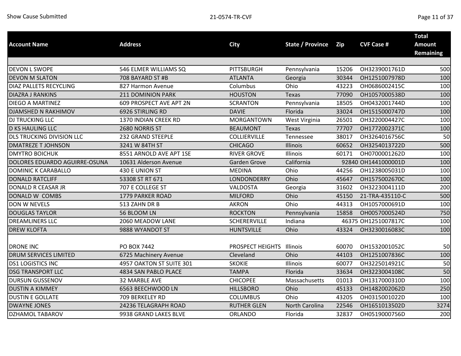| <b>Account Name</b>           | <b>Address</b>           | <b>City</b>             | <b>State / Province</b> | Zip   | <b>CVF Case #</b>   | <b>Total</b><br><b>Amount</b><br><b>Remaining</b> |
|-------------------------------|--------------------------|-------------------------|-------------------------|-------|---------------------|---------------------------------------------------|
|                               |                          |                         |                         |       |                     |                                                   |
| <b>DEVON L SWOPE</b>          | 546 ELMER WILLIAMS SQ    | <b>PITTSBURGH</b>       | Pennsylvania            | 15206 | OH3239001761D       | 500                                               |
| <b>DEVON M SLATON</b>         | 708 BAYARD ST #B         | <b>ATLANTA</b>          | Georgia                 | 30344 | OH1251007978D       | 100                                               |
| <b>DIAZ PALLETS RECYCLING</b> | 827 Harmon Avenue        | Columbus                | Ohio                    | 43223 | OH0686002415C       | 100                                               |
| <b>DIAZRA J RANKINS</b>       | 211 DOMINION PARK        | <b>HOUSTON</b>          | <b>Texas</b>            | 77090 | OH1057000538D       | 100                                               |
| <b>DIEGO A MARTINEZ</b>       | 609 PROSPECT AVE APT 2N  | <b>SCRANTON</b>         | Pennsylvania            | 18505 | OH0432001744D       | 100                                               |
| DJAMSHED N RAKHIMOV           | 6926 STIRLING RD         | <b>DAVIE</b>            | Florida                 | 33024 | OH1515000747D       | 100                                               |
| DJ TRUCKING LLC               | 1370 INDIAN CREEK RD     | <b>MORGANTOWN</b>       | West Virginia           | 26501 | OH3220004427C       | 100                                               |
| <b>D KS HAULING LLC</b>       | 2680 NORRIS ST           | <b>BEAUMONT</b>         | Texas                   | 77707 | OH1772002371C       | 100                                               |
| DLS TRUCKING DIVISION LLC     | 232 GRAND STEEPLE        | COLLIERVILLE            | Tennessee               | 38017 | OH3264016756C       | 50                                                |
| <b>DMATREZE T JOHNSON</b>     | 3241 W 84TH ST           | <b>CHICAGO</b>          | Illinois                | 60652 | OH3254013722D       | 500                                               |
| <b>DMYTRO BOICHUK</b>         | 8551 ARNOLD AVE APT 1SE  | <b>RIVER GROVE</b>      | Illinois                | 60171 | OH0700001262D       | 100                                               |
| DOLORES EDUARDO AGUIRRE-OSUNA | 10631 Alderson Avenue    | <b>Garden Grove</b>     | California              |       | 92840 OH1441000001D | 100                                               |
| DOMINIC K CARABALLO           | 430 E UNION ST           | <b>MEDINA</b>           | Ohio                    | 44256 | OH1238005031D       | 100                                               |
| <b>DONALD RATCLIFF</b>        | 53308 ST RT 671          | LONDONDERRY             | Ohio                    | 45647 | OH1575002670C       | 100                                               |
| DONALD R CEASAR JR            | 707 E COLLEGE ST         | VALDOSTA                | Georgia                 | 31602 | OH3223004111D       | 200                                               |
| DONALD W COMBS                | 1779 PARKER ROAD         | <b>MILFORD</b>          | Ohio                    | 45150 | 21-TRA-435110-C     | 500                                               |
| DON W NEVELS                  | 513 ZAHN DR B            | <b>AKRON</b>            | Ohio                    | 44313 | OH1057000691D       | 100                                               |
| <b>DOUGLAS TAYLOR</b>         | 56 BLOOM LN              | <b>ROCKTON</b>          | Pennsylvania            | 15858 | OH0057000524D       | 750                                               |
| <b>DREAMLINERS LLC</b>        | 2060 MEADOW LANE         | SCHERERVILLE            | Indiana                 |       | 46375 OH1251007817C | 100                                               |
| <b>DREW KLOFTA</b>            | 9888 WYANDOT ST          | <b>HUNTSVILLE</b>       | Ohio                    | 43324 | OH3230016083C       | 100                                               |
| <b>DRONE INC</b>              | PO BOX 7442              | <b>PROSPECT HEIGHTS</b> | Illinois                | 60070 | OH1532001052C       | 50                                                |
| DRUM SERVICES LIMITED         | 6725 Machinery Avenue    | Cleveland               | Ohio                    | 44103 | OH1251007836C       | 100                                               |
| <b>DS1 LOGISTICS INC</b>      | 4957 OAKTON ST SUITE 301 | <b>SKOKIE</b>           | Illinois                | 60077 | OH3225014921C       | 50                                                |
| <b>DSG TRANSPORT LLC</b>      | 4834 SAN PABLO PLACE     | <b>TAMPA</b>            | Florida                 | 33634 | OH3223004108C       | 50                                                |
| <b>DURSUN GUSSENOV</b>        | 32 MARBLE AVE            | <b>CHICOPEE</b>         | Massachusetts           | 01013 | OH1317000310D       | 100                                               |
| <b>DUSTIN A KIMMEY</b>        | 6563 BEECHWOOD LN        | <b>HILLSBORO</b>        | Ohio                    | 45133 | OH1482002062D       | 250                                               |
| <b>DUSTIN E GOLLATE</b>       | 709 BERKELEY RD          | <b>COLUMBUS</b>         | Ohio                    | 43205 | OH0315001022D       | 100                                               |
| <b>DWAYNE JONES</b>           | 24236 TELAGRAPH ROAD     | <b>RUTHER GLEN</b>      | <b>North Carolina</b>   | 22546 | OH1651013502D       | 3274                                              |
| DZHAMOL TABAROV               | 9938 GRAND LAKES BLVE    | ORLANDO                 | Florida                 | 32837 | OH0519000756D       | 200                                               |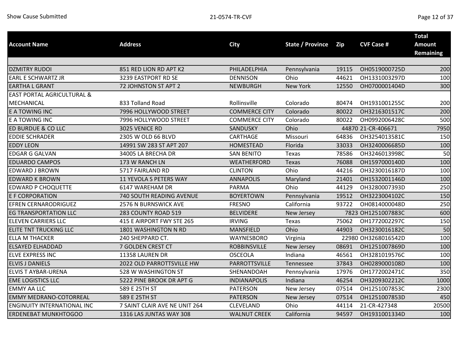|                                       |                               |                      |                         |       |                     | <b>Total</b>     |
|---------------------------------------|-------------------------------|----------------------|-------------------------|-------|---------------------|------------------|
| <b>Account Name</b>                   | <b>Address</b>                | <b>City</b>          | <b>State / Province</b> | Zip   | <b>CVF Case #</b>   | <b>Amount</b>    |
|                                       |                               |                      |                         |       |                     | <b>Remaining</b> |
|                                       |                               |                      |                         |       |                     |                  |
| <b>DZMITRY RUDOI</b>                  | 851 RED LION RD APT K2        | PHILADELPHIA         | Pennsylvania            | 19115 | OH0519000725D       | 200              |
| <b>EARL E SCHWARTZ JR</b>             | 3239 EASTPORT RD SE           | <b>DENNISON</b>      | Ohio                    | 44621 | OH1331003297D       | 100              |
| <b>EARTHA L GRANT</b>                 | 72 JOHNSTON ST APT 2          | <b>NEWBURGH</b>      | <b>New York</b>         | 12550 | OH0700001404D       | 300              |
| <b>EAST PORTAL AGRICULTURAL &amp;</b> |                               |                      |                         |       |                     |                  |
| <b>MECHANICAL</b>                     | 833 Tolland Road              | Rollinsville         | Colorado                | 80474 | OH1931001255C       | 200              |
| E A TOWING INC                        | 7996 HOLLYWOOD STREET         | <b>COMMERCE CITY</b> | Colorado                | 80022 | OH3216301517C       | 200              |
| E A TOWING INC                        | 7996 HOLLYWOOD STREET         | <b>COMMERCE CITY</b> | Colorado                | 80022 | OH0992006428C       | 500              |
| ED BURDUE & CO LLC                    | 3025 VENICE RD                | SANDUSKY             | Ohio                    |       | 44870 21-CR-406671  | 7950             |
| <b>EDDIE SCHRADER</b>                 | 2305 W OLD 66 BLVD            | CARTHAGE             | Missouri                | 64836 | OH3254013581C       | 150              |
| <b>EDDY LEON</b>                      | 14991 SW 283 ST APT 207       | <b>HOMESTEAD</b>     | Florida                 | 33033 | OH3240006685D       | 100              |
| <b>EDGAR G GALVAN</b>                 | 34005 LA BRECHA DR            | <b>SAN BENITO</b>    | Texas                   | 78586 | OH3246013998C       | 50               |
| <b>EDUARDO CAMPOS</b>                 | 173 W RANCH LN                | WEATHERFORD          | Texas                   | 76088 | OH1597000140D       | 100              |
| EDWARD J BROWN                        | 5717 FAIRLAND RD              | <b>CLINTON</b>       | Ohio                    | 44216 | OH3230016187D       | 100              |
| <b>EDWARD K BROWN</b>                 | 11 YEVOLA S PETERS WAY        | <b>ANNAPOLIS</b>     | Maryland                | 21401 | OH1532001146D       | 100              |
| <b>EDWARD P CHOQUETTE</b>             | 6147 WAREHAM DR               | <b>PARMA</b>         | Ohio                    | 44129 | OH3280007393D       | 250              |
| <b>E F CORPORATION</b>                | 740 SOUTH READING AVENUE      | <b>BOYERTOWN</b>     | Pennsylvania            | 19512 | OH3223004102C       | 150              |
| <b>EFREN CERNARODRIGUEZ</b>           | 2576 N BURNSWICK AVE          | <b>FRESNO</b>        | California              | 93722 | OH0814000048D       | 250              |
| <b>EG TRANSPORTATION LLC</b>          | 283 COUNTY ROAD 519           | <b>BELVIDERE</b>     | New Jersey              |       | 7823 OH1251007883C  | 600              |
| <b>ELEVEN CARRIERS LLC</b>            | 415 E AIRPORT FWY STE 265     | <b>IRVING</b>        | Texas                   | 75062 | OH1772002297C       | 150              |
| ELITE TNT TRUCKING LLC                | 1801 WASHINGTON N RD          | MANSFIELD            | Ohio                    | 44903 | OH3230016182C       | 50               |
| <b>ELLA M THACKER</b>                 | 240 SHEPPARD CT.              | WAYNESBORO           | Virginia                |       | 22980 OH3268016542D | 100              |
| <b>ELSAYED ELHADDAD</b>               | 7 GOLDEN CREST CT             | <b>ROBBINSVILLE</b>  | New Jersey              | 08691 | OH1251007869D       | 100              |
| <b>ELVE EXPRESS INC</b>               | 11358 LAUREN DR               | <b>OSCEOLA</b>       | Indiana                 | 46561 | OH3281019576C       | 100              |
| <b>ELVIS J DANIELS</b>                | 2022 OLD PARROTTSVILLE HW     | PARROTTSVILLE        | Tennessee               | 37843 | OH0289000108D       | 100              |
| <b>ELVIS T AYBAR-URENA</b>            | 528 W WASHINGTON ST           | SHENANDOAH           | Pennsylvania            | 17976 | OH1772002471C       | 350              |
| <b>EME LOGISTICS LLC</b>              | 5222 PINE BROOK DR APT G      | <b>INDIANAPOLIS</b>  | Indiana                 | 46254 | OH3209302212C       | 1000             |
| <b>EMMY AA LLC</b>                    | 589 E 25TH ST                 | <b>PATERSON</b>      | New Jersey              | 07514 | OH1251007853C       | 2300             |
| <b>EMMY MEDRANO-COTORREAL</b>         | 589 E 25TH ST                 | <b>PATERSON</b>      | New Jersey              | 07514 | OH1251007853D       | 450              |
| <b>ENGINUITY INTERNATIONAL INC</b>    | 7 SAINT CLAIR AVE NE UNIT 264 | CLEVELAND            | Ohio                    | 44114 | 21-CR-427348        | 20500            |
| <b>ERDENEBAT MUNKHTOGOO</b>           | 1316 LAS JUNTAS WAY 308       | <b>WALNUT CREEK</b>  | California              | 94597 | OH1931001334D       | 100              |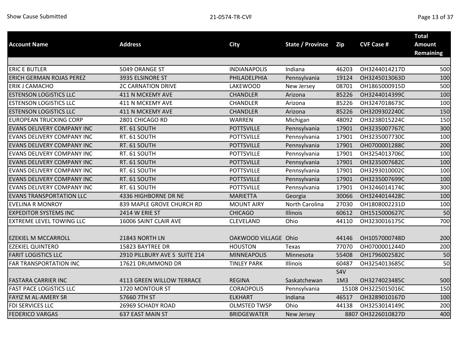|                                   |                               |                      |                         |                 |                     | <b>Total</b>     |
|-----------------------------------|-------------------------------|----------------------|-------------------------|-----------------|---------------------|------------------|
| <b>Account Name</b>               | <b>Address</b>                | City                 | <b>State / Province</b> | Zip             | <b>CVF Case #</b>   | <b>Amount</b>    |
|                                   |                               |                      |                         |                 |                     | <b>Remaining</b> |
|                                   |                               |                      |                         |                 |                     |                  |
| <b>ERIC E BUTLER</b>              | 5049 ORANGE ST                | <b>INDIANAPOLIS</b>  | Indiana                 | 46203           | OH3244014217D       | 500              |
| <b>ERICH GERMAN ROJAS PEREZ</b>   | 3935 ELSINORE ST              | PHILADELPHIA         | Pennsylvania            | 19124           | OH3245013063D       | 100              |
| ERIK J CAMACHO                    | <b>2C CARNATION DRIVE</b>     | <b>LAKEWOOD</b>      | New Jersey              | 08701           | OH1865000915D       | 500              |
| <b>ESTENSON LOGISTICS LLC</b>     | 411 N MCKEMY AVE              | <b>CHANDLER</b>      | Arizona                 | 85226           | OH3244014399C       | 100              |
| <b>ESTENSON LOGISTICS LLC</b>     | 411 N MCKEMY AVE              | CHANDLER             | Arizona                 | 85226           | OH3247018673C       | 100              |
| <b>ESTENSON LOGISTICS LLC</b>     | 411 N MCKEMY AVE              | <b>CHANDLER</b>      | Arizona                 | 85226           | OH3209302240C       | 150              |
| <b>EUROPEAN TRUCKING CORP</b>     | 2801 CHICAGO RD               | WARREN               | Michigan                | 48092           | OH3238015224C       | 150              |
| <b>EVANS DELIVERY COMPANY INC</b> | RT. 61 SOUTH                  | <b>POTTSVILLE</b>    | Pennsylvania            | 17901           | OH3235007767C       | 300              |
| EVANS DELIVERY COMPANY INC        | RT. 61 SOUTH                  | <b>POTTSVILLE</b>    | Pennsylvania            | 17901           | OH3235007730C       | 100              |
| <b>EVANS DELIVERY COMPANY INC</b> | RT. 61 SOUTH                  | <b>POTTSVILLE</b>    | Pennsylvania            | 17901           | OH0700001288C       | 200              |
| EVANS DELIVERY COMPANY INC        | RT. 61 SOUTH                  | <b>POTTSVILLE</b>    | Pennsylvania            | 17901           | OH3254013706C       | 100              |
| EVANS DELIVERY COMPANY INC        | RT. 61 SOUTH                  | <b>POTTSVILLE</b>    | Pennsylvania            | 17901           | OH3235007682C       | 100              |
| EVANS DELIVERY COMPANY INC        | RT. 61 SOUTH                  | <b>POTTSVILLE</b>    | Pennsylvania            | 17901           | OH3293010002C       | 100              |
| EVANS DELIVERY COMPANY INC        | RT. 61 SOUTH                  | <b>POTTSVILLE</b>    | Pennsylvania            | 17901           | OH3235007699C       | 100              |
| EVANS DELIVERY COMPANY INC        | RT. 61 SOUTH                  | <b>POTTSVILLE</b>    | Pennsylvania            | 17901           | OH3246014174C       | 300              |
| <b>EVANS TRANSPORTATION LLC</b>   | 4336 HIGHBORNE DR NE          | <b>MARIETTA</b>      | Georgia                 | 30066           | OH3244014428C       | 100              |
| <b>EVELINA R MONROY</b>           | 839 MAPLE GROVE CHURCH RD     | <b>MOUNT AIRY</b>    | North Carolina          | 27030           | OH1808002231D       | 100              |
| <b>EXPEDITOR SYSTEMS INC</b>      | 2414 W ERIE ST                | <b>CHICAGO</b>       | <b>Illinois</b>         | 60612           | OH1515000627C       | 50               |
| <b>EXTREME LEVEL TOWING LLC</b>   | 16006 SAINT CLAIR AVE         | CLEVELAND            | Ohio                    | 44110           | OH3230016175C       | 700              |
|                                   |                               |                      |                         |                 |                     |                  |
| <b>EZEKIEL M MCCARROLL</b>        | 21843 NORTH LN                | OAKWOOD VILLAGE Ohio |                         | 44146           | OH1057000748D       | 200              |
| <b>EZEKIEL QUINTERO</b>           | 15823 BAYTREE DR              | <b>HOUSTON</b>       | Texas                   | 77070           | OH0700001244D       | 200              |
| <b>FARIT LOGISTICS LLC</b>        | 2910 PILLBURY AVE S SUITE 214 | <b>MINNEAPOLIS</b>   | Minnesota               | 55408           | OH1796002582C       | 50               |
| FAR TRANSPORTATION INC            | 17621 DRUMMOND DR             | <b>TINLEY PARK</b>   | Illinois                | 60487           | OH3254013685C       | 50               |
|                                   |                               |                      |                         | S4V             |                     |                  |
| <b>FASTARA CARRIER INC</b>        | 4113 GREEN WILLOW TERRACE     | <b>REGINA</b>        | Saskatchewan            | 1M <sub>3</sub> | OH3274023485C       | 500              |
| <b>FAST PACE LOGISTICS LLC</b>    | 1720 MONTOUR ST               | <b>CORAOPOLIS</b>    | Pennsylvania            |                 | 15108 OH3225015016C | 150              |
| FAYIZ M AL-AMERY SR               | 57660 7TH ST                  | <b>ELKHART</b>       | Indiana                 | 46517           | OH3289010167D       | 100              |
| FDI SERVICES LLC                  | 26969 SCHADY ROAD             | <b>OLMSTED TWSP</b>  | Ohio                    | 44138           | OH3253014149C       | 200              |
| <b>FEDERICO VARGAS</b>            | 637 EAST MAIN ST              | <b>BRIDGEWATER</b>   | New Jersey              |                 | 8807 OH3226010827D  | 400              |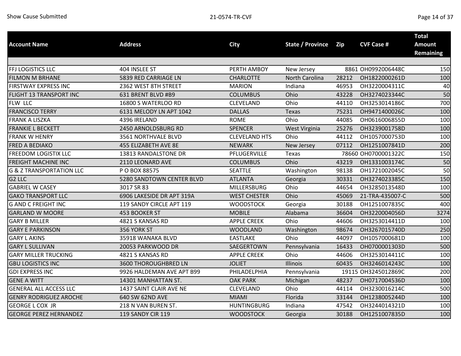| <b>Account Name</b>                 | <b>Address</b>              | <b>City</b>          | <b>State / Province</b> | Zip   | <b>CVF Case #</b>   | <b>Total</b><br><b>Amount</b><br><b>Remaining</b> |
|-------------------------------------|-----------------------------|----------------------|-------------------------|-------|---------------------|---------------------------------------------------|
|                                     |                             |                      |                         |       |                     |                                                   |
| FFJ LOGISTICS LLC                   | 404 INSLEE ST               | PERTH AMBOY          | New Jersey              |       | 8861 OH0992006448C  | 150                                               |
| <b>FILMON M BRHANE</b>              | 5839 RED CARRIAGE LN        | <b>CHARLOTTE</b>     | North Carolina          | 28212 | OH1822000261D       | 100                                               |
| FIRSTWAY EXPRESS INC                | 2362 WEST 8TH STREET        | <b>MARION</b>        | Indiana                 | 46953 | OH3220004311C       | 40                                                |
| FLIGHT 13 TRANSPORT INC             | 631 BRENT BLVD #B9          | <b>COLUMBUS</b>      | Ohio                    | 43228 | OH3274023344C       | 50                                                |
| FLW LLC                             | 16800 S WATERLOO RD         | CLEVELAND            | Ohio                    | 44110 | OH3253014186C       | 700                                               |
| <b>FRANCISCO TERRY</b>              | 6131 MELODY LN APT 1042     | <b>DALLAS</b>        | Texas                   | 75231 | OH9471400026C       | 100                                               |
| <b>FRANK A LISZKA</b>               | 4396 IRELAND                | <b>ROME</b>          | Ohio                    | 44085 | OH0616006855D       | 100                                               |
| <b>FRANKIE L BECKETT</b>            | 2450 ARNOLDSBURG RD         | <b>SPENCER</b>       | West Virginia           | 25276 | OH3239001758D       | 100                                               |
| <b>FRANK W HENRY</b>                | 3561 NORTHVALE BLVD         | <b>CLEVELAND HTS</b> | Ohio                    | 44112 | OH1057000753D       | 100                                               |
| <b>FRED A BEDIAKO</b>               | 455 ELIZABETH AVE 8E        | <b>NEWARK</b>        | New Jersey              | 07112 | OH1251007841D       | 200                                               |
| <b>FREEDOM LOGISTIX LLC</b>         | 13813 RANDALSTONE DR        | PFLUGERVILLE         | Texas                   |       | 78660 OH0700001322C | 150                                               |
| <b>FREIGHT MACHINE INC</b>          | 2110 LEONARD AVE            | <b>COLUMBUS</b>      | Ohio                    | 43219 | OH1331003174C       | 50                                                |
| <b>G &amp; Z TRANSPORTATION LLC</b> | P O BOX 88575               | <b>SEATTLE</b>       | Washington              | 98138 | OH1721002045C       | 50                                                |
| G <sub>2</sub> LLC                  | 5280 SANDTOWN CENTER BLVD   | <b>ATLANTA</b>       | Georgia                 | 30331 | OH3274023385C       | 150                                               |
| <b>GABRIEL W CASEY</b>              | 3017 SR 83                  | <b>MILLERSBURG</b>   | Ohio                    | 44654 | OH3285013548D       | 100                                               |
| <b>GAKO TRANSPORT LLC</b>           | 6906 LAKESIDE DR APT 319A   | <b>WEST CHESTER</b>  | Ohio                    | 45069 | 21-TRA-435007-C     | 500                                               |
| <b>G AND C FREIGHT INC</b>          | 119 SANDY CIRCLE APT 119    | <b>WOODSTOCK</b>     | Georgia                 | 30188 | OH1251007835C       | 400                                               |
| <b>GARLAND W MOORE</b>              | 453 BOOKER ST               | <b>MOBILE</b>        | Alabama                 | 36604 | OH3220004056D       | 3274                                              |
| <b>GARY B MILLER</b>                | 4821 S KANSAS RD            | <b>APPLE CREEK</b>   | Ohio                    | 44606 | OH3253014411D       | 100                                               |
| <b>GARY E PARKINSON</b>             | 356 YORK ST                 | <b>WOODLAND</b>      | Washington              | 98674 | OH3267015740D       | 250                                               |
| <b>GARY L AKINS</b>                 | 35918 WANAKA BLVD           | <b>EASTLAKE</b>      | Ohio                    | 44097 | OH1057000681D       | 100                                               |
| <b>GARY L SULLIVAN</b>              | 20053 PARKWOOD DR           | SAEGERTOWN           | Pennsylvania            | 16433 | OH0700001303D       | 500                                               |
| <b>GARY MILLER TRUCKING</b>         | 4821 S KANSAS RD            | <b>APPLE CREEK</b>   | Ohio                    | 44606 | OH3253014411C       | 100                                               |
| <b>GBU LOGISTICS INC</b>            | <b>3600 THOROUGHBRED LN</b> | <b>JOLIET</b>        | Illinois                | 60435 | OH3246014243C       | 100                                               |
| <b>GDI EXPRESS INC</b>              | 9926 HALDEMAN AVE APT B99   | PHILADELPHIA         | Pennsylvania            |       | 19115 OH3245012869C | 200                                               |
| <b>GENE A WITT</b>                  | 14301 MANHATTAN ST.         | <b>OAK PARK</b>      | Michigan                | 48237 | OH0717004536D       | 100                                               |
| <b>GENERAL ALL ACCESS LLC</b>       | 1437 SAINT CLAIR AVE NE     | CLEVELAND            | Ohio                    | 44114 | OH3230016214C       | 500                                               |
| <b>GENRY RODRIGUEZ AROCHE</b>       | 640 SW 62ND AVE             | <b>MIAMI</b>         | Florida                 | 33144 | OH1238005244D       | 100                                               |
| <b>GEORGE L COX JR</b>              | 218 N VAN BUREN ST.         | <b>HUNTINGBURG</b>   | Indiana                 | 47542 | OH3244014321D       | 100                                               |
| <b>GEORGE PEREZ HERNANDEZ</b>       | 119 SANDY CIR 119           | <b>WOODSTOCK</b>     | Georgia                 | 30188 | OH1251007835D       | 100                                               |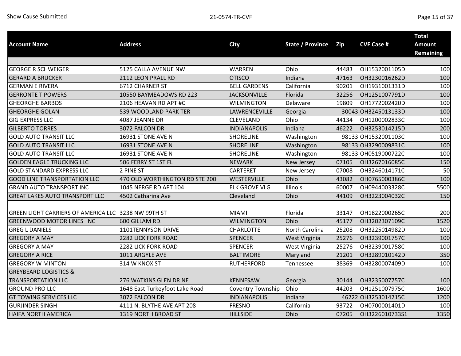|                                                     |                                |                          |                         |            |                     | <b>Total</b>     |
|-----------------------------------------------------|--------------------------------|--------------------------|-------------------------|------------|---------------------|------------------|
| <b>Account Name</b>                                 | <b>Address</b>                 | <b>City</b>              | <b>State / Province</b> | <b>Zip</b> | <b>CVF Case #</b>   | <b>Amount</b>    |
|                                                     |                                |                          |                         |            |                     | <b>Remaining</b> |
| <b>GEORGE R SCHWEIGER</b>                           | 5125 CALLA AVENUE NW           | WARREN                   | Ohio                    | 44483      | OH1532001105D       | 100              |
| <b>GERARD A BRUCKER</b>                             | 2112 LEON PRALL RD             | <b>OTISCO</b>            | Indiana                 | 47163      | OH3230016262D       | 100              |
| <b>GERMAN E RIVERA</b>                              | 6712 CHARNER ST                | <b>BELL GARDENS</b>      | California              | 90201      | OH1931001331D       | 100              |
| <b>GERRONTE T POWERS</b>                            | 10550 BAYMEADOWS RD 223        | <b>JACKSONVILLE</b>      | Florida                 | 32256      | OH1251007791D       | 100              |
| <b>GHEORGHE BARBOS</b>                              | 2106 HEAVAN RD APT #C          | <b>WILMINGTON</b>        | Delaware                | 19809      | OH1772002420D       | 100              |
| <b>GHEORGHE GOLAN</b>                               | 539 WOODLAND PARK TER          | LAWRENCEVILLE            | Georgia                 |            | 30043 OH3245013133D | 100              |
| <b>GIG EXPRESS LLC</b>                              | 4087 JEANNE DR                 | <b>CLEVELAND</b>         | Ohio                    | 44134      | OH1200002833C       | 100              |
| <b>GILBERTO TORRES</b>                              | 3072 FALCON DR                 | <b>INDIANAPOLIS</b>      | Indiana                 | 46222      | OH3253014215D       | 200              |
| <b>GOLD AUTO TRANSIT LLC</b>                        | 16931 STONE AVE N              | <b>SHORELINE</b>         | Washington              |            | 98133 OH1532001103C | 100              |
| <b>GOLD AUTO TRANSIT LLC</b>                        | 16931 STONE AVE N              | <b>SHORELINE</b>         | Washington              |            | 98133 OH3290009831C | 100              |
| <b>GOLD AUTO TRANSIT LLC</b>                        | 16931 STONE AVE N              | <b>SHORELINE</b>         | Washington              |            | 98133 OH0519000722C | 100              |
| <b>GOLDEN EAGLE TRUCKING LLC</b>                    | 506 FERRY ST 1ST FL            | <b>NEWARK</b>            | New Jersey              | 07105      | OH3267016085C       | 150              |
| <b>GOLD STANDARD EXPRESS LLC</b>                    | 2 PINE ST                      | <b>CARTERET</b>          | New Jersey              | 07008      | OH3246014171C       | 50               |
| <b>GOOD LINE TRANSPORTATION LLC</b>                 | 470 OLD WORTHINGTON RD STE 200 | WESTERVILLE              | Ohio                    | 43082      | OH0765000386C       | 100              |
| <b>GRAND AUTO TRANSPORT INC</b>                     | 1045 NERGE RD APT 104          | <b>ELK GROVE VLG</b>     | Illinois                | 60007      | OH0944003328C       | 5500             |
| <b>GREAT LAKES AUTO TRANSPORT LLC</b>               | 4502 Catharina Ave             | Cleveland                | Ohio                    | 44109      | OH3223004032C       | 150              |
|                                                     |                                |                          |                         |            |                     |                  |
| GREEN LIGHT CARRIERS OF AMERICA LLC 3238 NW 99TH ST |                                | <b>MIAMI</b>             | Florida                 | 33147      | OH1822000265C       | 200              |
| <b>GREENWOOD MOTOR LINES INC</b>                    | 600 GILLAM RD.                 | <b>WILMINGTON</b>        | Ohio                    | 45177      | OH3202307109C       | 1520             |
| <b>GREG L DANIELS</b>                               | 1101TENNYSON DRIVE             | <b>CHARLOTTE</b>         | North Carolina          | 25208      | OH3225014982D       | 100              |
| <b>GREGORY A MAY</b>                                | 2282 LICK FORK ROAD            | <b>SPENCER</b>           | West Virginia           | 25276      | OH3239001757C       | 100              |
| <b>GREGORY A MAY</b>                                | 2282 LICK FORK ROAD            | <b>SPENCER</b>           | West Virginia           | 25276      | OH3239001758C       | 100              |
| <b>GREGORY A RICE</b>                               | 1011 ARGYLE AVE                | <b>BALTIMORE</b>         | Maryland                | 21201      | OH3289010142D       | 350              |
| <b>GREGORY W MINTON</b>                             | 314 W KNOX ST                  | <b>RUTHERFORD</b>        | Tennessee               | 38369      | OH3280007409D       | 100              |
| <b>GREYBEARD LOGISTICS &amp;</b>                    |                                |                          |                         |            |                     |                  |
| <b>TRANSPORTATION LLC</b>                           | 276 WATKINS GLEN DR NE         | <b>KENNESAW</b>          | Georgia                 | 30144      | OH3235007757C       | 100              |
| <b>GROUND PRO LLC</b>                               | 1648 East Turkeyfoot Lake Road | <b>Coventry Township</b> | Ohio                    | 44203      | OH1251007975C       | 1600             |
| <b>GT TOWING SERVICES LLC</b>                       | 3072 FALCON DR                 | <b>INDIANAPOLIS</b>      | Indiana                 |            | 46222 OH3253014215C | 1200             |
| <b>GURJINDER SINGH</b>                              | 4111 N. BLYTHE AVE APT 208     | <b>FRESNO</b>            | California              | 93722      | OH0700001401D       | 100              |
| <b>HAIFA NORTH AMERICA</b>                          | 1319 NORTH BROAD ST            | <b>HILLSIDE</b>          | Ohio                    | 07205      | OH3226010733S1      | 1350             |
|                                                     |                                |                          |                         |            |                     |                  |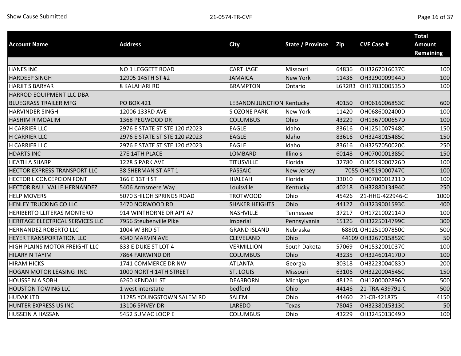|                                  |                               |                                  |                         |       |                      | <b>Total</b>     |
|----------------------------------|-------------------------------|----------------------------------|-------------------------|-------|----------------------|------------------|
| <b>Account Name</b>              | <b>Address</b>                | <b>City</b>                      | <b>State / Province</b> | Zip   | <b>CVF Case #</b>    | <b>Amount</b>    |
|                                  |                               |                                  |                         |       |                      | <b>Remaining</b> |
|                                  |                               |                                  |                         |       |                      |                  |
| <b>HANES INC</b>                 | NO 1 LEGGETT ROAD             | CARTHAGE                         | Missouri                | 64836 | OH3267016037C        | 100              |
| <b>HARDEEP SINGH</b>             | 12905 145TH ST #2             | <b>JAMAICA</b>                   | <b>New York</b>         | 11436 | OH3290009944D        | 100              |
| <b>HARJIT S BARYAR</b>           | 8 KALAHARI RD                 | <b>BRAMPTON</b>                  | Ontario                 |       | L6R2R3 OH1703000535D | 100              |
| HARROD EQUIPMENT LLC DBA         |                               |                                  |                         |       |                      |                  |
| <b>BLUEGRASS TRAILER MFG</b>     | <b>PO BOX 421</b>             | <b>LEBANON JUNCTION Kentucky</b> |                         | 40150 | OH0616006853C        | 600              |
| <b>HARVINDER SINGH</b>           | 12006 133RD AVE               | <b>S OZONE PARK</b>              | New York                | 11420 | OH0686002400D        | 100              |
| <b>HASHIM R MOALIM</b>           | 1368 PEGWOOD DR               | <b>COLUMBUS</b>                  | Ohio                    | 43229 | OH1367000657D        | 100              |
| H CARRIER LLC                    | 2976 E STATE ST STE 120 #2023 | <b>EAGLE</b>                     | Idaho                   | 83616 | OH1251007948C        | 150              |
| <b>H CARRIER LLC</b>             | 2976 E STATE ST STE 120 #2023 | <b>EAGLE</b>                     | Idaho                   | 83616 | OH3248015485C        | 150              |
| H CARRIER LLC                    | 2976 E STATE ST STE 120 #2023 | <b>EAGLE</b>                     | Idaho                   | 83616 | OH3257050020C        | 250              |
| <b>HDARTS INC</b>                | 27E 14TH PLACE                | LOMBARD                          | Illinois                | 60148 | OH0700001385C        | 150              |
| <b>HEATH A SHARP</b>             | 1228 S PARK AVE               | <b>TITUSVILLE</b>                | Florida                 | 32780 | OH0519000726D        | 100              |
| HECTOR EXPRESS TRANSPORT LLC     | 38 SHERMAN ST APT 1           | <b>PASSAIC</b>                   | New Jersey              |       | 7055 OH0519000747C   | 100              |
| <b>HECTOR L CONCEPCION FONT</b>  | 166 E 13TH ST                 | <b>HIALEAH</b>                   | Florida                 | 33010 | OH0700001211D        | 100              |
| HECTOR RAUL VALLE HERNANDEZ      | 5406 Armsmere Way             | Louisville                       | Kentucky                | 40218 | OH3288013494C        | 250              |
| <b>HELP MOVERS</b>               | 5070 SHILOH SPRINGS ROAD      | <b>TROTWOOD</b>                  | Ohio                    | 45426 | 21-HHG-422946-C      | 1000             |
| <b>HENLEY TRUCKING CO LLC</b>    | 3470 NORWOOD RD               | <b>SHAKER HEIGHTS</b>            | Ohio                    | 44122 | OH3239001593C        | 400              |
| HERIBERTO LLITERAS MONTERO       | 914 WINTHORNE DR APT A7       | <b>NASHVILLE</b>                 | Tennessee               | 37217 | OH1721002114D        | 100              |
| HERITAGE ELECTRICAL SERVICES LLC | 7956 Steubenville Pike        | Imperial                         | Pennsylvania            | 15126 | OH3225014799C        | 300              |
| HERNANDEZ ROBERTO LLC            | 1004 W 3RD ST                 | <b>GRAND ISLAND</b>              | Nebraska                |       | 68801 OH1251007850C  | 500              |
| HEYER TRANSPORTATION LLC         | 4340 MARVIN AVE               | <b>CLEVELAND</b>                 | Ohio                    |       | 44109 OH3267015852C  | 50               |
| HIGH PLAINS MOTOR FREIGHT LLC    | 833 E DUKE ST LOT 4           | <b>VERMILLION</b>                | South Dakota            | 57069 | OH1532001037C        | 100              |
| <b>HILARY N TAYIM</b>            | 7864 FAIRWIND DR              | <b>COLUMBUS</b>                  | Ohio                    | 43235 | OH3246014170D        | 100              |
| <b>HIRAM HICKS</b>               | 1741 COMMERCE DR NW           | <b>ATLANTA</b>                   | Georgia                 | 30318 | OH3223004083D        | 200              |
| HOGAN MOTOR LEASING INC          | 1000 NORTH 14TH STREET        | <b>ST. LOUIS</b>                 | Missouri                | 63106 | OH3220004545C        | 150              |
| <b>HOUSSEIN A SOBH</b>           | 6260 KENDALL ST               | <b>DEARBORN</b>                  | Michigan                | 48126 | OH1200002896D        | 500              |
| <b>HOUSTON TOWING LLC</b>        | 1 west interstate             | bedford                          | Ohio                    | 44146 | 21-TRA-439791-C      | 500              |
| <b>HUDAK LTD</b>                 | 11285 YOUNGSTOWN SALEM RD     | SALEM                            | Ohio                    | 44460 | 21-CR-421875         | 4150             |
| HUNTER EXPRESS US INC            | 13106 SPIVEY DR               | LAREDO                           | Texas                   | 78045 | OH3238015313C        | 50               |
| <b>HUSSEIN A HASSAN</b>          | 5452 SUMAC LOOP E             | <b>COLUMBUS</b>                  | Ohio                    | 43229 | OH3245013049D        | 100              |
|                                  |                               |                                  |                         |       |                      |                  |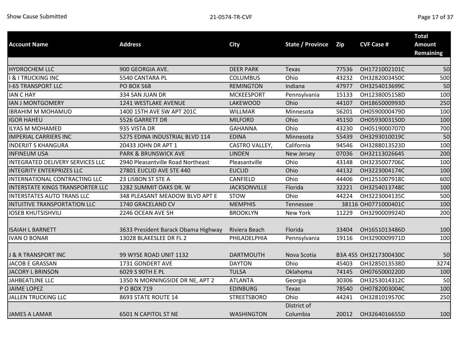| <b>Account Name</b>               | <b>Address</b>                      | <b>City</b>         | State / Province | Zip   | <b>CVF Case #</b>     | <b>Total</b><br><b>Amount</b> |
|-----------------------------------|-------------------------------------|---------------------|------------------|-------|-----------------------|-------------------------------|
|                                   |                                     |                     |                  |       |                       | <b>Remaining</b>              |
|                                   |                                     |                     |                  |       |                       |                               |
| <b>HYDROCHEM LLC</b>              | 900 GEORGIA AVE.                    | <b>DEER PARK</b>    | Texas            | 77536 | OH1721002101C         | 50                            |
| <b>I &amp; I TRUCKING INC</b>     | 5540 CANTARA PL                     | <b>COLUMBUS</b>     | Ohio             | 43232 | OH3282003450C         | 500                           |
| <b>I-65 TRANSPORT LLC</b>         | <b>PO BOX 568</b>                   | <b>REMINGTON</b>    | Indiana          | 47977 | OH3254013699C         | 50                            |
| <b>IAN C HAY</b>                  | 334 SAN JUAN DR                     | <b>MCKEESPORT</b>   | Pennsylvania     | 15133 | OH1238005158D         | 100                           |
| <b>IAN J MONTGOMERY</b>           | 1241 WESTLAKE AVENUE                | <b>LAKEWOOD</b>     | Ohio             | 44107 | OH1865000993D         | 250                           |
| <b>IBRAHIM M MOHAMUD</b>          | 1400 15TH AVE SW APT 201C           | <b>WILLMAR</b>      | Minnesota        | 56201 | OH0590000479D         | 100                           |
| <b>IGOR HAHEU</b>                 | 5526 GARRETT DR                     | <b>MILFORD</b>      | Ohio             | 45150 | OH0593003150D         | 100                           |
| <b>ILYAS M MOHAMED</b>            | 935 VISTA DR                        | <b>GAHANNA</b>      | Ohio             | 43230 | OH0519000707D         | 700                           |
| <b>IMPERIAL CARRIERS INC</b>      | 5275 EDINA INDUSTRIAL BLVD 114      | <b>EDINA</b>        | Minnesota        | 55439 | OH3293010019C         | 50                            |
| <b>INDERJIT S KHANGURA</b>        | 20433 JOHN DR APT 1                 | CASTRO VALLEY,      | California       | 94546 | OH3288013523D         | 100                           |
| <b>INFINEUM USA</b>               | <b>PARK &amp; BRUNSWICK AVE</b>     | <b>LINDEN</b>       | New Jersey       | 07036 | OH3211302664S         | 200                           |
| INTEGRATED DELIVERY SERVICES LLC  | 2940 Pleasantville Road Northeast   | Pleasantville       | Ohio             | 43148 | OH3235007706C         | 100                           |
| <b>INTEGRITY ENTERPRIZES LLC</b>  | 27801 EUCLID AVE STE 440            | <b>EUCLID</b>       | Ohio             | 44132 | OH3223004174C         | 100                           |
| INTERNATIONAL CONTRACTING LLC     | 23 LISBON ST STE A                  | CANFIELD            | Ohio             | 44406 | OH1251007918C         | 600                           |
| INTERSTATE KINGS TRANSPORTER LLC  | 1282 SUMMIT OAKS DR. W              | <b>JACKSONVILLE</b> | Florida          | 32221 | OH3254013748C         | 100                           |
| <b>INTERSTATES AUTO TRANS LLC</b> | 348 PLEASANT MEADOW BLVD APT E      | <b>STOW</b>         | Ohio             | 44224 | OH3223004135C         | 500                           |
| INTUITIVE TRANSPORTATION LLC      | 1740 GRACELAND CV                   | <b>MEMPHIS</b>      | Tennessee        |       | 38116 OH0771000401C   | 100                           |
| <b>IOSEB KHUTSISHVILI</b>         | 2246 OCEAN AVE 5H                   | <b>BROOKLYN</b>     | New York         | 11229 | OH3290009924D         | 200                           |
| <b>ISAIAH L BARNETT</b>           | 3633 President Barack Obama Highway | Riviera Beach       | Florida          | 33404 | OH1651013486D         | 100                           |
| <b>IVAN O BONAR</b>               | 13028 BLAKESLEE DR FL 2             | PHILADELPHIA        | Pennsylvania     | 19116 | OH3290009971D         | 100                           |
|                                   |                                     |                     |                  |       |                       |                               |
| J & R TRANSPORT INC               | 99 WYSE ROAD UNIT 1132              | <b>DARTMOUTH</b>    | Nova Scotia      |       | B3A 4S5 OH3217300430C | 50                            |
| <b>JACOB E GRASSAN</b>            | 1731 GONDERT AVE                    | <b>DAYTON</b>       | Ohio             | 45403 | OH3285013538D         | 3274                          |
| <b>JACORY L BRINSON</b>           | 6029 S 90TH E PL                    | <b>TULSA</b>        | Oklahoma         | 74145 | OH0765000220D         | 100                           |
| <b>JAHBEATLINE LLC</b>            | 1350 N MORNINGSIDE DR NE, APT 2     | <b>ATLANTA</b>      | Georgia          | 30306 | OH3253014312C         | 50                            |
| <b>JAIME LOPEZ</b>                | P O BOX 719                         | <b>EDINBURG</b>     | Texas            | 78540 | OH0782003004C         | 100                           |
| <b>JALLEN TRUCKING LLC</b>        | 8693 STATE ROUTE 14                 | <b>STREETSBORO</b>  | Ohio             | 44241 | OH3281019570C         | 250                           |
|                                   |                                     |                     | District of      |       |                       |                               |
| <b>JAMES A LAMAR</b>              | <b>6501 N CAPITOL ST NE</b>         | <b>WASHINGTON</b>   | Columbia         | 20012 | OH3264016655D         | 100                           |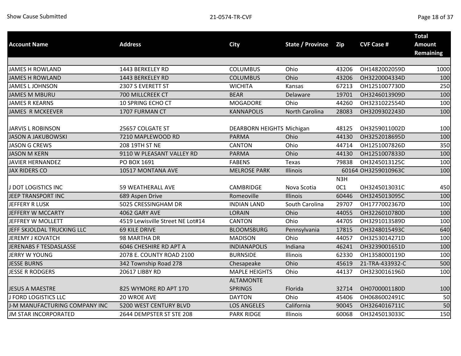|                               |                                  |                           |                         |                  |                     | <b>Total</b>     |
|-------------------------------|----------------------------------|---------------------------|-------------------------|------------------|---------------------|------------------|
| <b>Account Name</b>           | <b>Address</b>                   | <b>City</b>               | <b>State / Province</b> | Zip              | <b>CVF Case #</b>   | <b>Amount</b>    |
|                               |                                  |                           |                         |                  |                     | <b>Remaining</b> |
|                               |                                  |                           |                         |                  |                     |                  |
| <b>JAMES H ROWLAND</b>        | 1443 BERKELEY RD                 | <b>COLUMBUS</b>           | Ohio                    | 43206            | OH1482002059D       | 1000             |
| <b>JAMES H ROWLAND</b>        | 1443 BERKELEY RD                 | <b>COLUMBUS</b>           | Ohio                    | 43206            | OH3220004334D       | 100              |
| <b>JAMES L JOHNSON</b>        | 2307 S EVERETT ST                | <b>WICHITA</b>            | Kansas                  | 67213            | OH1251007730D       | 250              |
| <b>JAMES M MBURU</b>          | 700 MILLCREEK CT                 | <b>BEAR</b>               | Delaware                | 19701            | OH3246013909D       | 100              |
| <b>JAMES R KEARNS</b>         | 10 SPRING ECHO CT                | <b>MOGADORE</b>           | Ohio                    | 44260            | OH3231022554D       | 100              |
| <b>JAMES R MCKEEVER</b>       | 1707 FURMAN CT                   | <b>KANNAPOLIS</b>         | North Carolina          | 28083            | OH3209302243D       | 100              |
| <b>JARVIS L ROBINSON</b>      | 25657 COLGATE ST                 | DEARBORN HEIGHTS Michigan |                         | 48125            | OH3259011002D       | 100              |
| <b>JASON A JAKUBOWSKI</b>     | 7210 MAPLEWOOD RD                | <b>PARMA</b>              | Ohio                    | 44130            | OH3252018695D       | 100              |
| <b>JASON G CREWS</b>          | 208 19TH ST NE                   | <b>CANTON</b>             | Ohio                    | 44714            | OH1251007826D       | 350              |
| <b>JASON M KERN</b>           | 9110 W PLEASANT VALLEY RD        | <b>PARMA</b>              | Ohio                    | 44130            | OH1251007833D       | 100              |
| JAVIER HERNANDEZ              | PO BOX 1691                      | <b>FABENS</b>             | Texas                   | 79838            | OH3245013125C       | 100              |
| <b>JAX RIDERS CO</b>          | 10517 MONTANA AVE                | <b>MELROSE PARK</b>       | Illinois                |                  | 60164 OH3259010963C | 100              |
|                               |                                  |                           |                         | N <sub>3</sub> H |                     |                  |
| J DOT LOGISTICS INC           | <b>59 WEATHERALL AVE</b>         | <b>CAMBRIDGE</b>          | Nova Scotia             | 0C1              | OH3245013031C       | 450              |
| JEEP TRANSPORT INC            | 689 Aspen Drive                  | Romeoville                | Illinois                | 60446            | OH3245013095C       | 100              |
| JEFFERY R LUSK                | 5025 CRESSINGHAM DR              | <b>INDIAN LAND</b>        | South Carolina          | 29707            | OH1777002367D       | 100              |
| JEFFERY W MCCARTY             | 4062 GARY AVE                    | <b>LORAIN</b>             | Ohio                    | 44055            | OH3226010780D       | 100              |
| JEFFREY W MOLLETT             | 4519 Lewisville Street NE Lot#14 | <b>CANTON</b>             | Ohio                    | 44705            | OH3291013589D       | 100              |
| JEFF SKJOLDAL TRUCKING LLC    | 69 KILE DRIVE                    | <b>BLOOMSBURG</b>         | Pennsylvania            | 17815            | OH3248015493C       | 640              |
| <b>JEREMY J KOVATCH</b>       | 98 MARTHA DR                     | <b>MADISON</b>            | Ohio                    | 44057            | OH3253014271D       | 100              |
| JERENABS F TESDASLASSE        | 6046 CHESHIRE RD APT A           | <b>INDIANAPOLIS</b>       | Indiana                 | 46241            | OH3239001651D       | 100              |
| <b>JERRY W YOUNG</b>          | 2078 E. COUNTY ROAD 2100         | <b>BURNSIDE</b>           | Illinois                | 62330            | OH1358000119D       | 100              |
| <b>JESSE BURNS</b>            | 342 Township Road 278            | Chesapeake                | Ohio                    | 45619            | 21-TRA-433932-C     | 500              |
| <b>JESSE R RODGERS</b>        | 20617 LIBBY RD                   | <b>MAPLE HEIGHTS</b>      | Ohio                    | 44137            | OH3230016196D       | 100              |
|                               |                                  | <b>ALTAMONTE</b>          |                         |                  |                     |                  |
| <b>JESUS A MAESTRE</b>        | 825 WYMORE RD APT 17D            | <b>SPRINGS</b>            | Florida                 | 32714            | OH0700001180D       | 100              |
| <b>J FORD LOGISTICS LLC</b>   | 20 WROE AVE                      | <b>DAYTON</b>             | Ohio                    | 45406            | OH0686002491C       | 50               |
| J-M MANUFACTURING COMPANY INC | 5200 WEST CENTURY BLVD           | <b>LOS ANGELES</b>        | California              | 90045            | OH3264016711C       | 50               |
| <b>JM STAR INCORPORATED</b>   | 2644 DEMPSTER ST STE 208         | <b>PARK RIDGE</b>         | Illinois                | 60068            | OH3245013033C       | 150              |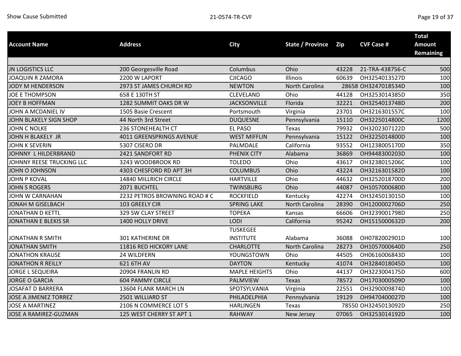| <b>Address</b><br><b>State / Province</b><br><b>City</b><br><b>Account Name</b><br><b>Zip</b>    | <b>CVF Case #</b>   | <b>Amount</b>    |
|--------------------------------------------------------------------------------------------------|---------------------|------------------|
|                                                                                                  |                     | <b>Remaining</b> |
|                                                                                                  |                     |                  |
| <b>JN LOGISTICS LLC</b><br>Columbus<br>Ohio<br>200 Georgesville Road<br>43228                    | 21-TRA-438756-C     | 500              |
| <b>CJICAGO</b><br>Illinois<br>60639<br><b>JOAQUIN R ZAMORA</b><br>2200 W LAPORT                  | OH3254013527D       | 100              |
| JODY M HENDERSON<br>2973 ST JAMES CHURCH RD<br><b>NEWTON</b><br><b>North Carolina</b>            | 28658 OH3247018534D | 100              |
| <b>JOE E THOMPSON</b><br>658 E 130TH ST<br>CLEVELAND<br>Ohio<br>44128                            | OH3253014385D       | 350              |
| 1282 SUMMIT OAKS DR W<br><b>JACKSONVILLE</b><br>Florida<br><b>JOEY B HOFFMAN</b><br>32221        | OH3254013748D       | 200              |
| JOHN A MCDANIEL IV<br>23701<br>1505 Basie Crescent<br>Portsmouth<br>Virginia                     | OH3216301557C       | 100              |
| 15110<br>JOHN BLAKELY SIGN SHOP<br>44 North 3rd Street<br><b>DUQUESNE</b><br>Pennsylvania        | OH3225014800C       | 1200             |
| <b>JOHN C NOLKE</b><br>236 STONEHEALTH CT<br><b>EL PASO</b><br>79932<br>Texas                    | OH3202307122D       | 500              |
| <b>WEST MIFFLIN</b><br>JOHN H BLAKELY JR<br>4011 GREENSPRINGS AVENUE<br>Pennsylvania<br>15122    | OH3225014800D       | 100              |
| <b>JOHN K SEVERIN</b><br>5307 CISERO DR<br>PALMDALE<br>California<br>93552                       | OH1238005170D       | 350              |
| JOHNNY L HILDERBRAND<br>2421 SANDFORT RD<br><b>PHENIX CITY</b><br>36869<br>Alabama               | OH9448300203D       | 100              |
| JOHNNY REESE TRUCKING LLC<br>Ohio<br>3243 WOODBROOK RD<br><b>TOLEDO</b><br>43617                 | OH3238015206C       | 100              |
| Ohio<br>JOHN O JOHNSON<br>4303 CHESFORD RD APT 3H<br><b>COLUMBUS</b><br>43224                    | OH3216301582D       | 100              |
| <b>HARTVILLE</b><br>JOHN P KOVAL<br>14840 MILLRICH CIRCLE<br>Ohio<br>44632                       | OH3252018700D       | 200              |
| 2071 BUCHTEL<br><b>JOHN S ROGERS</b><br><b>TWINSBURG</b><br>Ohio<br>44087                        | OH1057000680D       | 100              |
| JOHN W CARNAHAN<br>2232 PETROS BROWNING ROAD # C<br><b>ROCKFIELD</b><br>42274<br>Kentucky        | OH3245013015D       | 100              |
| JONAH M GISELBACH<br>103 GREELY CIR<br><b>SPRING LAKE</b><br>North Carolina<br>28390             | OH1200002706D       | 250              |
| <b>JONATHAN D KETTL</b><br>329 SW CLAY STREET<br><b>TOPEKA</b><br>66606<br>Kansas                | OH3239001798D       | 250              |
| LODI<br>California<br><b>JONATHAN E BLEKIS SR</b><br>1400 HOLLY DRIVE<br>95242                   | OH1515000632D       | 200              |
| <b>TUSKEGEE</b>                                                                                  |                     |                  |
| <b>301 KATHERINE DR</b><br><b>INSTITUTE</b><br>Alabama<br>36088<br><b>JONATHAN R SMITH</b>       | OH0782002901D       | 100              |
| 11816 RED HICKORY LANE<br><b>CHARLOTTE</b><br>28273<br><b>JONATHAN SMITH</b><br>North Carolina   | OH1057000640D       | 250              |
| <b>JONATHON KRAUSE</b><br>YOUNGSTOWN<br>Ohio<br>44505<br>24 WILDFERN                             | OH0616006843D       | 100              |
| <b>JONATHON R REILLY</b><br>621 6TH AV<br><b>DAYTON</b><br>Kentucky<br>41074                     | OH3284018045D       | 100              |
| 20904 FRANLIN RD<br><b>MAPLE HEIGHTS</b><br><b>JORGE L SEQUEIRA</b><br>Ohio<br>44137             | OH3223004175D       | 600              |
| <b>JORGE O GARCIA</b><br><b>604 PAMMY CIRCLE</b><br>PALMVIEW<br>78572<br>Texas                   | OH1703000509D       | 100              |
| SPOTSYLVANIA<br>22551<br><b>JOSAFAT D BARRERA</b><br>13604 FLANK MARCH LN<br>Virginia            | OH3290009874D       | 100              |
| 2501 WILLIARD ST<br><b>JOSE A JIMENEZ TORREZ</b><br>PHILADELPHIA<br>19129<br>Pennsylvania        | OH9470400027D       | 100              |
| <b>JOSE A MARTINEZ</b><br>2106 N COMMERCE LOT 5<br><b>HARLINGEN</b><br>Texas                     | 78550 OH3245013092D | 250              |
| <b>JOSE A RAMIREZ-GUZMAN</b><br>125 WEST CHERRY ST APT 1<br><b>RAHWAY</b><br>07065<br>New Jersey | OH3253014192D       | 100              |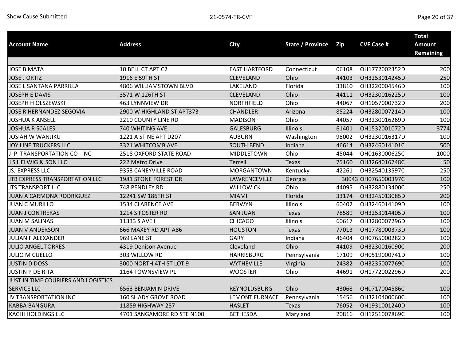|                                     |                               |                       |                         |       |                     | <b>Total</b>     |
|-------------------------------------|-------------------------------|-----------------------|-------------------------|-------|---------------------|------------------|
| <b>Account Name</b>                 | <b>Address</b>                | <b>City</b>           | <b>State / Province</b> | Zip   | <b>CVF Case #</b>   | <b>Amount</b>    |
|                                     |                               |                       |                         |       |                     | <b>Remaining</b> |
|                                     |                               |                       |                         |       |                     |                  |
| <b>JOSE B MATA</b>                  | 10 BELL CT APT C2             | <b>EAST HARTFORD</b>  | Connecticut             | 06108 | OH1772002352D       | 200              |
| <b>JOSE J ORTIZ</b>                 | 1916 E 59TH ST                | <b>CLEVELAND</b>      | Ohio                    | 44103 | OH3253014245D       | 250              |
| JOSE L SANTANA PARRILLA             | 4806 WILLIAMSTOWN BLVD        | LAKELAND              | Florida                 | 33810 | OH3220004546D       | 100              |
| <b>JOSEPH E DAVIS</b>               | 3571 W 126TH ST               | <b>CLEVELAND</b>      | Ohio                    | 44111 | OH3230016225D       | 100              |
| JOSEPH H OLSZEWSKI                  | 463 LYNNVIEW DR               | NORTHFIELD            | Ohio                    | 44067 | OH1057000732D       | 200              |
| JOSE R HERNANDEZ SEGOVIA            | 2900 W HIGHLAND ST APT373     | <b>CHANDLER</b>       | Arizona                 | 85224 | OH3280007214D       | 100              |
| <b>JOSHUA K ANSELL</b>              | 2210 COUNTY LINE RD           | <b>MADISON</b>        | Ohio                    | 44057 | OH3230016269D       | 100              |
| <b>JOSHUA R SCALES</b>              | 740 WHITING AVE               | <b>GALESBURG</b>      | Illinois                | 61401 | OH1532001072D       | 3774             |
| JOSIAH W WANJIKU                    | 1221 A ST NE APT D207         | <b>AUBURN</b>         | Washington              | 98002 | OH3230016317D       | 100              |
| JOY LINE TRUCKERS LLC               | 3321 WHITCOMB AVE             | <b>SOUTH BEND</b>     | Indiana                 | 46614 | OH3246014101C       | 500              |
| J P TRANSPORTATION CO INC           | <b>2518 OXFORD STATE ROAD</b> | MIDDLETOWN            | Ohio                    | 45044 | OH0163000625C       | 1000             |
| J S HELWIG & SON LLC                | 222 Metro Drive               | Terrell               | Texas                   | 75160 | OH3264016748C       | 50               |
| <b>JSJ EXPRESS LLC</b>              | 9353 CANEYVILLE ROAD          | MORGANTOWN            | Kentucky                | 42261 | OH3254013597C       | 250              |
| JTB EXPRESS TRANSPORTATION LLC      | 1981 STONE FOREST DR          | LAWRENCEVILLE         | Georgia                 |       | 30043 OH0765000397C | 100              |
| <b>JTS TRANSPORT LLC</b>            | 748 PENDLEY RD                | <b>WILLOWICK</b>      | Ohio                    | 44095 | OH3288013400C       | 250              |
| JUAN A CARMONA RODRIGUEZ            | 12241 SW 186TH ST             | <b>MIAMI</b>          | Florida                 | 33174 | OH3245013085D       | 200              |
| <b>JUAN C MURILLO</b>               | 1534 CLARENCE AVE             | <b>BERWYN</b>         | Illinois                | 60402 | OH3246014109D       | 100              |
| <b>JUAN J CONTRERAS</b>             | 1214 S FOSTER RD              | <b>SAN JUAN</b>       | Texas                   | 78589 | OH3253014405D       | 100              |
| <b>JUAN M SALINAS</b>               | 11333 S AVE H                 | <b>CHICAGO</b>        | Illinois                | 60617 | OH3280007296D       | 100              |
| <b>JUAN V ANDERSON</b>              | 666 MAXEY RD APT A86          | <b>HOUSTON</b>        | Texas                   | 77013 | OH1778000373D       | 100              |
| JULIAN F ALEXANDER                  | 969 LANE ST                   | <b>GARY</b>           | Indiana                 | 46404 | OH0765000282D       | 100              |
| <b>JULIO ANGEL TORRES</b>           | 4319 Denison Avenue           | Cleveland             | Ohio                    | 44109 | OH3230016090C       | 200              |
| <b>JULIO M CUELLO</b>               | 303 WILLOW RD                 | <b>HARRISBURG</b>     | Pennsylvania            | 17109 | OH0519000741D       | 100              |
| <b>JUSTIN D DOSS</b>                | 3000 NORTH 4TH ST LOT 9       | <b>WYTHEVILLE</b>     | Virginia                | 24382 | OH3235007769C       | 100              |
| <b>JUSTIN P DE RITA</b>             | 1164 TOWNSVIEW PL             | <b>WOOSTER</b>        | Ohio                    | 44691 | OH1772002296D       | 200              |
| JUST IN TIME COURIERS AND LOGISTICS |                               |                       |                         |       |                     |                  |
| SERVICE LLC                         | <b>6563 BENJAMIN DRIVE</b>    | REYNOLDSBURG          | Ohio                    | 43068 | OH0717004586C       | 100              |
| JV TRANSPORTATION INC               | <b>160 SHADY GROVE ROAD</b>   | <b>LEMONT FURNACE</b> | Pennsylvania            | 15456 | OH3210400060C       | 100              |
| <b>KABBA BANGURA</b>                | 11859 HIGHWAY 287             | <b>HASLET</b>         | <b>Texas</b>            | 76052 | OH1931001240D       | 100              |
| KACHI HOLDINGS LLC                  | 4701 SANGAMORE RD STE N100    | <b>BETHESDA</b>       | Maryland                | 20816 | OH1251007869C       | 100              |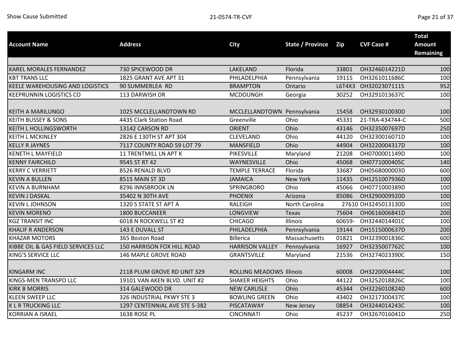| <b>Account Name</b>                    | <b>Address</b>                | <b>City</b>                     | State / Province | Zip    | <b>CVF Case #</b>   | <b>Total</b><br><b>Amount</b><br><b>Remaining</b> |
|----------------------------------------|-------------------------------|---------------------------------|------------------|--------|---------------------|---------------------------------------------------|
|                                        |                               |                                 |                  |        |                     |                                                   |
| KAREL MORALES FERNANDEZ                | 730 SPICEWOOD DR              | LAKELAND                        | Florida          | 33801  | OH3246014221D       | 100                                               |
| <b>KBT TRANS LLC</b>                   | 1825 GRANT AVE APT 31         | PHILADELPHIA                    | Pennsylvania     | 19115  | OH3261011686C       | 100                                               |
| <b>KEELE WAREHOUSING AND LOGISTICS</b> | 90 SUMMERLEA RD               | <b>BRAMPTON</b>                 | Ontario          | L6T4X3 | OH3202307111S       | 952                                               |
| <b>KEEPRUNNIN LOGISTICS CO</b>         | 113 DARWISH DR                | <b>MCDOUNGH</b>                 | Georgia          | 30252  | OH3291013637C       | 100                                               |
| <b>KEITH A MARILUNGO</b>               | 1025 MCCLELLANDTOWN RD        | MCCLELLANDTOWN Pennsylvania     |                  | 15458  | OH3293010030D       | 100                                               |
| <b>KEITH BUSSEY &amp; SONS</b>         | 4435 Clark Station Road       | Greenville                      | Ohio             | 45331  | 21-TRA-434744-C     | 500                                               |
| <b>KEITH L HOLLINGSWORTH</b>           | 13142 CARSON RD               | <b>ORIENT</b>                   | Ohio             | 43146  | OH3235007697D       | 250                                               |
| <b>KEITH L MCKINLEY</b>                | 2826 E 130TH ST APT 304       | <b>CLEVELAND</b>                | Ohio             | 44120  | OH3230016071D       | 100                                               |
| <b>KELLY R JAYNES</b>                  | 7117 COUNTY ROAD 59 LOT 79    | <b>MANSFIELD</b>                | Ohio             | 44904  | OH3220004317D       | 100                                               |
| <b>KENETH L MAYFIELD</b>               | <b>11 TRENTMILL LN APT K</b>  | PIKESVILLE                      | Maryland         | 21208  | OH0700001149D       | 100                                               |
| <b>KENNY FAIRCHILD</b>                 | 9545 ST RT 42                 | WAYNESVILLE                     | Ohio             | 45068  | OH0771000405C       | 140                                               |
| <b>KERRY C VERRIETT</b>                | 8526 RENALD BLVD              | <b>TEMPLE TERRACE</b>           | Florida          | 33687  | OH0568000003D       | 600                                               |
| <b>KEVIN A BULLEN</b>                  | 8515 MAIN ST 3D               | <b>JAMAICA</b>                  | <b>New York</b>  | 11435  | OH1251007936D       | 100                                               |
| <b>KEVIN A BURNHAM</b>                 | 8296 INNSBROOK LN             | <b>SPRINGBORO</b>               | Ohio             | 45066  | OH0771000389D       | 100                                               |
| <b>KEVIN J DASKAL</b>                  | 35402 N 30TH AVE              | <b>PHOENIX</b>                  | Arizona          | 85086  | OH3290009920D       | 100                                               |
| <b>KEVIN L JOHNSON</b>                 | 1320 S STATE ST APT A         | <b>RALEIGH</b>                  | North Carolina   |        | 27610 OH3245013130D | 100                                               |
| <b>KEVIN MORENO</b>                    | 1800 BUCCANEER                | LONGVIEW                        | <b>Texas</b>     | 75604  | OH0616006841D       | 200                                               |
| <b>KGZ TRANSIT INC</b>                 | 6018 N ROCKWELL ST #2         | <b>CHICAGO</b>                  | Illinois         | 60659- | OH3244014401C       | 100                                               |
| <b>KHALIF R ANDERSON</b>               | 143 E DUVALL ST               | PHILADELPHIA                    | Pennsylvania     | 19144  | OH1515000637D       | 200                                               |
| <b>KHAZAR MOTORS</b>                   | 365 Boston Road               | <b>Billerica</b>                | Massachusetts    | 01821  | OH3239001836C       | 600                                               |
| KIBBE OIL & GAS FIELD SERVICES LLC     | 150 HARRISON FOX HILL ROAD    | <b>HARRISON VALLEY</b>          | Pennsylvania     | 16927  | OH3235007762C       | 100                                               |
| KING'S SERVICE LLC                     | 146 MAPLE GROVE ROAD          | <b>GRANTSVILLE</b>              | Maryland         | 21536  | OH3274023390C       | 150                                               |
| <b>KINGARM INC</b>                     | 2118 PLUM GROVE RD UNIT 329   | <b>ROLLING MEADOWS Illinois</b> |                  | 60008  | OH3220004444C       | 100                                               |
| KINGS-MEN TRANSPO LLC                  | 19101 VAN AKEN BLVD. UNIT #2  | <b>SHAKER HEIGHTS</b>           | Ohio             | 44122  | OH3252018826C       | 100                                               |
| <b>KIRK B MORRIS</b>                   | 314 GALEWOOD DR               | <b>NEW CARLISLE</b>             | Ohio             | 45344  | OH3226010824D       | 600                                               |
| <b>KLEEN SWEEP LLC</b>                 | 326 INDUSTRIAL PKWY STE 3     | <b>BOWLING GREEN</b>            | Ohio             | 43402  | OH3217300437C       | 100                                               |
| <b>KLRTRUCKING LLC</b>                 | 1297 CENTENNIAL AVE STE 5-382 | PISCATAWAY                      | New Jersey       | 08854  | OH3244014243C       | 100                                               |
| <b>KORRIAN A ISRAEL</b>                | <b>1638 ROSE PL</b>           | <b>CINCINNATI</b>               | Ohio             | 45237  | OH3267016041D       | 250                                               |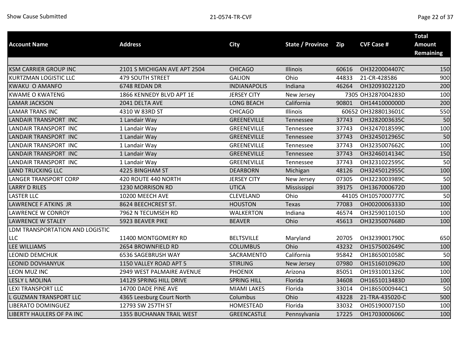| <b>Account Name</b>             | <b>Address</b>               | <b>City</b>         | <b>State / Province</b> | Zip   | <b>CVF Case #</b>   | <b>Total</b><br><b>Amount</b> |
|---------------------------------|------------------------------|---------------------|-------------------------|-------|---------------------|-------------------------------|
|                                 |                              |                     |                         |       |                     | <b>Remaining</b>              |
|                                 |                              |                     |                         |       |                     |                               |
| <b>KSM CARRIER GROUP INC</b>    | 2101 S MICHIGAN AVE APT 2504 | <b>CHICAGO</b>      | Illinois                | 60616 | OH3220004407C       | 150                           |
| <b>KURTZMAN LOGISTIC LLC</b>    | <b>479 SOUTH STREET</b>      | <b>GALION</b>       | Ohio                    | 44833 | 21-CR-428586        | 900                           |
| <b>KWAKU O AMANFO</b>           | 6748 REDAN DR                | <b>INDIANAPOLIS</b> | Indiana                 | 46264 | OH3209302212D       | 200                           |
| <b>KWAME O KWATENG</b>          | 1866 KENNEDY BLVD APT 1E     | <b>JERSEY CITY</b>  | New Jersey              |       | 7305 OH3287004283D  | 100                           |
| <b>LAMAR JACKSON</b>            | 2041 DELTA AVE               | <b>LONG BEACH</b>   | California              | 90801 | OH1441000000D       | 200                           |
| <b>LAMAR TRANS INC</b>          | 4310 W 83RD ST               | <b>CHICAGO</b>      | Illinois                |       | 60652 OH3288013601C | 550                           |
| LANDAIR TRANSPORT INC           | 1 Landair Way                | <b>GREENEVILLE</b>  | Tennessee               | 37743 | OH3282003635C       | 50                            |
| LANDAIR TRANSPORT INC           | 1 Landair Way                | <b>GREENEVILLE</b>  | Tennessee               | 37743 | OH3247018599C       | 100                           |
| LANDAIR TRANSPORT INC           | 1 Landair Way                | <b>GREENEVILLE</b>  | Tennessee               | 37743 | OH3245012965C       | 50                            |
| LANDAIR TRANSPORT INC           | 1 Landair Way                | GREENEVILLE         | Tennessee               | 37743 | OH3235007662C       | 100                           |
| LANDAIR TRANSPORT INC           | 1 Landair Way                | GREENEVILLE         | Tennessee               | 37743 | OH3246014134C       | 150                           |
| LANDAIR TRANSPORT INC           | 1 Landair Way                | GREENEVILLE         | Tennessee               | 37743 | OH3231022595C       | 50                            |
| <b>LAND TRUCKING LLC</b>        | 4225 BINGHAM ST              | <b>DEARBORN</b>     | Michigan                | 48126 | OH3245012955C       | 100                           |
| <b>LANGER TRANSPORT CORP</b>    | 420 ROUTE 440 NORTH          | <b>JERSEY CITY</b>  | New Jersey              | 07305 | OH3223003989C       | 50                            |
| <b>LARRY D RILES</b>            | 1230 MORRISON RD             | <b>UTICA</b>        | Mississippi             | 39175 | OH1367000672D       | 100                           |
| <b>LASTER LLC</b>               | 10200 MEECH AVE              | <b>CLEVELAND</b>    | Ohio                    |       | 44105 OH1057000777C | 50                            |
| LAWRENCE F ATKINS JR            | 8624 BEECHCREST ST.          | <b>HOUSTON</b>      | Texas                   | 77083 | OH0020006333D       | 100                           |
| <b>LAWRENCE W CONROY</b>        | 7962 N TECUMSEH RD           | <b>WALKERTON</b>    | Indiana                 | 46574 | OH3259011015D       | 100                           |
| <b>LAWRENCE W STALEY</b>        | 5923 BEAVER PIKE             | <b>BEAVER</b>       | Ohio                    | 45613 | OH3235007668D       | 100                           |
| LDM TRANSPORTATION AND LOGISTIC |                              |                     |                         |       |                     |                               |
| LLC                             | 11400 MONTGOMERY RD          | <b>BELTSVILLE</b>   | Maryland                | 20705 | OH3239001790C       | 650                           |
| LEE WILLIAMS                    | 2654 BROWNFIELD RD           | <b>COLUMBUS</b>     | Ohio                    | 43232 | OH1575002649C       | 100                           |
| <b>LEONID DEMCHUK</b>           | 6536 SAGEBRUSH WAY           | SACRAMENTO          | California              | 95842 | OH1865001058C       | 50                            |
| <b>LEONID DOVHANYUK</b>         | 1150 VALLEY ROAD APT 5       | <b>STIRLING</b>     | New Jersey              | 07980 | OH1516010962D       | 100                           |
| LEON MUZ INC                    | 2949 WEST PALMAIRE AVENUE    | <b>PHOENIX</b>      | Arizona                 | 85051 | OH1931001326C       | 100                           |
| <b>LESLY L MOLINA</b>           | 14129 SPRING HILL DRIVE      | <b>SPRING HILL</b>  | Florida                 | 34608 | OH1651013483D       | 100                           |
| <b>LEXI TRANSPORT LLC</b>       | 14700 DADE PINE AVE          | <b>MIAMI LAKES</b>  | Florida                 | 33014 | OH1865000944C1      | 50                            |
| <b>GUZMAN TRANSPORT LLC</b>     | 4365 Leesburg Court North    | Columbus            | Ohio                    | 43228 | 21-TRA-435020-C     | 500                           |
| LIBERATO DOMINGUEZ              | 12793 SW 257TH ST            | HOMESTEAD           | Florida                 | 33032 | OH0519000715D       | 100                           |
| LIBERTY HAULERS OF PA INC       | 1355 BUCHANAN TRAIL WEST     | <b>GREENCASTLE</b>  | Pennsylvania            | 17225 | OH1703000606C       | 100                           |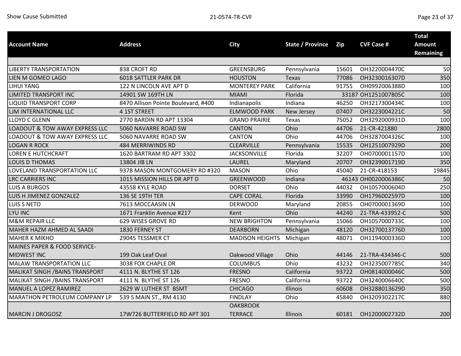|                                        |                                     |                        |                         |       |                     | <b>Total</b>     |
|----------------------------------------|-------------------------------------|------------------------|-------------------------|-------|---------------------|------------------|
| <b>Account Name</b>                    | <b>Address</b>                      | <b>City</b>            | <b>State / Province</b> | Zip   | <b>CVF Case #</b>   | <b>Amount</b>    |
|                                        |                                     |                        |                         |       |                     | <b>Remaining</b> |
|                                        |                                     |                        |                         |       |                     |                  |
| <b>LIBERTY TRANSPORTATION</b>          | 838 CROFT RD                        | <b>GREENSBURG</b>      | Pennsylvania            | 15601 | OH3220004470C       | 50               |
| LIEN M GOMEO LAGO                      | <b>6018 SATTLER PARK DR</b>         | <b>HOUSTON</b>         | Texas                   | 77086 | OH3230016307D       | 350              |
| LIHUI YANG                             | 122 N LINCOLN AVE APT D             | <b>MONTEREY PARK</b>   | California              | 91755 | OH0992006388D       | 100              |
| LIMITED TRANSPORT INC                  | 14901 SW 169TH LN                   | <b>MIAMI</b>           | Florida                 |       | 33187 OH1251007805C | 100              |
| <b>LIQUID TRANSPORT CORP</b>           | 8470 Allison Pointe Boulevard, #400 | Indianapolis           | Indiana                 | 46250 | OH3217300434C       | 100              |
| LIM INTERNATIONAL LLC                  | 4 1ST STREET                        | <b>ELMWOOD PARK</b>    | New Jersey              | 07407 | OH3223004221C       | 50               |
| <b>LLOYD C GLENN</b>                   | 2770 BARDIN RD APT 13304            | <b>GRAND PRAIRIE</b>   | Texas                   | 75052 | OH3292000931D       | 100              |
| LOADOUT & TOW AWAY EXPRESS LLC         | 5060 NAVARRE ROAD SW                | <b>CANTON</b>          | Ohio                    | 44706 | 21-CR-421880        | 2800             |
| LOADOUT & TOW AWAY EXPRESS LLC         | 5060 NAVARRE ROAD SW                | <b>CANTON</b>          | Ohio                    | 44706 | OH3287004326C       | 100              |
| <b>LOGAN R ROCK</b>                    | 484 MERRIWINDS RD                   | <b>CLEARVILLE</b>      | Pennsylvania            | 15535 | OH1251007929D       | 200              |
| <b>LOREN E HUTCHCRAFT</b>              | 1620 BARTRAM RD APT 3302            | <b>JACKSONVILLE</b>    | Florida                 | 32207 | OH0700001157D       | 100              |
| <b>LOUIS D THOMAS</b>                  | 13804 JIB LN                        | LAUREL                 | Maryland                | 20707 | OH3239001719D       | 350              |
| LOVELAND TRANSPORTATION LLC            | 9378 MASON MONTGOMERY RD #320       | <b>MASON</b>           | Ohio                    | 45040 | 21-CR-418153        | 19845            |
| <b>LRC CARRIERS INC</b>                | 1015 MISSION HILLS DR APT D         | <b>GREENWOOD</b>       | Indiana                 |       | 46143 OH0020006386C | 50               |
| <b>LUIS A BURGOS</b>                   | 43558 KYLE ROAD                     | <b>DORSET</b>          | Ohio                    | 44032 | OH1057000604D       | 250              |
| LUIS H JIMENEZ GONZALEZ                | 136 SE 19TH TER                     | <b>CAPE CORAL</b>      | Florida                 | 33990 | OH1796002597D       | 100              |
| <b>LUIS S NETO</b>                     | 7613 MOCCAASIN LN                   | <b>DERWOOD</b>         | Maryland                | 20855 | OH0700001369D       | 100              |
| LYU INC                                | 1671 Franklin Avenue #217           | Kent                   | Ohio                    | 44240 | 21-TRA-433952-C     | 500              |
| <b>M&amp;M REPAIR LLC</b>              | 629 WISES GROVE RD                  | <b>NEW BRIGHTON</b>    | Pennsylvania            | 15066 | OH1057000733C       | 100              |
| MAHER HAZM AHMED AL SAADI              | 1830 FERNEY ST                      | <b>DEARBORN</b>        | Michigan                | 48120 | OH3270013776D       | 100              |
| <b>MAHER K MIKHO</b>                   | 29045 TESSMER CT                    | <b>MADISON HEIGHTS</b> | Michigan                | 48071 | OH1194000336D       | 100              |
| MAINES PAPER & FOOD SERVICE-           |                                     |                        |                         |       |                     |                  |
| <b>MIDWEST INC</b>                     | 199 Oak Leaf Oval                   | Oakwood Village        | Ohio                    | 44146 | 21-TRA-434346-C     | 500              |
| MALAW TRANSPORTATION LLC               | 3038 FOX CHAPLE DR                  | <b>COLUMBUS</b>        | Ohio                    | 43232 | OH3235007785C       | 340              |
| MALIKAT SINGH / BAINS TRANSPORT        | 4111 N. BLYTHE ST 126               | <b>FRESNO</b>          | California              | 93722 | OH0814000046C       | 500              |
| <b>MALIKAT SINGH / BAINS TRANSPORT</b> | 4111 N. BLYTHE ST 126               | <b>FRESNO</b>          | California              | 93722 | OH3240006640C       | 500              |
| MANUEL A LOPEZ RAMIREZ                 | 2629 W LUTHER ST BSMT               | <b>CHICAGO</b>         | <b>Illinois</b>         | 60608 | OH3288013629D       | 350              |
| MARATHON PETROLEUM COMPANY LP          | 539 S MAIN ST., RM 4130             | <b>FINDLAY</b>         | Ohio                    | 45840 | OH3209302217C       | 880              |
|                                        |                                     | <b>OAKBROOK</b>        |                         |       |                     |                  |
| <b>MARCIN J DROGOSZ</b>                | 17W726 BUTTERFIELD RD APT 301       | <b>TERRACE</b>         | Illinois                | 60181 | OH1200002732D       | 200              |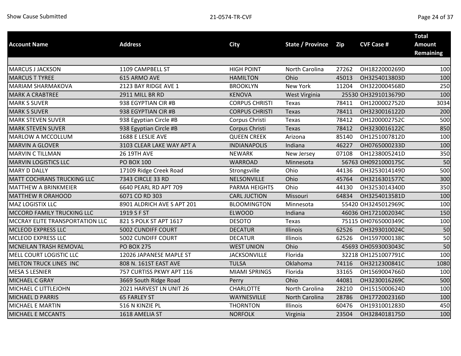|                                 |                            |                       |                         |       |                     | <b>Total</b>     |
|---------------------------------|----------------------------|-----------------------|-------------------------|-------|---------------------|------------------|
| <b>Account Name</b>             | <b>Address</b>             | <b>City</b>           | <b>State / Province</b> | Zip   | <b>CVF Case #</b>   | <b>Amount</b>    |
|                                 |                            |                       |                         |       |                     | <b>Remaining</b> |
|                                 |                            |                       |                         |       |                     |                  |
| <b>MARCUS J JACKSON</b>         | 1109 CAMPBELL ST           | <b>HIGH POINT</b>     | North Carolina          | 27262 | OH1822000269D       | 100              |
| <b>MARCUS T TYREE</b>           | 615 ARMO AVE               | <b>HAMILTON</b>       | Ohio                    | 45013 | OH3254013803D       | 100              |
| <b>MARIAM SHARMAKOVA</b>        | 2123 BAY RIDGE AVE 1       | <b>BROOKLYN</b>       | New York                | 11204 | OH3220004568D       | 250              |
| <b>MARK A CRABTREE</b>          | 2911 MILL BR RD            | <b>KENOVA</b>         | West Virginia           |       | 25530 OH3291013679D | 100              |
| <b>MARK S SUVER</b>             | 938 EGYPTIAN CIR #B        | <b>CORPUS CHRISTI</b> | Texas                   | 78411 | OH1200002752D       | 3034             |
| <b>MARK S SUVER</b>             | 938 EGYPTIAN CIR #B        | <b>CORPUS CHRISTI</b> | Texas                   | 78411 | OH3230016122D       | 200              |
| <b>MARK STEVEN SUVER</b>        | 938 Egyptian Circle #B     | Corpus Christi        | Texas                   | 78412 | OH1200002752C       | 500              |
| <b>MARK STEVEN SUVER</b>        | 938 Egyptian Circle #B     | Corpus Christi        | <b>Texas</b>            | 78412 | OH3230016122C       | 850              |
| MARLOW A MCCOLLUM               | 1688 E LESLIE AVE          | <b>QUEEN CREEK</b>    | Arizona                 | 85140 | OH1251007812D       | 100              |
| <b>MARVIN A GLOVER</b>          | 3103 CLEAR LAKE WAY APT A  | <b>INDIANAPOLIS</b>   | Indiana                 | 46227 | OH0765000233D       | 100              |
| <b>MARVIN C TILLMAN</b>         | <b>26 19TH AVE</b>         | <b>NEWARK</b>         | New Jersey              | 07108 | OH1238005241D       | 350              |
| <b>MARVIN LOGISTICS LLC</b>     | <b>PO BOX 100</b>          | WARROAD               | Minnesota               |       | 56763 OH0921000175C | 50               |
| <b>MARY D DALLY</b>             | 17109 Ridge Creek Road     | Strongsville          | Ohio                    | 44136 | OH3253014149D       | 500              |
| MATT COCHRANS TRUCKING LLC      | 7343 CIRCLE 33 RD          | NELSONVILLE           | Ohio                    | 45764 | OH3216301577C       | 300              |
| MATTHEW A BRINKMEIER            | 6640 PEARL RD APT 709      | PARMA HEIGHTS         | Ohio                    | 44130 | OH3253014340D       | 350              |
| <b>MATTHEW R ORAHOOD</b>        | 6071 CO RD 303             | <b>CARL JUCTION</b>   | Missouri                | 64834 | OH3254013581D       | 100              |
| MAZ LOGISTIX LLC                | 8901 ALDRICH AVE S APT 201 | <b>BLOOMINGTON</b>    | Minnesota               |       | 55420 OH3245012969C | 100              |
| MCCORD FAMILY TRUCKING LLC      | 1919 S F ST                | <b>ELWOOD</b>         | Indiana                 |       | 46036 OH1721002034C | 150              |
| MCCRAY ELITE TRANSPORTATION LLC | 821 S POLK ST APT 1617     | <b>DESOTO</b>         | Texas                   |       | 75115 OH0765000349C | 100              |
| MCLEOD EXPRESS LLC              | 5002 CUNDIFF COURT         | <b>DECATUR</b>        | Illinois                | 62526 | OH3293010024C       | 50               |
| MCLEOD EXPRESS LLC              | 5002 CUNDIFF COURT         | <b>DECATUR</b>        | Illinois                | 62526 | OH1597000138C       | 50               |
| MCNEILAN TRASH REMOVAL          | <b>PO BOX 275</b>          | <b>WEST UNION</b>     | Ohio                    |       | 45693 OH0593003043C | 50               |
| MELL COURT LOGISTIC LLC         | 12026 JAPANESE MAPLE ST    | <b>JACKSONVILLE</b>   | Florida                 |       | 32218 OH1251007791C | 100              |
| <b>MELTON TRUCK LINES INC</b>   | 808 N. 161ST EAST AVE      | <b>TULSA</b>          | Oklahoma                | 74116 | OH3212300841C       | 1080             |
| <b>MESA S LESNIER</b>           | 757 CURTISS PKWY APT 116   | <b>MIAMI SPRINGS</b>  | Florida                 | 33165 | OH1569004766D       | 100              |
| MICHAEL C GRAY                  | 3669 South Ridge Road      | Perry                 | Ohio                    | 44081 | OH3230016269C       | 500              |
| MICHAEL C LITTLEJOHN            | 2021 HARVEST LN UNIT 26    | <b>CHARLOTTE</b>      | North Carolina          | 28210 | OH1515000624D       | 100              |
| <b>MICHAEL D PARRIS</b>         | <b>65 FARLEY ST</b>        | WAYNESVILLE           | <b>North Carolina</b>   | 28786 | OH1772002316D       | 100              |
| MICHAEL E MARTIN                | 516 N KINZIE PL            | <b>THORNTON</b>       | Illinois                | 60476 | OH1931001283D       | 450              |
| MICHAEL E MCCANTS               | 1618 AMELIA ST             | <b>NORFOLK</b>        | Virginia                | 23504 | OH3284018175D       | 100              |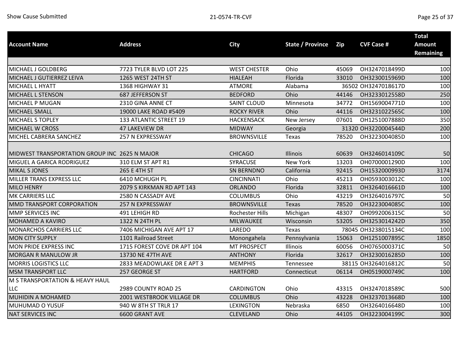|                                               |                             |                        |                         |       |                     | <b>Total</b>     |
|-----------------------------------------------|-----------------------------|------------------------|-------------------------|-------|---------------------|------------------|
| <b>Account Name</b>                           | <b>Address</b>              | <b>City</b>            | <b>State / Province</b> | Zip   | <b>CVF Case #</b>   | <b>Amount</b>    |
|                                               |                             |                        |                         |       |                     | <b>Remaining</b> |
|                                               |                             |                        |                         |       |                     |                  |
| MICHAEL J GOLDBERG                            | 7723 TYLER BLVD LOT 225     | <b>WEST CHESTER</b>    | Ohio                    | 45069 | OH3247018499D       | 100              |
| MICHAEL J GUTIERREZ LEIVA                     | 1265 WEST 24TH ST           | <b>HIALEAH</b>         | Florida                 | 33010 | OH3230015969D       | 100              |
| MICHAEL L HYATT                               | 1368 HIGHWAY 31             | <b>ATMORE</b>          | Alabama                 |       | 36502 OH3247018617D | 100              |
| <b>MICHAEL L STENSON</b>                      | 687 JEFFERSON ST            | <b>BEDFORD</b>         | Ohio                    | 44146 | OH3233012558D       | 250              |
| MICHAEL P MUGAN                               | 2310 GINA ANNE CT           | <b>SAINT CLOUD</b>     | Minnesota               | 34772 | OH1569004771D       | 100              |
| MICHAEL SMALL                                 | 19000 LAKE ROAD #5409       | <b>ROCKY RIVER</b>     | Ohio                    | 44116 | OH3231022565C       | 100              |
| MICHAEL S TOPLEY                              | 133 ATLANTIC STREET 19      | <b>HACKENSACK</b>      | New Jersey              | 07601 | OH1251007888D       | 350              |
| MICHAEL W CROSS                               | <b>47 LAKEVIEW DR</b>       | <b>MIDWAY</b>          | Georgia                 |       | 31320 OH3220004544D | 200              |
| MICHEL CABRERA SANCHEZ                        | 257 N EXPRESSWAY            | <b>BROWNSVILLE</b>     | Texas                   | 78520 | OH3223004085D       | 100              |
|                                               |                             |                        |                         |       |                     |                  |
| MIDWEST TRANSPORTATION GROUP INC 2625 N MAJOR |                             | <b>CHICAGO</b>         | Illinois                | 60639 | OH3246014109C       | 50               |
| MIGUEL A GARICA RODRIGUEZ                     | 310 ELM ST APT R1           | <b>SYRACUSE</b>        | <b>New York</b>         | 13203 | OH0700001290D       | 100              |
| <b>MIKAL S JONES</b>                          | 265 E 4TH ST                | <b>SN BERNDNO</b>      | California              | 92415 | OH1532000993D       | 3174             |
| MILLER TRANS EXPRESS LLC                      | 6410 MCHUGH PL              | <b>CINCINNATI</b>      | Ohio                    | 45213 | OH0593003012C       | 100              |
| <b>MILO HENRY</b>                             | 2079 S KIRKMAN RD APT 143   | <b>ORLANDO</b>         | Florida                 | 32811 | OH3264016661D       | 100              |
| MK CARRIERS LLC                               | 2580 N CASSADY AVE          | <b>COLUMBUS</b>        | Ohio                    | 43219 | OH3264016797C       | 50               |
| MMD TRANSPORT CORPORATION                     | <b>257 N EXPRESSWAY</b>     | <b>BROWNSVILLE</b>     | Texas                   | 78520 | OH3223004085C       | 100              |
| MMP SERVICES INC                              | 491 LEHIGH RD               | <b>Rochester Hills</b> | Michigan                | 48307 | OH0992006315C       | 50               |
| MOHAMED A KAVIRO                              | 1322 N 24TH PL              | MILWAUKEE              | Wisconsin               | 53205 | OH3253014242D       | 350              |
| MONARCHOS CARRIERS LLC                        | 7406 MICHIGAN AVE APT 17    | LAREDO                 | Texas                   |       | 78045 OH3238015134C | 100              |
| <b>MON CITY SUPPLY</b>                        | 1101 Railroad Street        | Monongahela            | Pennsylvania            | 15063 | OH1251007895C       | 1850             |
| MON PRIDE EXPRESS INC                         | 1715 FOREST COVE DR APT 104 | <b>MT PROSPECT</b>     | Illinois                | 60056 | OH0765000371C       | 50               |
| <b>MORGAN R MANULOW JR</b>                    | 13730 NE 47TH AVE           | <b>ANTHONY</b>         | Florida                 | 32617 | OH3230016285D       | 100              |
| <b>MORRIS LOGISTICS LLC</b>                   | 2833 MEADOWLAKE DR E APT 3  | <b>MEMPHIS</b>         | Tennessee               |       | 38115 OH3264016812C | 50               |
| <b>MSM TRANSPORT LLC</b>                      | 257 GEORGE ST               | <b>HARTFORD</b>        | Connecticut             | 06114 | OH0519000749C       | 100              |
| M S TRANSPORTATION & HEAVY HAUL               |                             |                        |                         |       |                     |                  |
| LLC                                           | 2989 COUNTY ROAD 25         | CARDINGTON             | Ohio                    | 43315 | OH3247018589C       | 500              |
| MUHIDIN A MOHAMED                             | 2001 WESTBROOK VILLAGE DR   | <b>COLUMBUS</b>        | Ohio                    | 43228 | OH3237013668D       | 100              |
| MUHUMAD O YUSUF                               | 940 W 8TH ST TRLR 17        | <b>LEXINGTON</b>       | Nebraska                | 6850  | OH3264016648D       | 100              |
| <b>NAT SERVICES INC</b>                       | 6600 GRANT AVE              | <b>CLEVELAND</b>       | Ohio                    | 44105 | OH3223004199C       | 300              |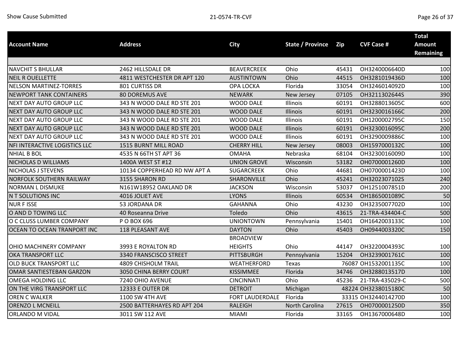| <b>Account Name</b>             | <b>Address</b>               | <b>City</b>                        | <b>State / Province</b> | <b>Zip</b> | <b>CVF Case #</b>   | <b>Total</b><br><b>Amount</b><br><b>Remaining</b> |
|---------------------------------|------------------------------|------------------------------------|-------------------------|------------|---------------------|---------------------------------------------------|
| <b>NAVCHIT S BHULLAR</b>        | 2462 HILLSDALE DR            | <b>BEAVERCREEK</b>                 | Ohio                    | 45431      | OH3240006640D       | 100                                               |
| <b>NEIL R OUELLETTE</b>         | 4811 WESTCHESTER DR APT 120  | <b>AUSTINTOWN</b>                  | Ohio                    | 44515      | OH3281019436D       | 100                                               |
| <b>NELSON MARTINEZ-TORRES</b>   | 801 CURTISS DR               | <b>OPA LOCKA</b>                   | Florida                 | 33054      | OH3246014092D       | 100                                               |
| <b>NEWPORT TANK CONTAINERS</b>  | <b>80 DOREMUS AVE</b>        | <b>NEWARK</b>                      | New Jersey              | 07105      | OH3211302644S       | 390                                               |
| NEXT DAY AUTO GROUP LLC         | 343 N WOOD DALE RD STE 201   | <b>WOOD DALE</b>                   | Illinois                | 60191      | OH3288013605C       | 600                                               |
| NEXT DAY AUTO GROUP LLC         | 343 N WOOD DALE RD STE 201   | <b>WOOD DALE</b>                   | Illinois                | 60191      | OH3230016166C       | 200                                               |
| NEXT DAY AUTO GROUP LLC         | 343 N WOOD DALE RD STE 201   | <b>WOOD DALE</b>                   | Illinois                | 60191      | OH1200002795C       | 150                                               |
| NEXT DAY AUTO GROUP LLC         | 343 N WOOD DALE RD STE 201   | <b>WOOD DALE</b>                   | Illinois                | 60191      | OH3230016095C       | 200                                               |
| <b>NEXT DAY AUTO GROUP LLC</b>  | 343 N WOOD DALE RD STE 201   | <b>WOOD DALE</b>                   | Illinois                | 60191      | OH3290009886C       | 100                                               |
| NFI INTERACTIVE LOGISTICS LLC   | 1515 BURNT MILL ROAD         | <b>CHERRY HILL</b>                 | New Jersey              | 08003      | OH1597000132C       | 100                                               |
| <b>NHIAL B BOL</b>              | 4535 N 66TH ST APT 36        | <b>OMAHA</b>                       | Nebraska                | 68104      | OH3230016009D       | 100                                               |
| <b>NICHOLAS D WILLIAMS</b>      | 1400A WEST ST #12            | <b>UNION GROVE</b>                 | Wisconsin               | 53182      | OH0700001260D       | 100                                               |
| NICHOLAS J STEVENS              | 10134 COPPERHEAD RD NW APT A | <b>SUGARCREEK</b>                  | Ohio                    | 44681      | OH0700001423D       | 100                                               |
| <b>NORFOLK SOUTHERN RAILWAY</b> | 3155 SHARON RD               | SHARONVILLE                        | Ohio                    | 45241      | OH3202307102S       | 240                                               |
| <b>NORMAN L DISMUKE</b>         | N161W18952 OAKLAND DR        | <b>JACKSON</b>                     | Wisconsin               | 53037      | OH1251007851D       | 200                                               |
| N T SOLUTIONS INC               | 4016 JOLIET AVE              | <b>LYONS</b>                       | Illinois                | 60534      | OH1865001089C       | 50                                                |
| <b>NURFISSE</b>                 | 53 JORDANA DR                | <b>GAHANNA</b>                     | Ohio                    | 43230      | OH3235007702D       | 100                                               |
| O AND D TOWING LLC              | 40 Roseanna Drive            | Toledo                             | Ohio                    | 43615      | 21-TRA-434404-C     | 500                                               |
| O C CLUSS LUMBER COMPANY        | P O BOX 696                  | <b>UNIONTOWN</b>                   | Pennsylvania            | 15401      | OH1642003133C       | 100                                               |
| OCEAN TO OCEAN TRANPORT INC     | 118 PLEASANT AVE             | <b>DAYTON</b>                      | Ohio                    | 45403      | OH0944003320C       | 150                                               |
| OHIO MACHINERY COMPANY          | 3993 E ROYALTON RD           | <b>BROADVIEW</b><br><b>HEIGHTS</b> | Ohio                    | 44147      | OH3220004393C       | 100                                               |
| OKA TRANSPORT LLC               | 3340 FRANSCISCO STREET       | <b>PITTSBURGH</b>                  | Pennsylvania            | 15204      | OH3239001761C       | 100                                               |
| OLD BUCK TRANSPORT LLC          | <b>4809 CHISHOLM TRAIL</b>   | WEATHERFORD                        | Texas                   |            | 76087 OH1532001135C | 100                                               |
| OMAR SANTIESTEBAN GARZON        | 3050 CHINA BERRY COURT       | KISSIMMEE                          | Florida                 | 34746      | OH3288013517D       | 100                                               |
| <b>OMEGA HOLDING LLC</b>        | 7240 OHIO AVENUE             | <b>CINCINNATI</b>                  | Ohio                    | 45236      | 21-TRA-435029-C     | 500                                               |
| ON THE VIRG TRANSPORT LLC       | <b>12333 E OUTER DR</b>      | <b>DETROIT</b>                     | Michigan                |            | 48224 OH3238015180C | 50                                                |
| OREN C WALKER                   | 1100 SW 4TH AVE              | FORT LAUDERDALE                    | Florida                 |            | 33315 OH3244014270D | 100                                               |
| <b>ORENZO L MCNEILL</b>         | 2500 BATTERHAYES RD APT 204  | <b>RALEIGH</b>                     | <b>North Carolina</b>   | 27615      | OH0700001250D       | 350                                               |
| ORLANDO M VIDAL                 | 3011 SW 112 AVE              | <b>MIAMI</b>                       | Florida                 | 33165      | OH1367000648D       | 100                                               |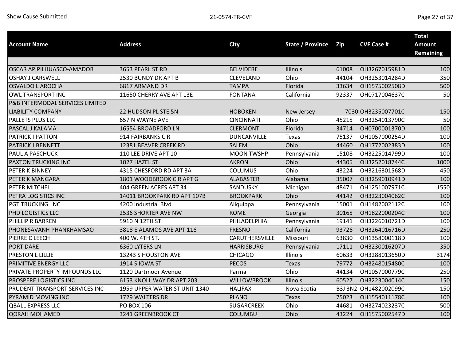|                                 |                               |                    |                         |       |                       | <b>Total</b>                      |
|---------------------------------|-------------------------------|--------------------|-------------------------|-------|-----------------------|-----------------------------------|
| <b>Account Name</b>             | <b>Address</b>                | <b>City</b>        | <b>State / Province</b> | Zip   | <b>CVF Case #</b>     | <b>Amount</b><br><b>Remaining</b> |
|                                 |                               |                    |                         |       |                       |                                   |
| OSCAR APIPILHUASCO-AMADOR       | 3653 PEARL ST RD              | <b>BELVIDERE</b>   | Illinois                | 61008 | OH3267015981D         | 100                               |
| <b>OSHAY J CARSWELL</b>         | 2530 BUNDY DR APT B           | CLEVELAND          | Ohio                    | 44104 | OH3253014284D         | 350                               |
| <b>OSVALDO L AROCHA</b>         | 6817 ARMAND DR                | <b>TAMPA</b>       | Florida                 | 33634 | OH1575002508D         | 500                               |
| OWL TRANSPORT INC               | 11650 CHERRY AVE APT 13E      | <b>FONTANA</b>     | California              | 92337 | OH0717004637C         | 50                                |
| P&B INTERMODAL SERVICES LIMITED |                               |                    |                         |       |                       |                                   |
| <b>LIABILITY COMPANY</b>        | 22 HUDSON PL STE 5N           | <b>HOBOKEN</b>     | New Jersey              |       | 7030 OH3235007701C    | 150                               |
| PALLETS PLUS LLC                | 657 N WAYNE AVE               | <b>CINCINNATI</b>  | Ohio                    | 45215 | OH3254013790C         | 50                                |
| PASCAL J KALAMA                 | 16554 BROADFORD LN            | <b>CLERMONT</b>    | Florida                 | 34714 | OH0700001370D         | 100                               |
| PATRICK I PATTON                | 914 FAIRBANKS CIR             | <b>DUNCANVILLE</b> | Texas                   | 75137 | OH1057000254D         | 100                               |
| PATRICK J BENNETT               | 12381 BEAVER CREEK RD         | SALEM              | Ohio                    | 44460 | OH1772002383D         | 100                               |
| PAUL A PASCHUCK                 | 110 LEE DRIVE APT 10          | <b>MOON TWSHP</b>  | Pennsylvania            | 15108 | OH3225014799D         | 100                               |
| PAXTON TRUCKING INC             | 1027 HAZEL ST                 | <b>AKRON</b>       | Ohio                    | 44305 | OH3252018744C         | 1000                              |
| PETER K BINNEY                  | 4315 CHESFORD RD APT 3A       | COLUMUS            | Ohio                    | 43224 | OH3216301568D         | 450                               |
| PETER K MANGARA                 | 1801 WOODBROOK CIR APT G      | <b>ALABASTER</b>   | Alabama                 | 35007 | OH3259010941D         | 100                               |
| PETER MITCHELL                  | 404 GREEN ACRES APT 34        | SANDUSKY           | Michigan                | 48471 | OH1251007971C         | 1550                              |
| PETRA LOGISTICS INC             | 14011 BROOKPARK RD APT 107B   | <b>BROOKPARK</b>   | Ohio                    | 44142 | OH3223004062C         | 100                               |
| PGT TRUCKING INC                | 4200 Industrial Blvd          | Aliquippa          | Pennsylvania            | 15001 | OH1482002112C         | 100                               |
| PHD LOGISTICS LLC               | 2536 SHORTER AVE NW           | <b>ROME</b>        | Georgia                 | 30165 | OH1822000204C         | 100                               |
| PHILLIP R BARREN                | 5910 N 12TH ST                | PHILADELPHIA       | Pennsylvania            | 19141 | OH3226010721D         | 100                               |
| PHONESAVANH PHANKHAMSAO         | 3818 E ALAMOS AVE APT 116     | <b>FRESNO</b>      | California              | 93726 | OH3264016716D         | 250                               |
| PIERRE C LEECH                  | 400 W. 4TH ST.                | CARUTHERSVILLE     | Missouri                | 63830 | OH1358000118D         | 100                               |
| PORT DARE                       | 6360 LYTERS LN                | <b>HARRISBURG</b>  | Pennsylvania            | 17111 | OH3230016207D         | 350                               |
| PRESTON L LILLIE                | 13243 S HOUSTON AVE           | <b>CHICAGO</b>     | Illinois                | 60633 | OH3288013650D         | 3174                              |
| PRIMITIVE ENERGY LLC            | 1914 S IOWA ST                | <b>PECOS</b>       | Texas                   | 79772 | OH3248015480C         | 100                               |
| PRIVATE PROPERTY IMPOUNDS LLC   | 1120 Dartmoor Avenue          | Parma              | Ohio                    | 44134 | OH1057000779C         | 250                               |
| PROSPERE LOGISTICS INC          | 6153 KNOLL WAY DR APT 203     | <b>WILLOWBROOK</b> | Illinois                | 60527 | OH3223004014C         | 150                               |
| PRUDENT TRANSPORT SERVICES INC  | 1959 UPPER WATER ST UNIT 1340 | <b>HALIFAX</b>     | Nova Scotia             |       | B3J 3N2 OH1482002099C | 150                               |
| PYRAMID MOVING INC              | 1729 WALTERS DR               | <b>PLANO</b>       | Texas                   | 75023 | OH1554011178C         | 100                               |
| <b>QBALL EXPRESS LLC</b>        | PO BOX 106                    | <b>SUGARCREEK</b>  | Ohio                    | 44681 | OH3274023237C         | 500                               |
| <b>QORAH MOHAMED</b>            | 3241 GREENBROOK CT            | <b>COLUMBU</b>     | Ohio                    | 43224 | OH1575002547D         | 100                               |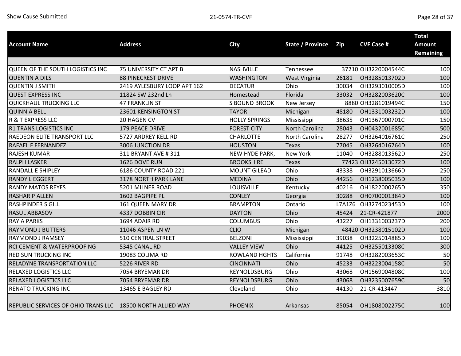| <b>Account Name</b>                                        | <b>Address</b>              | <b>City</b>          | <b>State / Province</b> | <b>Zip</b> | <b>CVF Case #</b>   | <b>Total</b><br>Amount<br><b>Remaining</b> |
|------------------------------------------------------------|-----------------------------|----------------------|-------------------------|------------|---------------------|--------------------------------------------|
|                                                            |                             |                      |                         |            |                     |                                            |
| QUEEN OF THE SOUTH LOGISTICS INC                           | 75 UNIVERSITY CT APT B      | <b>NASHVILLE</b>     | Tennessee               |            | 37210 OH3220004544C | 100                                        |
| <b>QUENTIN A DILS</b>                                      | <b>88 PINECREST DRIVE</b>   | <b>WASHINGTON</b>    | West Virginia           | 26181      | OH3285013702D       | 100                                        |
| <b>QUENTIN J SMITH</b>                                     | 2419 AYLESBURY LOOP APT 162 | <b>DECATUR</b>       | Ohio                    | 30034      | OH3293010005D       | 100                                        |
| <b>QUEST EXPRESS INC</b>                                   | 11824 SW 232nd Ln           | Homestead            | Florida                 | 33032      | OH3282003620C       | 100                                        |
| <b>QUICKHAUL TRUCKING LLC</b>                              | <b>47 FRANKLIN ST</b>       | <b>S BOUND BROOK</b> | New Jersey              |            | 8880 OH3281019494C  | 150                                        |
| <b>QUINN A BELL</b>                                        | 23601 KENSINGTON ST         | <b>TAYOR</b>         | Michigan                | 48180      | OH1331003232D       | 100                                        |
| R & T EXPRESS LLC                                          | 20 HAGEN CV                 | <b>HOLLY SPRINGS</b> | Mississippi             | 38635      | OH1367000701C       | 150                                        |
| <b>R1 TRANS LOGISTICS INC</b>                              | <b>179 PEACE DRIVE</b>      | <b>FOREST CITY</b>   | <b>North Carolina</b>   | 28043      | OH0432001685C       | 500                                        |
| RAEDEON ELITE TRANSPORT LLC                                | 5727 ARDREY KELL RD         | <b>CHARLOTTE</b>     | North Carolina          | 28277      | OH3264016761C       | 250                                        |
| RAFAEL F FERNANDEZ                                         | 3006 JUNCTION DR            | <b>HOUSTON</b>       | <b>Texas</b>            | 77045      | OH3264016764D       | 100                                        |
| <b>RAJESH KUMAR</b>                                        | 311 BRYANT AVE # 311        | NEW HYDE PARK,       | <b>New York</b>         | 11040      | OH3288013562D       | 250                                        |
| <b>RALPH LASKER</b>                                        | 1626 DOVE RUN               | <b>BROOKSHIRE</b>    | <b>Texas</b>            |            | 77423 OH3245013072D | 100                                        |
| <b>RANDALL E SHIPLEY</b>                                   | 6186 COUNTY ROAD 221        | <b>MOUNT GILEAD</b>  | Ohio                    | 43338      | OH3291013666D       | 250                                        |
| <b>RANDY L EGGERT</b>                                      | 3178 NORTH PARK LANE        | <b>MEDINA</b>        | Ohio                    | 44256      | OH1238005035D       | 100                                        |
| <b>RANDY MATOS REYES</b>                                   | 5201 MILNER ROAD            | <b>LOUISVILLE</b>    | Kentucky                | 40216      | OH1822000265D       | 350                                        |
| <b>RASHAR P ALLEN</b>                                      | 1602 BAGPIPE PL             | <b>CONLEY</b>        | Georgia                 | 30288      | OH0700001384D       | 100                                        |
| <b>RASHPINDER S GILL</b>                                   | 161 QUEEN MARY DR           | <b>BRAMPTON</b>      | Ontario                 | L7A1Z6     | OH3274023453D       | 100                                        |
| RASUL ABBASOV                                              | 4337 DOBBIN CIR             | <b>DAYTON</b>        | Ohio                    | 45424      | 21-CR-421877        | 2000                                       |
| <b>RAY A PARKS</b>                                         | 1694 ADAIR RD               | <b>COLUMBUS</b>      | Ohio                    | 43227      | OH1331003237D       | 200                                        |
| <b>RAYMOND J BUTTERS</b>                                   | 11046 ASPEN LN W            | <b>CLIO</b>          | Michigan                |            | 48420 OH3238015102D | 100                                        |
| RAYMOND J RAMSEY                                           | <b>510 CENTRAL STREET</b>   | <b>BELZONI</b>       | Mississippi             | 39038      | OH3225014885D       | 100                                        |
| RCI CEMENT & WATERPROOFING                                 | 5345 CANAL RD               | <b>VALLEY VIEW</b>   | Ohio                    | 44125      | OH3255013308C       | 300                                        |
| <b>RED SUN TRUCKING INC</b>                                | 19083 COLIMA RD             | <b>ROWLAND HGHTS</b> | California              | 91748      | OH3282003653C       | 50                                         |
| RELADYNE TRANSPORTATION LLC                                | 5226 RIVER RD               | <b>CINCINNATI</b>    | Ohio                    | 45233      | OH3223004158C       | 50                                         |
| RELAXED LOGISTICS LLC                                      | 7054 BRYEMAR DR             | REYNOLDSBURG         | Ohio                    | 43068      | OH1569004808C       | 100                                        |
| <b>RELAXED LOGISTICS LLC</b>                               | 7054 BRYEMAR DR             | <b>REYNOLDSBURG</b>  | Ohio                    | 43068      | OH3235007659C       | 50                                         |
| <b>RENATO TRUCKING INC</b>                                 | 13465 E BAGLEY RD           | Cleveland            | Ohio                    | 44130      | 21-CR-413447        | 3810                                       |
| REPUBLIC SERVICES OF OHIO TRANS LLC 18500 NORTH ALLIED WAY |                             | <b>PHOENIX</b>       | Arkansas                | 85054      | OH1808002275C       | 100                                        |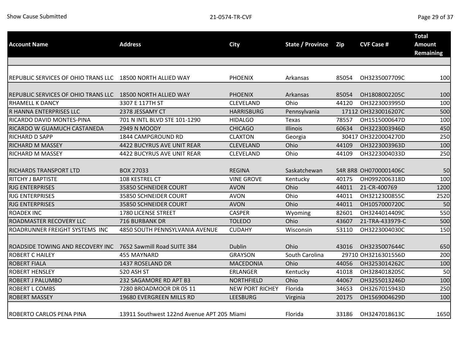| <b>Account Name</b>                                        | <b>Address</b>                             | <b>City</b>            | <b>State / Province</b> | Zip   | <b>CVF Case #</b>     | <b>Total</b><br><b>Amount</b><br><b>Remaining</b> |
|------------------------------------------------------------|--------------------------------------------|------------------------|-------------------------|-------|-----------------------|---------------------------------------------------|
|                                                            |                                            |                        |                         |       |                       |                                                   |
| REPUBLIC SERVICES OF OHIO TRANS LLC 18500 NORTH ALLIED WAY |                                            | <b>PHOENIX</b>         | Arkansas                | 85054 | OH3235007709C         | 100                                               |
| <b>REPUBLIC SERVICES OF OHIO TRANS LLC</b>                 | 18500 NORTH ALLIED WAY                     | <b>PHOENIX</b>         | Arkansas                | 85054 | OH1808002205C         | 100                                               |
| <b>RHAMELL K DANCY</b>                                     | 3307 E 117TH ST                            | <b>CLEVELAND</b>       | Ohio                    | 44120 | OH3223003995D         | 100                                               |
| R HANNA ENTERPRISES LLC                                    | 2378 JESSAMY CT                            | <b>HARRISBURG</b>      | Pennsylvania            |       | 17112 OH3230016207C   | 500                                               |
| RICARDO DAVID MONTES-PINA                                  | 701 N INTL BLVD STE 101-1290               | <b>HIDALGO</b>         | Texas                   | 78557 | OH1515000647D         | 100                                               |
| RICARDO W GUAMUCH CASTANEDA                                | 2949 N MOODY                               | <b>CHICAGO</b>         | Illinois                | 60634 | OH3223003946D         | 450                                               |
| <b>RICHARD D SAPP</b>                                      | 1844 CAMPGROUND RD                         | <b>CLAXTON</b>         | Georgia                 |       | 30417 OH3220004270D   | 250                                               |
| <b>RICHARD M MASSEY</b>                                    | 4422 BUCYRUS AVE UNIT REAR                 | <b>CLEVELAND</b>       | Ohio                    | 44109 | OH3223003963D         | 100                                               |
| <b>RICHARD M MASSEY</b>                                    | 4422 BUCYRUS AVE UNIT REAR                 | CLEVELAND              | Ohio                    | 44109 | OH3223004033D         | 250                                               |
| <b>RICHARDS TRANSPORT LTD</b>                              | <b>BOX 27033</b>                           | <b>REGINA</b>          | Saskatchewan            |       | S4R 8R8 OH0700001406C | 50                                                |
| <b>RITCHY J BAPTISTE</b>                                   | 108 KESTREL CT                             | <b>VINE GROVE</b>      | Kentucky                | 40175 | OH0992006318D         | 100                                               |
| <b>RJG ENTERPRISES</b>                                     | 35850 SCHNEIDER COURT                      | <b>AVON</b>            | Ohio                    | 44011 | 21-CR-400769          | 1200                                              |
| <b>RJG ENTERPRISES</b>                                     | 35850 SCHNEIDER COURT                      | <b>AVON</b>            | Ohio                    | 44011 | OH3212300855C         | 2520                                              |
| <b>RJG ENTERPRISES</b>                                     | 35850 SCHNEIDER COURT                      | <b>AVON</b>            | Ohio                    | 44011 | OH1057000720C         | 50                                                |
| <b>ROADEX INC</b>                                          | 1780 LICENSE STREET                        | <b>CASPER</b>          | Wyoming                 | 82601 | OH3244014409C         | 550                                               |
| ROADMASTER RECOVERY LLC                                    | 716 BURBANK DR                             | <b>TOLEDO</b>          | Ohio                    | 43607 | 21-TRA-433979-C       | 500                                               |
| ROADRUNNER FREIGHT SYSTEMS INC                             | 4850 SOUTH PENNSYLVANIA AVENUE             | <b>CUDAHY</b>          | Wisconsin               | 53110 | OH3223004030C         | 150                                               |
| ROADSIDE TOWING AND RECOVERY INC                           | 7652 Sawmill Road SUITE 384                | Dublin                 | Ohio                    | 43016 | OH3235007644C         | 650                                               |
| <b>ROBERT C HAILEY</b>                                     | 455 MAYNARD                                | <b>GRAYSON</b>         | South Carolina          |       | 29710 OH3216301556D   | 200                                               |
| <b>ROBERT FIALA</b>                                        | 1437 ROSELAND DR                           | <b>MACEDONIA</b>       | Ohio                    | 44056 | OH3253014262C         | 100                                               |
| <b>ROBERT HENSLEY</b>                                      | 520 ASH ST                                 | <b>ERLANGER</b>        | Kentucky                | 41018 | OH3284018205C         | 50                                                |
| <b>ROBERT J PALUMBO</b>                                    | 232 SAGAMORE RD APT B3                     | <b>NORTHFIELD</b>      | Ohio                    | 44067 | OH3255013246D         | 100                                               |
| <b>ROBERT L COMBS</b>                                      | 7280 BROADMOOR DR 05 11                    | <b>NEW PORT RICHEY</b> | Florida                 | 34653 | OH3267015943D         | 250                                               |
| <b>ROBERT MASSEY</b>                                       | 19680 EVERGREEN MILLS RD                   | <b>LEESBURG</b>        | Virginia                | 20175 | OH1569004629D         | 100                                               |
| <b>ROBERTO CARLOS PENA PINA</b>                            | 13911 Southwest 122nd Avenue APT 205 Miami |                        | Florida                 | 33186 | OH3247018613C         | 1650                                              |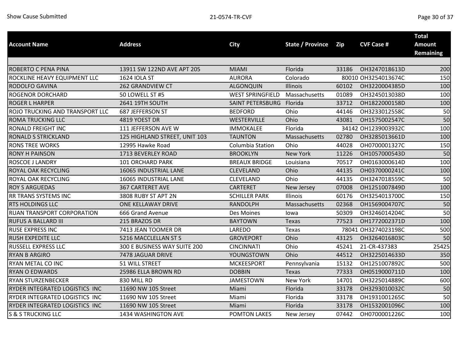|                                 |                               |                         |                         |       |                     | <b>Total</b>     |
|---------------------------------|-------------------------------|-------------------------|-------------------------|-------|---------------------|------------------|
| <b>Account Name</b>             | <b>Address</b>                | <b>City</b>             | <b>State / Province</b> | Zip   | <b>CVF Case #</b>   | <b>Amount</b>    |
|                                 |                               |                         |                         |       |                     | <b>Remaining</b> |
|                                 |                               |                         |                         |       |                     |                  |
| ROBERTO C PENA PINA             | 13911 SW 122ND AVE APT 205    | <b>MIAMI</b>            | Florida                 | 33186 | OH3247018613D       | 200              |
| ROCKLINE HEAVY EQUIPMENT LLC    | 1624 IOLA ST                  | <b>AURORA</b>           | Colorado                |       | 80010 OH3254013674C | 150              |
| RODOLFO GAVINA                  | <b>262 GRANDVIEW CT</b>       | <b>ALGONQUIN</b>        | Illinois                | 60102 | OH3220004385D       | 100              |
| <b>ROGENOR DORCHARD</b>         | 50 LOWELL ST #5               | <b>WEST SPRINGFIELD</b> | Massachusetts           | 01089 | OH3245013038D       | 100              |
| <b>ROGER L HARPER</b>           | 2641 19TH SOUTH               | <b>SAINT PETERSBURG</b> | Florida                 | 33712 | OH1822000158D       | 100              |
| ROJO TRUCKING AND TRANSPORT LLC | 687 JEFFERSON ST              | <b>BEDFORD</b>          | Ohio                    | 44146 | OH3233012558C       | 50               |
| ROMA TRUCKING LLC               | 4819 YOEST DR                 | WESTERVILLE             | Ohio                    | 43081 | OH1575002547C       | 50               |
| RONALD FREIGHT INC              | 111 JEFFERSON AVE W           | <b>IMMOKALEE</b>        | Florida                 |       | 34142 OH1239003932C | 100              |
| RONALD S STRICKLAND             | 125 HIGHLAND STREET, UNIT 103 | <b>TAUNTON</b>          | Massachusetts           | 02780 | OH3285013661D       | 100              |
| <b>RONS TREE WORKS</b>          | 12995 Hawke Road              | <b>Columbia Station</b> | Ohio                    | 44028 | OH0700001327C       | 150              |
| <b>RONY H PAINSON</b>           | 1713 BEVERLEY ROAD            | <b>BROOKLYN</b>         | New York                | 11226 | OH1057000543D       | 50               |
| ROSCOE J LANDRY                 | 101 ORCHARD PARK              | <b>BREAUX BRIDGE</b>    | Louisiana               | 70517 | OH0163000614D       | 100              |
| ROYAL OAK RECYCLING             | 16065 INDUSTRIAL LANE         | <b>CLEVELAND</b>        | Ohio                    | 44135 | OH0370000241C       | 100              |
| ROYAL OAK RECYCLING             | 16065 INDUSTRIAL LANE         | CLEVELAND               | Ohio                    | 44135 | OH3247018559C       | 50               |
| <b>ROY S ARGUEDAS</b>           | <b>367 CARTERET AVE</b>       | <b>CARTERET</b>         | New Jersey              | 07008 | OH1251007849D       | 100              |
| RR TRANS SYSTEMS INC            | 3808 RUBY ST APT 2N           | <b>SCHILLER PARK</b>    | Illinois                | 60176 | OH3254013700C       | 150              |
| <b>RTS HOLDINGS LLC</b>         | ONE KELLAWAY DRIVE            | <b>RANDOLPH</b>         | Massachusetts           | 02368 | OH1569004707C       | 50               |
| RUAN TRANSPORT CORPORATION      | 666 Grand Avenue              | Des Moines              | lowa                    | 50309 | OH3246014204C       | 50               |
| RUFUS A BALLARD III             | 215 BRAZOS DR                 | <b>BAYTOWN</b>          | Texas                   | 77523 | OH1772002371D       | 100              |
| RUSE EXPRESS INC                | 7413 JEAN TOOMER DR           | LAREDO                  | Texas                   |       | 78041 OH3274023198C | 500              |
| RUSH EXPEDITE LLC               | 5216 MACCLELLAN ST S          | <b>GROVEPORT</b>        | Ohio                    | 43125 | OH3264016803C       | 50               |
| RUSSELL EXPRESS LLC             | 300 E BUSINESS WAY SUITE 200  | <b>CINCINNATI</b>       | Ohio                    | 45241 | 21-CR-437383        | 25425            |
| <b>RYAN B ARGIRO</b>            | 7478 JAGUAR DRIVE             | YOUNGSTOWN              | Ohio                    | 44512 | OH3225014633D       | 350              |
| RYAN METAL CO INC               | 51 WILL STREET                | <b>MCKEESPORT</b>       | Pennsylvania            | 15132 | OH1251007892C       | 500              |
| <b>RYAN O EDWARDS</b>           | 25986 ELLA BROWN RD           | <b>DOBBIN</b>           | Texas                   | 77333 | OH0519000711D       | 100              |
| <b>RYAN STURZENBECKER</b>       | 830 MILL RD                   | <b>JAMESTOWN</b>        | New York                | 14701 | OH3225014889C       | 600              |
| RYDER INTEGRATED LOGISTICS INC  | 11690 NW 105 Street           | Miami                   | Florida                 | 33178 | OH3293010032C       | 50               |
| RYDER INTEGRATED LOGISTICS INC  | 11690 NW 105 Street           | Miami                   | Florida                 | 33178 | OH1931001265C       | 50               |
| RYDER INTEGRATED LOGISTICS INC  | 11690 NW 105 Street           | Miami                   | Florida                 | 33178 | OH1532001096C       | 100              |
| <b>S &amp; S TRUCKING LLC</b>   | 1434 WASHINGTON AVE           | <b>POMTON LAKES</b>     | New Jersey              | 07442 | OH0700001226C       | 100              |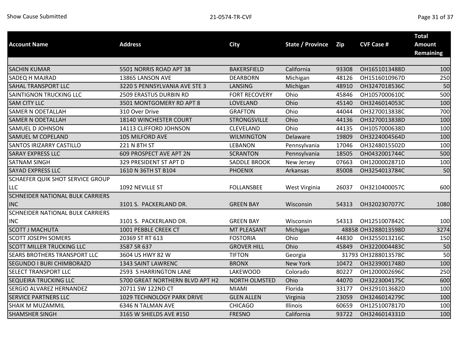|                                  |                                   |                      |                         |       |                     | <b>Total</b>                      |
|----------------------------------|-----------------------------------|----------------------|-------------------------|-------|---------------------|-----------------------------------|
| <b>Account Name</b>              | <b>Address</b>                    | <b>City</b>          | <b>State / Province</b> | Zip   | <b>CVF Case #</b>   | <b>Amount</b><br><b>Remaining</b> |
|                                  |                                   |                      |                         |       |                     |                                   |
| <b>SACHIN KUMAR</b>              | 5501 NORRIS ROAD APT 38           | <b>BAKERSFIELD</b>   | California              | 93308 | OH1651013488D       | 100                               |
| SADEQ H MAJRAD                   | 13865 LANSON AVE                  | <b>DEARBORN</b>      | Michigan                | 48126 | OH1516010967D       | 250                               |
| SAHAL TRANSPORT LLC              | 3220 S PENNSYLVANIA AVE STE 3     | <b>LANSING</b>       | Michigan                | 48910 | OH3247018536C       | 50                                |
| <b>SAINTIGNON TRUCKING LLC</b>   | 2509 ERASTUS DURBIN RD            | <b>FORT RECOVERY</b> | Ohio                    | 45846 | OH1057000610C       | 500                               |
| <b>SAM CITY LLC</b>              | 3501 MONTGOMERY RD APT 8          | LOVELAND             | Ohio                    | 45140 | OH3246014053C       | 100                               |
| <b>SAMER N ODETALLAH</b>         | 310 Over Drive                    | <b>GRAFTON</b>       | Ohio                    | 44044 | OH3270013838C       | 700                               |
| <b>SAMER N ODETALLAH</b>         | 18140 WINCHESTER COURT            | <b>STRONGSVILLE</b>  | Ohio                    | 44136 | OH3270013838D       | 100                               |
| SAMUEL D JOHNSON                 | 14113 CLIFFORD JOHNSON            | CLEVELAND            | Ohio                    | 44135 | OH1057000638D       | 100                               |
| SAMUEL M COPELAND                | 105 MILFORD AVE                   | <b>WILMINGTON</b>    | Delaware                | 19809 | OH3224004564D       | 100                               |
| SANTOS IRIZARRY CASTILLO         | 221 N 8TH ST                      | <b>LEBANON</b>       | Pennsylvania            | 17046 | OH3248015502D       | 100                               |
| <b>SARAY EXPRESS LLC</b>         | 609 PROSPECT AVE APT 2N           | <b>SCRANTON</b>      | Pennsylvania            | 18505 | OH0432001744C       | 500                               |
| <b>SATNAM SINGH</b>              | 329 PRESIDENT ST APT D            | <b>SADDLE BROOK</b>  | New Jersey              | 07663 | OH1200002871D       | 100                               |
| SAYAD EXPRESS LLC                | 1610 N 36TH ST B104               | <b>PHOENIX</b>       | Arkansas                | 85008 | OH3254013784C       | 50                                |
| SCHAEFER QUIK SHOT SERVICE GROUP |                                   |                      |                         |       |                     |                                   |
| LLC                              | 1092 NEVILLE ST                   | <b>FOLLANSBEE</b>    | West Virginia           | 26037 | OH3210400057C       | 600                               |
| SCHNEIDER NATIONAL BULK CARRIERS |                                   |                      |                         |       |                     |                                   |
| <b>INC</b>                       | 3101 S. PACKERLAND DR.            | <b>GREEN BAY</b>     | Wisconsin               | 54313 | OH3202307077C       | 1080                              |
| SCHNEIDER NATIONAL BULK CARRIERS |                                   |                      |                         |       |                     |                                   |
| <b>INC</b>                       | 3101 S. PACKERLAND DR.            | <b>GREEN BAY</b>     | Wisconsin               | 54313 | OH1251007842C       | 100                               |
| <b>SCOTT J MACHUTA</b>           | 1001 PEBBLE CREEK CT              | MT PLEASANT          | Michigan                |       | 48858 OH3288013598D | 3274                              |
| <b>SCOTT JOSEPH SOMERS</b>       | 20369 ST RT 613                   | <b>FOSTORIA</b>      | Ohio                    | 44830 | OH3255013216C       | 150                               |
| <b>SCOTT MILLER TRUCKING LLC</b> | 3587 SR 637                       | <b>GROVER HILL</b>   | Ohio                    | 45849 | OH3220004483C       | 50                                |
| SEARS BROTHERS TRANSPORT LLC     | 3604 US HWY 82 W                  | <b>TIFTON</b>        | Georgia                 |       | 31793 OH3288013578C | 50                                |
| SEGUNDO I BURI CHIMBORAZO        | 1343 SAINT LAWRENC                | <b>BRONX</b>         | New York                | 10472 | OH3239001748D       | 100                               |
| SELECT TRANSPORT LLC             | 2593 S HARRINGTON LANE            | <b>LAKEWOOD</b>      | Colorado                | 80227 | OH1200002696C       | 250                               |
| SEQUEIRA TRUCKING LLC            | 5700 GREAT NORTHERN BLVD APT H2   | <b>NORTH OLMSTED</b> | Ohio                    | 44070 | OH3223004175C       | 600                               |
| SERGIO ALVAREZ HERNANDEZ         | 20711 SW 122ND CT                 | <b>MIAMI</b>         | Florida                 | 33177 | OH3291013682D       | 100                               |
| <b>SERVICE PARTNERS LLC</b>      | <b>1029 TECHNOLOGY PARK DRIVE</b> | <b>GLEN ALLEN</b>    | Virginia                | 23059 | OH3246014279C       | 100                               |
| SHAIK M MUZAMMIL                 | 6346 N TALMAN AVE                 | <b>CHICAGO</b>       | Illinois                | 60659 | OH1251007817D       | 100                               |
| <b>SHAMSHER SINGH</b>            | 3165 W SHIELDS AVE #150           | <b>FRESNO</b>        | California              | 93722 | OH3246014331D       | 100                               |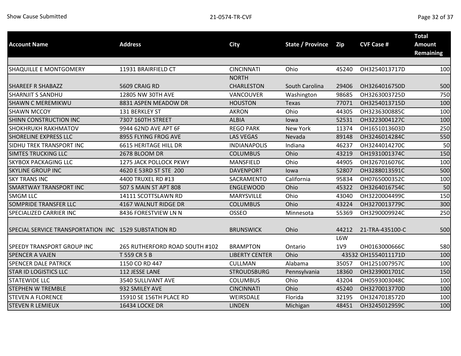| <b>Account Name</b>                                   | <b>Address</b>                 | <b>City</b>           | <b>State / Province</b> | Zip        | <b>CVF Case #</b>   | <b>Total</b><br><b>Amount</b><br><b>Remaining</b> |
|-------------------------------------------------------|--------------------------------|-----------------------|-------------------------|------------|---------------------|---------------------------------------------------|
|                                                       |                                |                       |                         |            |                     |                                                   |
| SHAQUILLE E MONTGOMERY                                | 11931 BRAIRFIELD CT            | <b>CINCINNATI</b>     | Ohio                    | 45240      | OH3254013717D       | 100                                               |
|                                                       |                                | <b>NORTH</b>          |                         |            |                     |                                                   |
| <b>SHAREEF R SHABAZZ</b>                              | 5609 CRAIG RD                  | <b>CHARLESTON</b>     | South Carolina          | 29406      | OH3264016750D       | 500                                               |
| <b>SHARNJIT S SANDHU</b>                              | 12805 NW 30TH AVE              | VANCOUVER             | Washington              | 98685      | OH3263003725D       | 750                                               |
| <b>SHAWN C MEREMIKWU</b>                              | 8831 ASPEN MEADOW DR           | <b>HOUSTON</b>        | Texas                   | 77071      | OH3254013715D       | 100                                               |
| <b>SHAWN MCCOY</b>                                    | 131 BERKLEY ST                 | <b>AKRON</b>          | Ohio                    | 44305      | OH3236300885C       | 100                                               |
| <b>SHINN CONSTRUCTION INC</b>                         | 7307 160TH STREET              | <b>ALBIA</b>          | lowa                    | 52531      | OH3223004127C       | 100                                               |
| SHOKHRUKH RAKHMATOV                                   | 9944 62ND AVE APT 6F           | <b>REGO PARK</b>      | <b>New York</b>         | 11374      | OH1651013603D       | 250                                               |
| <b>SHORELINE EXPRESS LLC</b>                          | 8955 FLYING FROG AVE           | <b>LAS VEGAS</b>      | Nevada                  | 89148      | OH3246014284C       | 550                                               |
| SIDHU TREK TRANSPORT INC                              | <b>6615 HERITAGE HILL DR</b>   | <b>INDIANAPOLIS</b>   | Indiana                 | 46237      | OH3244014270C       | 50                                                |
| <b>SIMTES TRUCKING LLC</b>                            | 2678 BLOOM DR                  | <b>COLUMBUS</b>       | Ohio                    | 43219      | OH1931001374C       | 150                                               |
| <b>SKYBOX PACKAGING LLC</b>                           | 1275 JACK POLLOCK PKWY         | MANSFIELD             | Ohio                    | 44905      | OH3267016076C       | 100                                               |
| <b>SKYLINE GROUP INC</b>                              | 4620 E 53RD ST STE 200         | <b>DAVENPORT</b>      | lowa                    | 52807      | OH3288013591C       | 500                                               |
| <b>SKY TRANS INC</b>                                  | 4400 TRUXEL RD #13             | SACRAMENTO            | California              | 95834      | OH0765000352C       | 100                                               |
| <b>SMARTWAY TRANSPORT INC</b>                         | 507 S MAIN ST APT 808          | <b>ENGLEWOOD</b>      | Ohio                    | 45322      | OH3264016754C       | 50                                                |
| <b>SMGM LLC</b>                                       | 14111 SCOTTSLAWN RD            | <b>MARYSVILLE</b>     | Ohio                    | 43040      | OH3220004499C       | 150                                               |
| SOMPRIDE TRANSFER LLC                                 | 4167 WALNUT RIDGE DR           | <b>COLUMBUS</b>       | Ohio                    | 43224      | OH3270013779C       | 300                                               |
| SPECIALIZED CARRIER INC                               | 8436 FORESTVIEW LN N           | <b>OSSEO</b>          | Minnesota               | 55369      | OH3290009924C       | 250                                               |
| SPECIAL SERVICE TRANSPORTATION INC 1529 SUBSTATION RD |                                | <b>BRUNSWICK</b>      | Ohio                    | 44212      | 21-TRA-435100-C     | 500                                               |
| SPEEDY TRANSPORT GROUP INC                            | 265 RUTHERFORD ROAD SOUTH #102 | <b>BRAMPTON</b>       | Ontario                 | L6W<br>1V9 | OH0163000666C       | 580                                               |
| <b>SPENCER A VAJEN</b>                                | T 559 CR 5 B                   | <b>LIBERTY CENTER</b> | Ohio                    |            | 43532 OH1554011171D | 100                                               |
| <b>SPENCER DALE PATRICK</b>                           | 1150 CO RD 447                 | <b>CULLMAN</b>        | Alabama                 | 35057      | OH1251007957C       | 100                                               |
| <b>STAR ID LOGISTICS LLC</b>                          | 112 JESSE LANE                 | <b>STROUDSBURG</b>    | Pennsylvania            | 18360      | OH3239001701C       | 150                                               |
| <b>STATEWIDE LLC</b>                                  | 3540 SULLIVANT AVE             | <b>COLUMBUS</b>       | Ohio                    | 43204      | OH0593003048C       | 100                                               |
| <b>STEPHEN W TREMBLE</b>                              | 932 SMILEY AVE                 | <b>CINCINNATI</b>     | Ohio                    | 45240      | OH3270013770D       | 100                                               |
| <b>STEVEN A FLORENCE</b>                              | 15910 SE 156TH PLACE RD        | WEIRSDALE             | Florida                 | 32195      | OH3247018572D       | 100                                               |
| <b>STEVEN R LEMIEUX</b>                               | 16434 LOCKE DR                 | <b>LINDEN</b>         | Michigan                | 48451      | OH3245012959C       | 100                                               |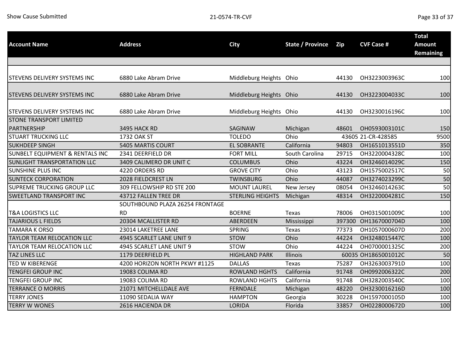| <b>Account Name</b>                           | <b>Address</b>                  | <b>City</b>             | <b>State / Province</b> | Zip    | <b>CVF Case #</b>   | <b>Total</b><br><b>Amount</b><br><b>Remaining</b> |
|-----------------------------------------------|---------------------------------|-------------------------|-------------------------|--------|---------------------|---------------------------------------------------|
|                                               |                                 |                         |                         |        |                     |                                                   |
| STEVENS DELIVERY SYSTEMS INC                  | 6880 Lake Abram Drive           | Middleburg Heights Ohio |                         | 44130  | OH3223003963C       | 100                                               |
| STEVENS DELIVERY SYSTEMS INC                  | 6880 Lake Abram Drive           | Middleburg Heights Ohio |                         | 44130  | OH3223004033C       | 100                                               |
| STEVENS DELIVERY SYSTEMS INC                  | 6880 Lake Abram Drive           | Middleburg Heights Ohio |                         | 44130  | OH3230016196C       | 100                                               |
| <b>STONE TRANSPORT LIMITED</b><br>PARTNERSHIP | 3495 HACK RD                    | <b>SAGINAW</b>          | Michigan                | 48601  | OH0593003101C       | 150                                               |
| <b>STUART TRUCKING LLC</b>                    | 1732 OAK ST                     | <b>TOLEDO</b>           | Ohio                    |        | 43605 21-CR-428585  | 9500                                              |
| <b>SUKHDEEP SINGH</b>                         | <b>5405 MARTIS COURT</b>        | <b>EL SOBRANTE</b>      | California              | 94803  | OH1651013551D       | 350                                               |
| <b>SUNBELT EQUIPMENT &amp; RENTALS INC</b>    | 2341 DEERFIELD DR               | <b>FORT MILL</b>        | South Carolina          | 29715  | OH3220004328C       | 100                                               |
| <b>SUNLIGHT TRANSPORTATION LLC</b>            | 3409 CALIMERO DR UNIT C         | <b>COLUMBUS</b>         | Ohio                    | 43224  | OH3246014029C       | 150                                               |
| SUNSHINE PLUS INC                             | 4220 ORDERS RD                  | <b>GROVE CITY</b>       | Ohio                    | 43123  | OH1575002517C       | 50                                                |
| <b>SUNTECK CORPORATION</b>                    | 2028 FIELDCREST LN              | <b>TWINSBURG</b>        | Ohio                    | 44087  | OH3274023299C       | 50                                                |
| SUPREME TRUCKING GROUP LLC                    | 309 FELLOWSHIP RD STE 200       | <b>MOUNT LAUREL</b>     | New Jersey              | 08054  | OH3246014263C       | 50                                                |
| <b>SWEETLAND TRANSPORT INC</b>                | 43712 FALLEN TREE DR            | <b>STERLING HEIGHTS</b> | Michigan                | 48314  | OH3220004281C       | 150                                               |
|                                               | SOUTHBOUND PLAZA 26254 FRONTAGE |                         |                         |        |                     |                                                   |
| <b>T&amp;A LOGISTICS LLC</b>                  | <b>RD</b>                       | <b>BOERNE</b>           | Texas                   | 78006  | OH0315001009C       | 100                                               |
| <b>TAJARIOUS L FIELDS</b>                     | 20304 MCALLISTER RD             | <b>ABERDEEN</b>         | Mississippi             | 397300 | OH1367000704D       | 100                                               |
| <b>TAMARA K ORSO</b>                          | 23014 LAKETREE LANE             | <b>SPRING</b>           | Texas                   | 77373  | OH1057000607D       | 200                                               |
| TAYLOR TEAM RELOCATION LLC                    | 4945 SCARLET LANE UNIT 9        | <b>STOW</b>             | Ohio                    | 44224  | OH3248015447C       | 100                                               |
| TAYLOR TEAM RELOCATION LLC                    | 4945 SCARLET LANE UNIT 9        | <b>STOW</b>             | Ohio                    | 44224  | OH0700001325C       | 200                                               |
| TAZ LINES LLC                                 | 1179 DEERFIELD PL               | <b>HIGHLAND PARK</b>    | Illinois                |        | 60035 OH1865001012C | 50                                                |
| <b>TED W KIBERENGE</b>                        | 4200 HORIZON NORTH PKWY #1125   | <b>DALLAS</b>           | Texas                   | 75287  | OH3263003791D       | 100                                               |
| <b>TENGFEI GROUP INC</b>                      | 19083 COLIMA RD                 | <b>ROWLAND HGHTS</b>    | California              | 91748  | OH0992006322C       | 200                                               |
| <b>TENGFEI GROUP INC</b>                      | 19083 COLIMA RD                 | <b>ROWLAND HGHTS</b>    | California              | 91748  | OH3282003540C       | 100                                               |
| <b>TERRANCE O MORRIS</b>                      | 21071 MITCHELLDALE AVE          | <b>FERNDALE</b>         | Michigan                | 48220  | OH3230016216D       | 100                                               |
| <b>TERRY JONES</b>                            | 11090 SEDALIA WAY               | <b>HAMPTON</b>          | Georgia                 | 30228  | OH1597000105D       | 100                                               |
| <b>TERRY W WONES</b>                          | 2616 HACIENDA DR                | <b>LORIDA</b>           | Florida                 | 33857  | OH0228000672D       | 100                                               |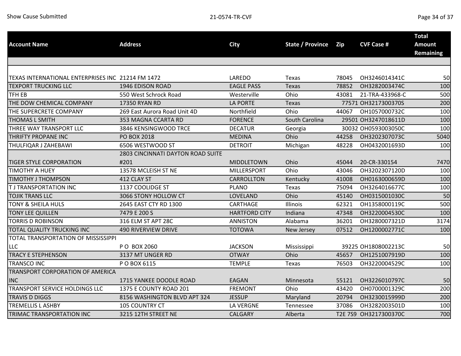| <b>Account Name</b>                               | <b>Address</b>                    | <b>City</b>          | State / Province | Zip   | <b>CVF Case #</b>     | <b>Total</b><br>Amount<br><b>Remaining</b> |
|---------------------------------------------------|-----------------------------------|----------------------|------------------|-------|-----------------------|--------------------------------------------|
|                                                   |                                   |                      |                  |       |                       |                                            |
| TEXAS INTERNATIONAL ENTERPRISES INC 21214 FM 1472 |                                   | LAREDO               | Texas            | 78045 | OH3246014341C         | 50                                         |
| <b>TEXPORT TRUCKING LLC</b>                       | 1946 EDISON ROAD                  | <b>EAGLE PASS</b>    | Texas            | 78852 | OH3282003474C         | 100                                        |
| TFH EB                                            | 550 West Schrock Road             | Westerville          | Ohio             | 43081 | 21-TRA-433968-C       | 500                                        |
| THE DOW CHEMICAL COMPANY                          | <b>17350 RYAN RD</b>              | <b>LA PORTE</b>      | <b>Texas</b>     |       | 77571 OH3217300370S   | 200                                        |
| THE SUPERCRETE COMPANY                            | 269 East Aurora Road Unit 4D      | Northfield           | Ohio             | 44067 | OH1057000732C         | 100                                        |
| <b>THOMAS L SMITH</b>                             | 353 MAGNA CCARTA RD               | <b>FORENCE</b>       | South Carolina   |       | 29501 OH3247018611D   | 100                                        |
| THREE WAY TRANSPORT LLC                           | 3846 KENSINGWOOD TRCE             | <b>DECATUR</b>       | Georgia          |       | 30032 OH0593003050C   | 100                                        |
| <b>THRIFTY PROPANE INC</b>                        | <b>PO BOX 2018</b>                | <b>MEDINA</b>        | Ohio             | 44258 | OH3202307073C         | 5040                                       |
| THULFIQAR J ZAHEBAWI                              | 6506 WESTWOOD ST                  | <b>DETROIT</b>       | Michigan         | 48228 | OH0432001693D         | 100                                        |
|                                                   | 2803 CINCINNATI DAYTON ROAD SUITE |                      |                  |       |                       |                                            |
| <b>TIGER STYLE CORPORATION</b>                    | #201                              | <b>MIDDLETOWN</b>    | Ohio             | 45044 | 20-CR-330154          | 7470                                       |
| <b>TIMOTHY A HUEY</b>                             | 13578 MCLEISH ST NE               | <b>MILLERSPORT</b>   | Ohio             | 43046 | OH3202307120D         | 100                                        |
| <b>TIMOTHY J THOMPSON</b>                         | 412 CLAY ST                       | <b>CARROLLTON</b>    | Kentucky         | 41008 | OH0163000659D         | 100                                        |
| T J TRANSPORTATION INC                            | 1137 COOLIDGE ST                  | <b>PLANO</b>         | Texas            | 75094 | OH3264016677C         | 100                                        |
| <b>TOJIK TRANS LLC</b>                            | 3066 STONY HOLLOW CT              | LOVELAND             | Ohio             | 45140 | OH0315001030C         | 50                                         |
| <b>TONY &amp; SHEILA HULS</b>                     | 2645 EAST CTY RD 1300             | CARTHAGE             | Illinois         | 62321 | OH1358000119C         | 500                                        |
| <b>TONY LEE QUILLEN</b>                           | 7479 E 200 S                      | <b>HARTFORD CITY</b> | Indiana          | 47348 | OH3220004530C         | 100                                        |
| <b>TORRIS D ROBINSON</b>                          | 316 ELM ST APT 28C                | <b>ANNISTON</b>      | Alabama          | 36201 | OH3280007321D         | 3174                                       |
| TOTAL QUALITY TRUCKING INC                        | <b>490 RIVERVIEW DRIVE</b>        | <b>TOTOWA</b>        | New Jersey       | 07512 | OH1200002771C         | 100                                        |
| TOTAL TRANSPORTATION OF MISSISSIPPI               |                                   |                      |                  |       |                       |                                            |
| <b>LLC</b>                                        | P O BOX 2060                      | <b>JACKSON</b>       | Mississippi      |       | 39225 OH1808002213C   | 50                                         |
| <b>TRACY E STEPHENSON</b>                         | 3137 MT UNGER RD                  | <b>OTWAY</b>         | Ohio             | 45657 | OH1251007919D         | 100                                        |
| <b>TRANSCO INC</b>                                | P O BOX 6115                      | <b>TEMPLE</b>        | Texas            | 76503 | OH3220004529C         | 100                                        |
| TRANSPORT CORPORATION OF AMERICA                  |                                   |                      |                  |       |                       |                                            |
| <b>INC</b>                                        | 1715 YANKEE DOODLE ROAD           | <b>EAGAN</b>         | Minnesota        | 55121 | OH3226010797C         | 50                                         |
| TRANSPORT SERVICE HOLDINGS LLC                    | 1375 E COUNTY ROAD 201            | <b>FREMONT</b>       | Ohio             | 43420 | OH0700001329C         | 200                                        |
| <b>TRAVIS D DIGGS</b>                             | 8156 WASHINGTON BLVD APT 324      | <b>JESSUP</b>        | Maryland         | 20794 | OH3230015999D         | 200                                        |
| <b>TREMELLIS L ASHBY</b>                          | 105 COUNTRY CT                    | <b>LA VERGNE</b>     | Tennessee        | 37086 | OH3282003501D         | 100                                        |
| TRIMAC TRANSPORTATION INC                         | 3215 12TH STREET NE               | <b>CALGARY</b>       | Alberta          |       | T2E 7S9 OH3217300370C | 700                                        |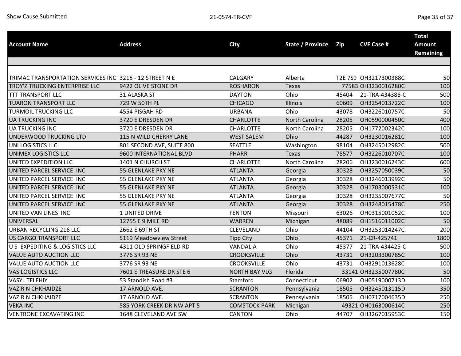| <b>Account Name</b>                                     | <b>Address</b>             | <b>City</b>          | <b>State / Province</b> | Zip   | <b>CVF Case #</b>     | <b>Total</b><br><b>Amount</b> |
|---------------------------------------------------------|----------------------------|----------------------|-------------------------|-------|-----------------------|-------------------------------|
|                                                         |                            |                      |                         |       |                       | <b>Remaining</b>              |
|                                                         |                            |                      |                         |       |                       |                               |
|                                                         |                            |                      |                         |       |                       |                               |
| TRIMAC TRANSPORTATION SERVICES INC 3215 - 12 STREET N E |                            | <b>CALGARY</b>       | Alberta                 |       | T2E 7S9 OH3217300388C | 50                            |
| TROY'Z TRUCKING ENTERPRISE LLC                          | 9422 OLIVE STONE DR        | <b>ROSHARON</b>      | Texas                   |       | 77583 OH3230016280C   | 100                           |
| <b>TTT TRANSPORT LLC</b>                                | 31 ALASKA ST               | <b>DAYTON</b>        | Ohio                    | 45404 | 21-TRA-434386-C       | 500                           |
| <b>TUARON TRANSPORT LLC</b>                             | 729 W 50TH PL              | <b>CHICAGO</b>       | Illinois                | 60609 | OH3254013722C         | 100                           |
| <b>TURMOIL TRUCKING LLC</b>                             | 4554 PISGAH RD             | <b>URBANA</b>        | Ohio                    | 43078 | OH3226010757C         | 50                            |
| <b>UA TRUCKING INC</b>                                  | 3720 E DRESDEN DR          | <b>CHARLOTTE</b>     | North Carolina          | 28205 | OH0590000450C         | 400                           |
| <b>UA TRUCKING INC</b>                                  | 3720 E DRESDEN DR          | <b>CHARLOTTE</b>     | North Carolina          | 28205 | OH1772002342C         | 100                           |
| UNDERWOOD TRUCKING LTD                                  | 115 N WILD CHERRY LANE     | <b>WEST SALEM</b>    | Ohio                    | 44287 | OH3230016281C         | 100                           |
| UNI LOGISTICS LLC                                       | 801 SECOND AVE, SUITE 800  | <b>SEATTLE</b>       | Washington              | 98104 | OH3245012982C         | 500                           |
| UNIMEX LOGISTICS LLC                                    | 9600 INTERNATIONAL BLVD    | <b>PHARR</b>         | <b>Texas</b>            | 78577 | OH3226010707C         | 100                           |
| UNITED EXPEDITION LLC                                   | 1401 N CHURCH ST           | CHARLOTTE            | North Carolina          | 28206 | OH3230016243C         | 600                           |
| UNITED PARCEL SERVICE INC                               | 55 GLENLAKE PKY NE         | <b>ATLANTA</b>       | Georgia                 | 30328 | OH3257050039C         | 50                            |
| UNITED PARCEL SERVICE INC                               | 55 GLENLAKE PKY NE         | <b>ATLANTA</b>       | Georgia                 | 30328 | OH3246013992C         | 50                            |
| UNITED PARCEL SERVICE INC                               | 55 GLENLAKE PKY NE         | <b>ATLANTA</b>       | Georgia                 | 30328 | OH1703000531C         | 100                           |
| UNITED PARCEL SERVICE INC                               | <b>55 GLENLAKE PKY NE</b>  | <b>ATLANTA</b>       | Georgia                 | 30328 | OH3235007677C         | 50                            |
| UNITED PARCEL SERVICE INC                               | 55 GLENLAKE PKY NE         | <b>ATLANTA</b>       | Georgia                 | 30328 | OH3248015478C         | 250                           |
| UNITED VAN LINES INC                                    | 1 UNITED DRIVE             | <b>FENTON</b>        | Missouri                | 63026 | OH0315001052C         | 100                           |
| <b>UNIVERSAL</b>                                        | 12755 E 9 MILE RD          | <b>WARREN</b>        | Michigan                | 48089 | OH1516011002C         | 50                            |
| <b>URBAN RECYCLING 216 LLC</b>                          | 2662 E 69TH ST             | CLEVELAND            | Ohio                    | 44104 | OH3253014247C         | 200                           |
| <b>US CARGO TRANSPORT LLC</b>                           | 5119 Meadowview Street     | <b>Tipp City</b>     | Ohio                    | 45371 | 21-CR-425741          | 1800                          |
| U S EXPEDITING & LOGISTICS LLC                          | 4311 OLD SPRINGFIELD RD    | VANDALIA             | Ohio                    | 45377 | 21-TRA-434425-C       | 500                           |
| <b>VALUE AUTO AUCTION LLC</b>                           | 3776 SR 93 NE              | <b>CROOKSVILLE</b>   | Ohio                    | 43731 | OH3203300785C         | 100                           |
| VALUE AUTO AUCTION LLC                                  | 3776 SR 93 NE              | <b>CROOKSVILLE</b>   | Ohio                    | 43731 | OH3291013628C         | 100                           |
| VAS LOGISTICS LLC                                       | 7601 E TREASURE DR STE 6   | <b>NORTH BAY VLG</b> | Florida                 |       | 33141 OH3235007780C   | 50                            |
| <b>VASYL TELEHIY</b>                                    | 53 Standish Road #3        | Stamford             | Connecticut             | 06902 | OH0519000713D         | 100                           |
| <b>VAZIR N CHKHAIDZE</b>                                | 17 ARNOLD AVE.             | <b>SCRANTON</b>      | Pennsylvania            | 18505 | OH3245013115D         | 350                           |
| <b>VAZIR N CHKHAIDZE</b>                                | 17 ARNOLD AVE.             | <b>SCRANTON</b>      | Pennsylvania            | 18505 | OH0717004635D         | 250                           |
| <b>VEKA INC</b>                                         | 585 YORK CREEK DR NW APT 5 | <b>COMSTOCK PARK</b> | Michigan                |       | 49321 OH0163000614C   | 250                           |
| <b>VENTRONE EXCAVATING INC</b>                          | 1648 CLEVELAND AVE SW      | <b>CANTON</b>        | Ohio                    | 44707 | OH3267015953C         | 150                           |
|                                                         |                            |                      |                         |       |                       |                               |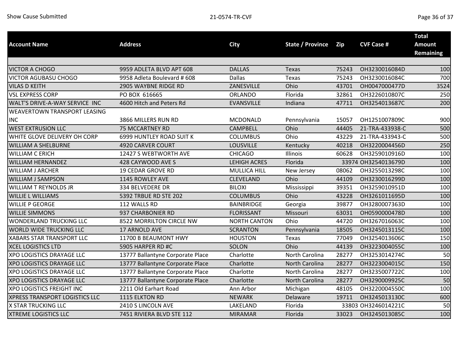|                                       |                                  |                     |                         |       |                     | <b>Total</b>     |
|---------------------------------------|----------------------------------|---------------------|-------------------------|-------|---------------------|------------------|
| <b>Account Name</b>                   | <b>Address</b>                   | <b>City</b>         | <b>State / Province</b> | Zip   | <b>CVF Case #</b>   | <b>Amount</b>    |
|                                       |                                  |                     |                         |       |                     | <b>Remaining</b> |
|                                       |                                  |                     |                         |       |                     |                  |
| <b>VICTOR A CHOGO</b>                 | 9959 ADLETA BLVD APT 608         | <b>DALLAS</b>       | Texas                   | 75243 | OH3230016084D       | 100              |
| <b>VICTOR AGUBASU CHOGO</b>           | 9958 Adleta Boulevard # 608      | <b>Dallas</b>       | Texas                   | 75243 | OH3230016084C       | 700              |
| <b>VILAS D KEITH</b>                  | 2905 WAYBNE RIDGE RD             | ZANESVILLE          | Ohio                    | 43701 | OH0047000477D       | 3524             |
| <b>VSL EXPRESS CORP</b>               | PO BOX 616665                    | <b>ORLANDO</b>      | Florida                 | 32861 | OH3226010807C       | 250              |
| WALT'S DRIVE-A-WAY SERVICE INC        | 4600 Hitch and Peters Rd         | <b>EVANSVILLE</b>   | Indiana                 | 47711 | OH3254013687C       | 200              |
| <b>WEAVERTOWN TRANSPORT LEASING</b>   |                                  |                     |                         |       |                     |                  |
| <b>INC</b>                            | 3866 MILLERS RUN RD              | <b>MCDONALD</b>     | Pennsylvania            | 15057 | OH1251007809C       | 900              |
| <b>WEST EXTRUSION LLC</b>             | <b>75 MCCARTNEY RD</b>           | <b>CAMPBELL</b>     | Ohio                    | 44405 | 21-TRA-433938-C     | 500              |
| WHITE GLOVE DELIVERY OH CORP          | 6999 HUNTLEY ROAD SUIT K         | <b>COLUMBUS</b>     | Ohio                    | 43229 | 21-TRA-433943-C     | 500              |
| <b>WILLIAM A SHELBURNE</b>            | 4920 CARVER COURT                | <b>LOUSVILLE</b>    | Kentucky                | 40218 | OH3220004456D       | 250              |
| <b>WILLIAM C ERICH</b>                | 12427 S WEBTWORTH AVE            | <b>CHICAGO</b>      | Illinois                | 60628 | OH3259010916D       | 100              |
| <b>WILLIAM HERNANDEZ</b>              | 428 CAYWOOD AVE S                | <b>LEHIGH ACRES</b> | Florida                 |       | 33974 OH3254013679D | 100              |
| <b>WILLIAM J ARCHER</b>               | <b>19 CEDAR GROVE RD</b>         | MULLICA HILL        | New Jersey              | 08062 | OH3255013298C       | 100              |
| <b>WILLIAM J SAMPSON</b>              | 1145 ROWLEY AVE                  | CLEVELAND           | Ohio                    | 44109 | OH3230016299D       | 100              |
| <b>WILLIAM T REYNOLDS JR</b>          | 334 BELVEDERE DR                 | <b>BILOXI</b>       | Mississippi             | 39351 | OH3259010951D       | 100              |
| <b>WILLIE L WILLIAMS</b>              | 5392 TRBUE RD STE 202            | <b>COLUMBUS</b>     | Ohio                    | 43228 | OH3261011695D       | 100              |
| <b>WILLIE P GEORGE</b>                | 112 WALLS RD                     | <b>BAINBRIDGE</b>   | Georgia                 | 39877 | OH3280007363D       | 100              |
| <b>WILLIE SIMMONS</b>                 | 937 CHARBONIER RD                | <b>FLORISSANT</b>   | Missouri                | 63031 | OH0590000478D       | 100              |
| WONDERLAND TRUCKING LLC               | 8522 MORRILTON CIRCLE NW         | <b>NORTH CANTON</b> | Ohio                    | 44720 | OH3267016063C       | 100              |
| <b>WORLD WIDE TRUCKING LLC</b>        | 17 ARNOLD AVE                    | <b>SCRANTON</b>     | Pennsylvania            | 18505 | OH3245013115C       | 100              |
| <b>XABARS STAR TRANSPORT LLC</b>      | 11700 B BEAUMONT HWY             | <b>HOUSTON</b>      | Texas                   | 77049 | OH3254013606C       | 150              |
| <b>XCEL LOGISTICS LTD</b>             | 5905 HARPER RD #C                | SOLON               | Ohio                    | 44139 | OH3223004055C       | 100              |
| <b>XPO LOGISTICS DRAYAGE LLC</b>      | 13777 Ballantyne Corporate Place | Charlotte           | North Carolina          | 28277 | OH3253014274C       | 50               |
| <b>XPO LOGISTICS DRAYAGE LLC</b>      | 13777 Ballantyne Corporate Place | Charlotte           | North Carolina          | 28277 | OH3223004015C       | 150              |
| <b>XPO LOGISTICS DRAYAGE LLC</b>      | 13777 Ballantyne Corporate Place | Charlotte           | North Carolina          | 28277 | OH3235007722C       | 100              |
| <b>XPO LOGISTICS DRAYAGE LLC</b>      | 13777 Ballantyne Corporate Place | Charlotte           | North Carolina          | 28277 | OH3290009925C       | 50               |
| <b>XPO LOGISTICS FREIGHT INC</b>      | 2211 Old Earhart Road            | Ann Arbor           | Michigan                | 48105 | OH3220004550C       | 100              |
| <b>XPRESS TRANSPORT LOGISTICS LLC</b> | 1115 ELKTON RD                   | <b>NEWARK</b>       | Delaware                | 19711 | OH3245013130C       | 600              |
| <b>X STAR TRUCKING LLC</b>            | 2410 S LINCOLN AVE               | LAKELAND            | Florida                 |       | 33803 OH3246014221C | 50               |
| <b>XTREME LOGISTICS LLC</b>           | 7451 RIVIERA BLVD STE 112        | <b>MIRAMAR</b>      | Florida                 | 33023 | OH3245013085C       | 100              |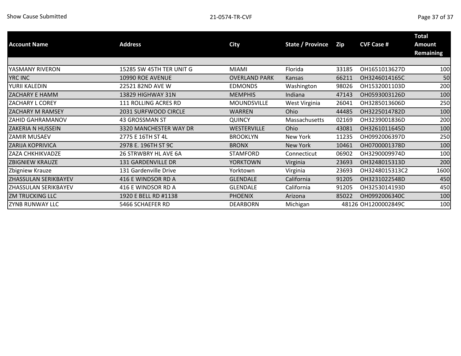| <b>Account Name</b>    | <b>Address</b>           | City                 | State / Province | Zip   | <b>CVF Case #</b>   | <b>Total</b><br><b>Amount</b><br><b>Remaining</b> |
|------------------------|--------------------------|----------------------|------------------|-------|---------------------|---------------------------------------------------|
|                        |                          |                      |                  |       |                     |                                                   |
| YASMANY RIVERON        | 15285 SW 45TH TER UNIT G | MIAMI                | Florida          | 33185 | OH1651013627D       | 100                                               |
| <b>YRC INC</b>         | 10990 ROE AVENUE         | <b>OVERLAND PARK</b> | <b>Kansas</b>    | 66211 | OH3246014165C       | 50                                                |
| YURII KALEDIN          | 22521 82ND AVE W         | <b>EDMONDS</b>       | Washington       | 98026 | OH1532001103D       | 20C                                               |
| ZACHARY E HAMM         | 13829 HIGHWAY 31N        | <b>MEMPHIS</b>       | Indiana          | 47143 | OH0593003126D       | 100                                               |
| ZACHARY L COREY        | 111 ROLLING ACRES RD     | MOUNDSVILLE          | West Virginia    | 26041 | OH3285013606D       | 25C                                               |
| ZACHARY M RAMSEY       | 2031 SURFWOOD CIRCLE     | <b>WARREN</b>        | Ohio             | 44485 | OH3225014782D       | 10 <sub>C</sub>                                   |
| ZAHID GAHRAMANOV       | 43 GROSSMAN ST           | <b>QUINCY</b>        | Massachusetts    | 02169 | OH3239001836D       | 20 <sub>C</sub>                                   |
| ZAKERIA N HUSSEIN      | 3320 MANCHESTER WAY DR   | WESTERVILLE          | Ohio             | 43081 | OH3261011645D       | 100                                               |
| ZAMIR MUSAEV           | 2775 E 16TH ST 4L        | <b>BROOKLYN</b>      | New York         | 11235 | OH0992006397D       | 25C                                               |
| ZARIJA KOPRIVICA       | 2978 E. 196TH ST 9C      | <b>BRONX</b>         | New York         | 10461 | OH0700001378D       | 100                                               |
| ZAZA CHKHIKVADZE       | 26 STRWBRY HL AVE 6A     | <b>STAMFORD</b>      | Connecticut      | 06902 | OH3290009974D       | 10 <sub>C</sub>                                   |
| <b>ZBIGNIEW KRAUZE</b> | 131 GARDENVILLE DR       | <b>YORKTOWN</b>      | Virginia         | 23693 | OH3248015313D       | <b>200</b>                                        |
| Zbigniew Krauze        | 131 Gardenville Drive    | Yorktown             | Virginia         | 23693 | OH3248015313C2      | 1600                                              |
| ZHASSULAN SERIKBAYEV   | 416 E WINDSOR RD A       | <b>GLENDALE</b>      | California       | 91205 | OH3231022548D       | 45 <sub>C</sub>                                   |
| ZHASSULAN SERIKBAYEV   | 416 E WINDSOR RD A       | <b>GLENDALE</b>      | California       | 91205 | OH3253014193D       | 45C                                               |
| <b>ZM TRUCKING LLC</b> | 1920 E BELL RD #1138     | <b>PHOENIX</b>       | Arizona          | 85022 | OH0992006340C       | 100                                               |
| ZYNB RUNWAY LLC        | 5466 SCHAEFER RD         | <b>DEARBORN</b>      | Michigan         |       | 48126 OH1200002849C | 100                                               |